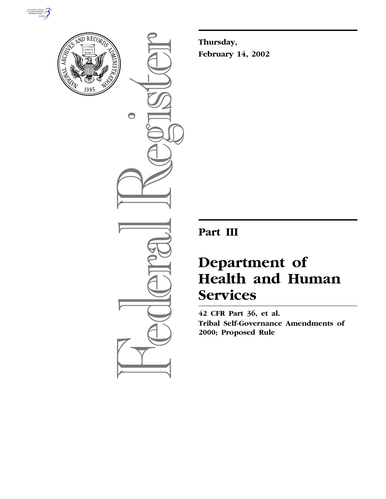



 $\bigcirc$ 

**Thursday, February 14, 2002**

**Part III**

# **Department of Health and Human Services**

**42 CFR Part 36, et al. Tribal Self-Governance Amendments of 2000; Proposed Rule**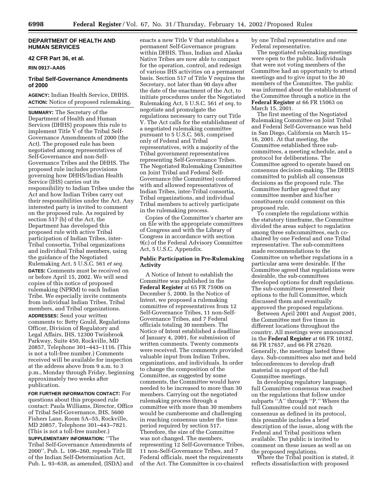# **DEPARTMENT OF HEALTH AND HUMAN SERVICES**

# **42 CFR Part 36, et al.**

**RIN 0917–AA05**

# **Tribal Self-Governance Amendments of 2000**

**AGENCY:** Indian Health Service, DHHS. **ACTION:** Notice of proposed rulemaking.

**SUMMARY:** The Secretary of the Department of Health and Human Services (DHHS) proposes this rule to implement Title  $\tilde{V}$  of the Tribal Self-Governance Amendments of 2000 (the Act). The proposed rule has been negotiated among representatives of Self-Governance and non-Self-Governance Tribes and the DHHS. The proposed rule includes provisions governing how DHHS/Indian Health Service (IHS) carries out its responsibility to Indian Tribes under the Act and how Indian Tribes carry out their responsibilities under the Act. Any interested party is invited to comment on the proposed rule. As required by section 517 (b) of the Act, the Department has developed this proposed rule with active Tribal participation of Indian Tribes, inter-Tribal consortia, Tribal organizations and individual Tribal members, using the guidance of the Negotiated Rulemaking Act, 5 U.S.C. 561 *et seq.* **DATES:** Comments must be received on or before April 15, 2002. We will send copies of this notice of proposed rulemaking (NPRM) to each Indian Tribe. We especially invite comments from individual Indian Tribes, Tribal members, and Tribal organizations. **ADDRESSES:** Send your written comments to: Betty Gould, Regulations Officer, Division of Regulatory and Legal Affairs, IHS, 12300 Twinbrook Parkway, Suite 450, Rockville, MD 20857, Telephone 301–443–1116. (This is not a toll-free number.) Comments received will be available for inspection at the address above from 9 a.m. to 3 p.m., Monday through Friday, beginning approximately two weeks after publication.

**FOR FURTHER INFORMATION CONTACT:** For questions about this proposed rule contact: Paula Williams, Director, Office of Tribal Self-Governance, IHS, 5600 Fishers Lane, Room 5A–55, Rockville, MD 20857, Telephone 301–443–7821. (This is not a toll-free number.)

**SUPPLEMENTARY INFORMATION:** ''The Tribal Self-Governance Amendments of 2000'', Pub. L. 106–260, repeals Title III of the Indian Self-Determination Act, Pub. L. 93–638, as amended, (ISDA) and

enacts a new Title V that establishes a permanent Self-Governance program within DHHS. Thus, Indian and Alaska Native Tribes are now able to compact for the operation, control, and redesign of various IHS activities on a permanent basis. Section 517 of Title V requires the Secretary, not later than 90 days after the date of the enactment of the Act, to initiate procedures under the Negotiated Rulemaking Act, 5 U.S.C. 561 *et seq*, to negotiate and promulgate the regulations necessary to carry out Title V. The Act calls for the establishment of a negotiated rulemaking committee pursuant to 5 U.S.C. 565, comprised only of Federal and Tribal representatives, with a majority of the Tribal government representatives representing Self-Governance Tribes. The Negotiated Rulemaking Committee on Joint Tribal and Federal Self-Governance (the Committee) conferred with and allowed representatives of Indian Tribes, inter-Tribal consortia, Tribal organizations, and individual Tribal members to actively participate in the rulemaking process.

Copies of the Committee's charter are on file with the appropriate committees of Congress and with the Library of Congress in accordance with section 9(c) of the Federal Advisory Committee Act, 5 U.S.C. Appendix.

# **Public Participation in Pre-Rulemaking Activity**

A Notice of Intent to establish the Committee was published in the **Federal Register** at 65 FR 75906 on December 5, 2000. In the Notice of Intent, we proposed a rulemaking committee of representatives from 12 Self-Governance Tribes, 11 non-Self-Governance Tribes, and 7 Federal officials totaling 30 members. The Notice of Intent established a deadline of January 4, 2001, for submission of written comments. Twenty comments were received. The comments provided valuable input from Indian Tribes, organizations, and individuals. In order to change the composition of the Committee, as suggested by some comments, the Committee would have needed to be increased to more than 30 members. Carrying out the negotiated rulemaking process through a committee with more than 30 members would be cumbersome and challenging in reaching consensus under the time period required by section 517. Therefore, the size of the Committee was not changed. The members, representing 12 Self-Governance Tribes, 11 non-Self-Governance Tribes, and 7 Federal officials, meet the requirements of the Act. The Committee is co-chaired by one Tribal representative and one Federal representative.

The negotiated rulemaking meetings were open to the public. Individuals that were not voting members of the Committee had an opportunity to attend meetings and to give input to the 30 members of the Committee. The public was informed about the establishment of the Committee through a notice in the **Federal Register** at 66 FR 15063 on March 15, 2001.

The first meeting of the Negotiated Rulemaking Committee on Joint Tribal and Federal Self-Governance was held in San Diego, California on March 15– 16, 2001. At that meeting, the Committee established three subcommittees, a meeting schedule, and a protocol for deliberations. The Committee agreed to operate based on consensus decision-making. The DHHS committed to publish all consensus decisions as the proposed rule. The Committee further agreed that any committee member and his/her constituents could comment on this proposed rule.

To complete the regulations within the statutory timeframe, the Committee divided the areas subject to regulation among three subcommittees, each cochaired by one Federal and one Tribal representative. The sub-committees made recommendations to the Committee on whether regulations in a particular area were desirable. If the Committee agreed that regulations were desirable, the sub-committees developed options for draft regulations. The sub-committees presented their options to the full Committee, which discussed them and eventually approved the proposed regulations.

Between April 2001 and August 2001, the Committee met five times in different locations throughout the country. All meetings were announced in the **Federal Register** at 66 FR 10182, 66 FR 17657, and 66 FR 27620. Generally, the meetings lasted three days. Sub-committees also met and held teleconferences to develop draft material in support of the full Committee meetings.

In developing regulatory language, full Committee consensus was reached on the regulations that follow under subparts "A" through "P." Where the full Committee could not reach consensus as defined in its protocol, this preamble includes a brief description of the issue, along with the Federal and Tribal positions when available. The public is invited to comment on these issues as well as on the proposed regulations.

Where the Tribal position is stated, it reflects dissatisfaction with proposed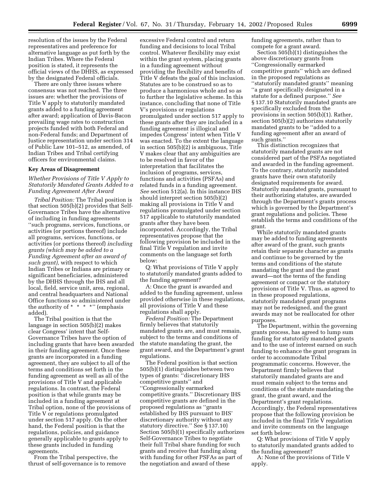resolution of the issues by the Federal representatives and preference for alternative language as put forth by the Indian Tribes. Where the Federal position is stated, it represents the official views of the DHHS, as expressed by the designated Federal officials.

There are only three issues where consensus was not reached. The three issues are: whether the provisions of Title V apply to statutorily mandated grants added to a funding agreement after award; application of Davis-Bacon prevailing wage rates to construction projects funded with both Federal and non-Federal funds; and Department of Justice representation under section 314 of Public Law 101–512, as amended, of Indian Tribes and Tribal certifying officers for environmental claims.

## **Key Areas of Disagreement**

# *Whether Provisions of Title V Apply to Statutorily Mandated Grants Added to a Funding Agreement After Award*

*Tribal Position:* The Tribal position is that section 505(b)(2) provides that Self-Governance Tribes have the alternative of including in funding agreements ''such programs, services, functions, or activities (or portions thereof) include all programs, services, functions, or activities (or portions thereof) *including grants (which may be added to a Funding Agreement after an award of such grant),* with respect to which Indian Tribes or Indians are primary or significant beneficiaries, administered by the DHHS through the IHS and all local, field, service unit, area, regional, and central headquarters and National Office functions so administered under the authority of  $* * * "$  (emphasis added).

The Tribal position is that the language in section 505(b)(2) makes clear Congress' intent that Self-Governance Tribes have the option of including grants that have been awarded in their funding agreement. Once these grants are incorporated in a funding agreement, they are subject to all of the terms and conditions set forth in the funding agreement as well as all of the provisions of Title V and applicable regulations. In contrast, the Federal position is that while grants may be included in a funding agreement at Tribal option, none of the provisions of Title V or regulations promulgated under section 517 apply. On the other hand, the Federal position is that the regulations, policies, and guidance generally applicable to grants apply to these grants included in funding agreements.

From the Tribal perspective, the thrust of self-governance is to remove

excessive Federal control and return funding and decisions to local Tribal control. Whatever flexibility may exist within the grant system, placing grants in a funding agreement without providing the flexibility and benefits of Title V defeats the goal of this inclusion. Statutes are to be construed so as to produce a harmonious whole and so as to further the legislative scheme. In this instance, concluding that none of Title V's provisions or regulations promulgated under section 517 apply to these grants after they are included in a funding agreement is illogical and impedes Congress' intent when Title V was enacted. To the extent the language in section 505(b)(2) is ambiguous, Title V makes clear that any ambiguities are to be resolved in favor of the interpretation that facilitates the inclusion of programs, services, functions and activities (PSFAs) and related funds in a funding agreement. *See* section 512(a). In this instance IHS should interpret section 505(b)(2) making all provisions in Title V and regulations promulgated under section 517 applicable to statutorily mandated grants after they have been incorporated. Accordingly, the Tribal representatives propose that the following provision be included in the final Title V regulation and invite comments on the language set forth below:

Q: What provisions of Title V apply to statutorily mandated grants added to the funding agreement?

A: Once the grant is awarded and added to the funding agreement, unless provided otherwise in these regulations, all provisions of Title V and these regulations shall apply.

*Federal Position:* The Department firmly believes that statutorily mandated grants are, and must remain, subject to the terms and conditions of the statute mandating the grant, the grant award, and the Department's grant regulations.

The Federal position is that section 505(b)(1) distinguishes between two types of grants: ''discretionary IHS competitive grants'' and ''Congressionally earmarked competitive grants.'' Discretionary IHS competitive grants are defined in the proposed regulations as ''grants established by IHS pursuant to IHS' discretionary authority without any statutory directive.'' See § 137.10) Section 505(b)(1) specifically authorizes Self-Governance Tribes to negotiate their full Tribal share funding for such grants and receive that funding along with funding for other PSFAs as part of the negotiation and award of these

funding agreements, rather than to compete for a grant award.

Section 505(b)(1) distinguishes the above discretionary grants from ''Congressionally earmarked competitive grants'' which are defined in the proposed regulations as ''statutorily mandated grants'' meaning ''a grant specifically designated in a statute for a defined purpose.'' *See* § 137.10 Statutorily mandated grants are specifically excluded from the provisions in section 505(b)(1). Rather, section 505(b)(2) authorizes statutorily mandated grants to be ''added to a funding agreement after an award of such grants.''

This distinction recognizes that statutorily mandated grants are not considered part of the PSFAs negotiated and awarded in the funding agreement. To the contrary, statutorily mandated grants have their own statutorily designated requirements for award. Statutorily mandated grants, pursuant to their authorizing statutes, are awarded through the Department's grants process which is governed by the Department's grant regulations and policies. These establish the terms and conditions of the grant.

While statutorily mandated grants may be added to funding agreements after award of the grant, such grants retain their separate character as grants and continue to be governed by the terms and conditions of the statute mandating the grant and the grant award—not the terms of the funding agreement or compact or the statutory provisions of Title V. Thus, as agreed to in these proposed regulations, statutorily mandated grant programs may not be redesigned, and the grant awards may not be reallocated for other purposes.

The Department, within the governing grants process, has agreed to lump sum funding for statutorily mandated grants and to the use of interest earned on such funding to enhance the grant program in order to accommodate Tribal programmatic concerns. However, the Department firmly believes that statutorily mandated grants are and must remain subject to the terms and conditions of the statute mandating the grant, the grant award, and the Department's grant regulations. Accordingly, the Federal representatives propose that the following provision be included in the final Title V regulation and invite comments on the language set forth below:

Q: What provisions of Title V apply to statutorily mandated grants added to the funding agreement?

A: None of the provisions of Title V apply.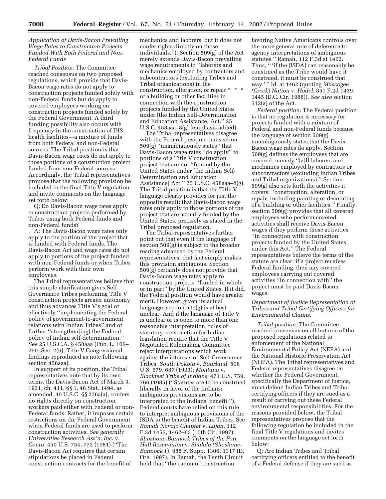# *Application of Davis-Bacon Prevailing Wage Rates to Construction Projects Funded With Both Federal and Non-Federal Funds*

*Tribal Position:* The Committee reached consensus on two proposed regulations, which provide that Davis-Bacon wage rates do not apply to construction projects funded solely with non-Federal funds but do apply to covered employees working on construction projects funded solely by the Federal Government. A third funding possibility also occurs with frequency in the construction of IHS health facilities—a mixture of funds from both Federal and non-Federal sources. The Tribal position is that Davis-Bacon wage rates do not apply to those portions of a construction project funded from non-Federal sources. Accordingly, the Tribal representatives propose that the following provision be included in the final Title V regulation and invite comments on the language set forth below:

Q: Do Davis-Bacon wage rates apply to construction projects performed by Tribes using both Federal funds and non-Federal funds?

A: The Davis-Bacon wage rates only apply to the portion of the project that is funded with Federal funds. The Davis-Bacon Act and wage rates do not apply to portions of the project funded with non-Federal funds or when Tribes perform work with their own employees.

The Tribal representatives believe that this simple clarification gives Self-Governance Tribes performing Title V construction projects greater autonomy and thus advances Title V's goal of effectively ''implementing the Federal policy of government-to-government relations with Indian Tribes'' and of further ''strengthen[ing] the Federal policy of Indian self-determination.'' *See* 25 U.S.C.A. § 458aaa (Pub. L. 106– 260, Sec. 2(6), Title V Congressional findings reproduced as note following section 458aaa).

In support of its position, the Tribal representatives note that by its own terms, the Davis-Bacon Act of March 3, 1931, ch. 411, §§ 1, 46 Stat. 1494, as amended, 40 U.S.C. §§ 276a(a), confers no rights directly on construction workers paid either with Federal or non-Federal funds. Rather, it imposes certain restrictions on the Federal Government when Federal funds are used to perform construction activities. *See generally Universities Research Ass'n, Inc.* v. *Coutu,* 450 U.S. 754, 772 (1981) (''The Davis-Bacon Act requires that certain stipulations be placed in Federal construction contracts for the benefit of

mechanics and laborers, but it does not confer rights directly on those individuals.''). Section 509(g) of the Act merely extends Davis-Bacon prevailing wage requirements to ''laborers and mechanics employed by contractors and subcontractors (excluding Tribes and Tribal organizations) in the construction, alteration, or repair \* \* \* of a building or other facilities in connection with the construction projects funded by the United States under [the Indian Self-Determination and Education Assistance] Act.'' 25 U.S.C. 458aaa–8(g) (emphasis added).

The Tribal representatives disagree with the Federal position that section 509(g) ''unambiguously states'' that Davis-Bacon wage rates ''do apply'' to portions of a Title V construction project that are not ''funded by the United States under [the Indian Self-Determination and Education Assistance] Act.'' 25 U.S.C. 458aaa–8(g). The Tribal position is that the Title V language clearly provides for just the opposite result: that Davis-Bacon wage rates only apply to those portions of the project that are actually funded by the United States, precisely as stated in the Tribal proposed regulation.

The Tribal representatives further point out that even if the language of section 509(g) is subject to the broader reading advanced by the Federal representatives, that fact simply makes this provision ambiguous. Section 509(g) certainly does not provide that Davis-Bacon wage rates apply to construction projects ''funded in whole or in part'' by the United States. If it did, the Federal position would have greater merit. However, given its actual language, section 509(g) is at best unclear. And if the language of Title V is unclear or is open to more than one reasonable interpretation, rules of statutory construction for Indian legislation require that the Title V Negotiated Rulemaking Committee reject interpretations which work against the interests of Self-Governance Tribes. *South Dakota* v. *Bourland,* 508 U.S. 679, 687 (1993); *Montana* v. *Blackfeet Tribe of Indians,* 471 U.S. 759, 766 (1985) (''Statutes are to be construed liberally in favor of the Indians; ambiguous provisions are to be interpreted to the Indians' benefit.''). Federal courts have relied on this rule to interpret ambiguous provisions of the ISDA to the benefit of Indian Tribes. See *Ramah Navajo Chapter* v. *Lujan,* 112 F.3d 1455, 1462–63 (10th Cir. 1997); *Shoshone-Bannock Tribes of the Fort Hall Reservation* v. *Shalala (Shoshone-Bannock I* ), 988 F. Supp. 1306, 1317 (D. Ore. 1997). In Ramah, the Tenth Circuit held that ''the canon of construction

favoring Native Americans controls over the more general rule of deference to agency interpretations of ambiguous statutes.'' Ramah, 112 F.3d at 1462. Thus, '' 'if the [ISDA] can reasonably be construed as the Tribe would have it construed, it must be construed that way.' '' Id. at 1462 (quoting *Muscogee (Creek) Nation* v. *Hodel,* 851 F.2d 1439, 1445 (D.C. Cir. 1988)). *See also* section 512(a) of the Act.

*Federal position:* The Federal position is that no regulation is necessary for projects funded with a mixture of Federal and non-Federal funds because the language of section 509(g) unambiguously states that the Davis-Bacon wage rates do apply. Section 509(g) defines the employees that are covered, namely ''[a]ll laborers and mechanics employed by contractors or subcontractors (excluding Indian Tribes and Tribal organizations).'' Section 509(g) also sets forth the activities it covers: ''construction, alteration, or repair, including painting or decorating of a building or other facilities.'' Finally, section 509(g) provides that all covered employees who perform covered activities shall receive Davis-Bacon wages if they perform those activities ''in connection with construction projects funded by the United States under this Act.'' The Federal representatives believe the terms of the statute are clear: if a project receives Federal funding, then any covered employees carrying out covered activities ''in connection with'' the project must be paid Davis-Bacon wages.

# *Department of Justice Representation of Tribes and Tribal Certifying Officers for Environmental Claims.*

*Tribal position:* The Committee reached consensus on all but one of the proposed regulations related to enforcement of the National Environmental Policy Act (NEPA) and the National Historic Preservation Act (NHPA). The Tribal representatives and Federal representatives disagree on whether the Federal Government, specifically the Department of Justice, must defend Indian Tribes and Tribal certifying officers if they are sued as a result of carrying out these Federal environmental responsibilities. For the reasons provided below, the Tribal representatives propose that the following regulation be included in the final Title V regulations and invites comments on the language set forth below:

Q: Are Indian Tribes and Tribal certifying officers entitled to the benefit of a Federal defense if they are sued as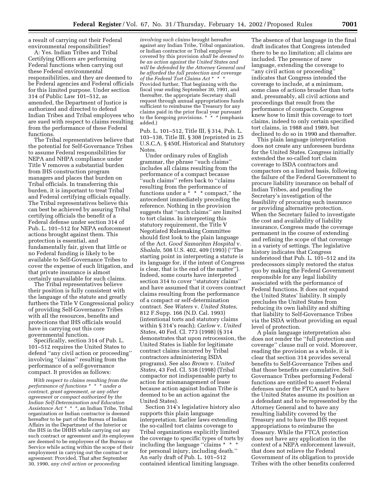a result of carrying out their Federal environmental responsibilities?

A: Yes. Indian Tribes and Tribal Certifying Officers are performing Federal functions when carrying out these Federal environmental responsibilities, and they are deemed to be Federal agencies and Federal officials for this limited purpose. Under section 314 of Public Law 101–512, as amended, the Department of Justice is authorized and directed to defend Indian Tribes and Tribal employees who are sued with respect to claims resulting from the performance of these Federal functions.

The Tribal representatives believe that the potential for Self-Governance Tribes to assume Federal responsibilities for NEPA and NHPA compliance under Title V removes a substantial burden from IHS construction program managers and places that burden on Tribal officials. In transferring this burden, it is important to treat Tribal and Federal certifying officials equally. The Tribal representatives believe this can best be achieved by assuring Tribal certifying officials the benefit of a Federal defense under section 314 of Pub. L. 101–512 for NEPA enforcement actions brought against them. This protection is essential, and fundamentally fair, given that little or no Federal funding is likely to be available to Self-Governance Tribes to cover the expense of such litigation, and that private insurance is almost certainly unavailable for such claims.

The Tribal representatives believe their position is fully consistent with the language of the statute and greatly furthers the Title V Congressional policy of providing Self-Governance Tribes with all the resources, benefits and protections that IHS officials would have in carrying out this core governmental function.

Specifically, section 314 of Pub. L. 101–512 requires the United States to defend ''any civil action or proceeding'' involving ''claims'' resulting from the performance of a self-governance compact. It provides as follows:

*With respect to claims resulting from the performance of functions \* \* \* under a contract, grant agreement, or any other agreement or compact authorized by the Indian Self-Determination and Education Assistance Act \* \* \*,* an Indian Tribe, Tribal organization or Indian contractor is deemed hereafter to be part of the Bureau of Indian Affairs in the Department of the Interior or the IHS in the DHHS while carrying out any such contract or agreement and its employees are deemed to be employees of the Bureau or Service while acting within the scope of their employment in carrying out the contract or agreement: Provided, That after September 30, 1990, *any civil action or proceeding*

*involving such claims* brought hereafter against any Indian Tribe, Tribal organization, or Indian contractor or Tribal employee covered by this provision *shall be deemed to be an action against the United States and will be defended by the Attorney General and be afforded the full protection and coverage of the Federal Tort Claims Act* \*\*\* Provided further, That beginning with the fiscal year ending September 30, 1991, and thereafter, the appropriate Secretary shall request through annual appropriations funds sufficient to reimburse the Treasury for any claims paid in the prior fiscal year pursuant<br>to the foregoing provisions. \* \* \* (emphasis to the foregoing provisions. \* added.)

Pub. L. 101–512, Title III, § 314, Pub. L. 103–138, Title III, § 308 (reprinted in 25 U.S.C.A. § 450f, Historical and Statutory Notes.

Under ordinary rules of English grammar, the phrase ''such claims'' includes all claims resulting from the performance of a compact because ''such claims'' refers back to ''claims resulting from the performance of functions under a  $* * *$  compact," the antecedent immediately preceding the reference. Nothing in the provision suggests that ''such claims'' are limited to tort claims. In interpreting this statutory requirement, the Title V Negotiated Rulemaking Committee should first look to the plain language of the Act. *Good Samaritan Hospital* v. *Shalala,* 508 U.S. 402, 409 (1993) (''The starting point in interpreting a statute is its language for, if the intent of Congress is clear, that is the end of the matter''). Indeed, some courts have interpreted section 314 to cover ''statutory claims'' and have assumed that it covers contract claims resulting from the performance of a compact or self-determination contract. See *Waters* v. *United States,* 812 F.Supp. 166 (N.D. Cal. 1993) (intentional torts and statutory claims within § 314's reach); *Carlow* v. *United States,* 40 Fed. Cl. 773 (1998) (§ 314 demonstrates that upon retrocession, the United States is liable for legitimate contract claims incurred by Tribal contractors administering ISDA programs). See also *Brown* v. *United States,* 43 Fed. Cl. 538 (1998) (Tribal compactor not indispensable party to action for mismanagement of lease because action against Indian Tribe is deemed to be an action against the United States).

Section 314's legislative history also supports this plain language interpretation. Earlier laws extending the so-called tort claims coverage to Tribal organizations explicitly limited the coverage to specific types of torts by including the language ''claims \* \* \* for personal injury, including death.'' An early draft of Pub. L. 101–512 contained identical limiting language.

The absence of that language in the final draft indicates that Congress intended there to be no limitation; all claims are included. The presence of new language, extending the coverage to ''any civil action or proceeding'' indicates that Congress intended the coverage to include, at a minimum, some class of actions broader than torts and, presumably, all civil actions and proceedings that result from the performance of compacts. Congress knew how to limit this coverage to tort claims, indeed to only certain specified tort claims, in 1988 and 1989, but declined to do so in 1990 and thereafter.

This plain language interpretation does not create any unforeseen burdens for the United States. Congress initially extended the so-called tort claim coverage to ISDA contractors and compactors on a limited basis, following the failure of the Federal Government to procure liability insurance on behalf of Indian Tribes, and pending the Secretary's investigation of the feasibility of procuring such insurance or providing alternative protection. When the Secretary failed to investigate the cost and availability of liability insurance, Congress made the coverage permanent in the course of extending and refining the scope of that coverage in a variety of settings. The legislative history indicates that Congress understood that Pub. L. 101–512 and its predecessors simply restored the status quo by making the Federal Government responsible for any legal liability associated with the performance of Federal functions. It does not expand the United States' liability. It simply precludes the United States from reducing its own liability and shifting that liability to Self-Governance Tribes via the ISDA without providing an equal level of protection.

A plain language interpretation also does not render the ''full protection and coverage'' clause null or void. Moreover, reading the provision as a whole, it is clear that section 314 provides several benefits to Self-Governance Tribes and that those benefits are cumulative. Self-Governance Tribes performing Federal functions are entitled to assert Federal defenses under the FTCA and to have the United States assume its position as a defendant and to be represented by the Attorney General and to have any resulting liability covered by the Treasury and to have the IHS request appropriations to reimburse the Treasury. While the FTCA protection does not have any application in the context of a NEPA enforcement lawsuit, that does not relieve the Federal Government of its obligation to provide Tribes with the other benefits conferred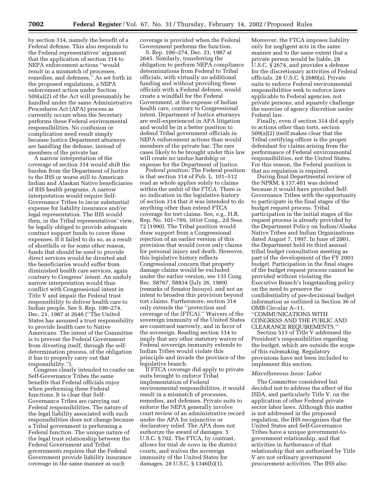by section 314, namely the benefit of a Federal defense. This also responds to the Federal representatives' argument that the application of section 314 to NEPA enforcement actions ''would result in a mismatch of processes, remedies, and defenses.'' As set forth in the proposed regulations, a NEPA enforcement action under Section 509(a)(2) of the Act will presumably be handled under the same Administrative Procedures Act (APA) process as currently occurs when the Secretary performs these Federal environmental responsibilities. No confusion or complication need result simply because Justice Department attorneys are handling the defense, instead of members of the private bar.

A narrow interpretation of the coverage of section 314 would shift the burden from the Department of Justice to the IHS or worse still to American Indian and Alaskan Native beneficiaries of IHS health programs. A narrow interpretation would require Self-Governance Tribes to incur substantial expense for liability insurance and/or legal representation. The IHS would then, in the Tribal representatives' view, be legally obliged to provide adequate contract support funds to cover these expenses. If it failed to do so, as a result of shortfalls or for some other reason, funds that should be used to provide direct services would be diverted and the beneficiaries would suffer from diminished health care services, again contrary to Congress' intent. An unduly narrow interpretation would thus conflict with Congressional intent in Title V and impair the Federal trust responsibility to deliver health care to Indian people. See S. Rep. 100–274, Dec. 21, 1987 at 2646 (''The United States has assumed a trust responsibility to provide health care to Native Americans. The intent of the Committee is to prevent the Federal Government from divesting itself, through the selfdetermination process, of the obligation it has to properly carry out that responsibility.'').

Congress clearly intended to confer on Self-Governance Tribes the same benefits that Federal officials enjoy when performing these Federal functions. It is clear that Self-Governance Tribes are carrying out Federal responsibilities. The nature of the legal liability associated with such responsibilities does not change because a Tribal government is performing a Federal function. The unique nature of the legal trust relationship between the Federal Government and Tribal governments requires that the Federal Government provide liability insurance coverage in the same manner as such

coverage is provided when the Federal Government performs the function.

S. Rep. 100–274, Dec. 21, 1987 at 2645. Similarly, transferring the obligation to perform NEPA compliance determinations from Federal to Tribal officials, with virtually no additional funding and without providing these officials with a Federal defense, would create a windfall for the Federal Government, at the expense of Indian health care, contrary to Congressional intent. Department of Justice attorneys are well-experienced in APA litigation and would be in a better position to defend Tribal government officials in NEPA enforcement actions than would members of the private bar. The rare cases likely to be brought under this law will create no undue hardship or expense for the Department of Justice.

*Federal position:* The Federal position is that section 314 of Pub. L. 101–512 read as whole applies solely to claims within the ambit of the FTCA. There is no indication in the legislative history of section 314 that it was intended to do anything other than extend FTCA coverage for tort claims. See, e.g., H.R. Rep. No. 101–789, 101st Cong., 2d Sess. 72 (1990). The Tribal position would draw support from a Congressional rejection of an earlier version of this provision that would cover only claims for personal injury and death. However, this legislative history reflects Congressional concern that property damage claims would be excluded under the earlier version, see 135 Cong. Rec. S8767, S8834 (July 26, 1989) (remarks of Senator Inouye), and not an intent to broaden this provision beyond tort claims. Furthermore, section 314 only extends the ''protection and coverage of the [FTCA].'' Waivers of the sovereign immunity of the United States are construed narrowly, and in favor of the sovereign. Reading section 314 to imply that any other statutory waiver of Federal sovereign immunity extends to Indian Tribes would violate this principle and invade the province of the legislative branch.

If FTCA coverage did apply to private suits brought to enforce Tribal implementation of Federal environmental responsibilities, it would result in a mismatch of processes, remedies, and defenses. Private suits to enforce the NEPA generally involve court review of an administrative record under the APA for injunctive or declaratory relief. The APA does not authorize the award of damages. 5 U.S.C. § 702. The FTCA, by contrast, allows for trial *de novo* in the district courts, and waives the sovereign immunity of the United States for damages. 28 U.S.C. § 1346(b)(1).

Moreover, the FTCA imposes liability only for negligent acts in the same manner and to the same extent that a private person would be liable, 28 U.S.C.  $\hat{\S}$  2674, and provides a defense for the discretionary activities of Federal officials. 28 U.S.C. § 2680(a). Private suits to enforce Federal environmental responsibilities seek to enforce laws applicable to Federal agencies, not private persons, and squarely challenge the exercise of agency discretion under Federal law.

Finally, even if section 314 did apply to actions other than torts, section 509(a)(2) itself makes clear that the Tribal certifying officer is the proper defendant for claims arising from the performance of Federal environmental responsibilities, not the United States. For this reason, the Federal position is that no regulation is required.

During final Departmental review of the NPRM, § 137.401 was deleted because it would have provided Self-Governance Tribes with the opportunity to participate in the final stages of the budget request process. Tribal participation in the initial stages of the request process is already provided by the Department Policy on Indian/Alaska Native Tribes and Indian Organizations dated August 7, 1997. In June of 2001, the Department held its third annual tribal budget consultation meeting as part of the development of the FY 2003 budget. Participation in the final stages of the budget request process cannot be provided without violating the Executive Branch's longstanding policy on the need to preserve the confidentiality of pre-decisional budget information as outlined in Section 36 of OMB Circular A–11, ''COMMUNICATIONS WITH

CONGRESS AND THE PUBLIC AND CLEARANCE REQUIREMENTS.''

Section 513 of Title V addressed the President's responsibilities regarding the budget, which are outside the scope of this rulemaking. Regulatory provisions have not been included to implement this section.

#### *Miscellaneous Issue: Labor*

The Committee considered but decided not to address the effect of the ISDA, and particularly Title V, on the application of other Federal private sector labor laws. Although this matter is not addressed in the proposed regulation, the IHS recognizes that the United States and Self-Governance Tribes have a unique government-togovernment relationship, and that activities in furtherance of that relationship that are authorized by Title V are not ordinary government procurement activities. The IHS also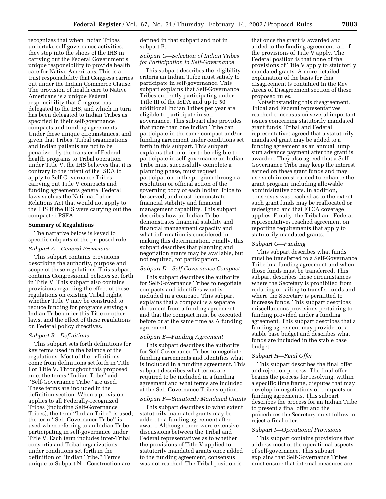recognizes that when Indian Tribes undertake self-governance activities, they step into the shoes of the IHS in carrying out the Federal Government's unique responsibility to provide health care for Native Americans. This is a trust responsibility that Congress carries out under the Indian Commerce Clause. The provision of health care to Native Americans is a unique Federal responsibility that Congress has delegated to the IHS, and which in turn has been delegated to Indian Tribes as specified in their self-governance compacts and funding agreements. Under these unique circumstances, and given that Tribes, Tribal organizations and Indian patients are not to be penalized by the transfer of Federal health programs to Tribal operation under Title V, the IHS believes that it is contrary to the intent of the ISDA to apply to Self-Governance Tribes carrying out Title V compacts and funding agreements general Federal laws such as the National Labor Relations Act that would not apply to the IHS if the IHS were carrying out the compacted PSFA.

## **Summary of Regulations**

The narrative below is keyed to specific subparts of the proposed rule.

## *Subpart A—General Provisions*

This subpart contains provisions describing the authority, purpose and scope of these regulations. This subpart contains Congressional policies set forth in Title V. This subpart also contains provisions regarding the effect of these regulations on existing Tribal rights, whether Title V may be construed to reduce funding for programs serving a Indian Tribe under this Title or other laws, and the effect of these regulations on Federal policy directives.

# *Subpart B—Definitions*

This subpart sets forth definitions for key terms used in the balance of the regulations. Most of the definitions come from definitions set forth in Title I or Title V. Throughout this proposed rule, the terms ''Indian Tribe'' and ''Self-Governance Tribe'' are used. These terms are included in the definition section. When a provision applies to all Federally-recognized Tribes (including Self-Governance Tribes), the term ''Indian Tribe'' is used; the term ''Self-Governance Tribe'' is used when referring to an Indian Tribe participating in self-governance under Title V. Each term includes inter-Tribal consortia and Tribal organizations under conditions set forth in the definition of ''Indian Tribe.'' Terms unique to Subpart N—Construction are

defined in that subpart and not in subpart B.

# *Subpart C—Selection of Indian Tribes for Participation in Self-Governance*

This subpart describes the eligibility criteria an Indian Tribe must satisfy to participate in self-governance. This subpart explains that Self-Governance Tribes currently participating under Title III of the ISDA and up to 50 additional Indian Tribes per year are eligible to participate in selfgovernance. This subpart also provides that more than one Indian Tribe can participate in the same compact and/or funding agreement under conditions set forth in this subpart. This subpart explains that in order to be eligible to participate in self-governance an Indian Tribe must successfully complete a planning phase, must request participation in the program through a resolution or official action of the governing body of each Indian Tribe to be served, and must demonstrate financial stability and financial management capability. This subpart describes how an Indian Tribe demonstrates financial stability and financial management capacity and what information is considered in making this determination. Finally, this subpart describes that planning and negotiation grants may be available, but not required, for participation.

## *Subpart D—Self-Governance Compact*

This subpart describes the authority for Self-Governance Tribes to negotiate compacts and identifies what is included in a compact. This subpart explains that a compact is a separate document from a funding agreement and that the compact must be executed before or at the same time as A funding agreement.

#### *Subpart E—Funding Agreement*

This subpart describes the authority for Self-Governance Tribes to negotiate funding agreements and identifies what is included in a funding agreement. This subpart describes what terms are required to be included in a funding agreement and what terms are included at the Self-Governance Tribe's option.

# *Subpart F—Statutorily Mandated Grants*

This subpart describes to what extent statutorily mandated grants may be added to a funding agreement after award. Although there were extensive discussions between the Tribal and Federal representatives as to whether the provisions of Title V applied to statutorily mandated grants once added to the funding agreement, consensus was not reached. The Tribal position is

that once the grant is awarded and added to the funding agreement, all of the provisions of Title V apply. The Federal position is that none of the provisions of Title V apply to statutorily mandated grants. A more detailed explanation of the basis for this disagreement is contained in the Key Areas of Disagreement section of these proposed rules.

Notwithstanding this disagreement, Tribal and Federal representatives reached consensus on several important issues concerning statutorily mandated grant funds. Tribal and Federal representatives agreed that a statutorily mandated grant may be added to a funding agreement as an annual lump sum advance payment after the grant is awarded. They also agreed that a Self-Governance Tribe may keep the interest earned on these grant funds and may use such interest earned to enhance the grant program, including allowable administrative costs. In addition, consensus was reached as to the extent such grant funds may be reallocated or redesigned and that FTCA coverage applies. Finally, the Tribal and Federal representatives reached agreement on reporting requirements that apply to statutorily mandated grants.

#### *Subpart G—Funding*

This subpart describes what funds must be transferred to a Self-Governance Tribe in a funding agreement and when those funds must be transferred. This subpart describes those circumstances where the Secretary is prohibited from reducing or failing to transfer funds and where the Secretary is permitted to increase funds. This subpart describes miscellaneous provisions pertaining to funding provided under a funding agreement. This subpart describes that a funding agreement may provide for a stable base budget and describes what funds are included in the stable base budget.

## *Subpart H—Final Offer*

This subpart describes the final offer and rejection process. The final offer begins the process for resolving, within a specific time frame, disputes that may develop in negotiations of compacts or funding agreements. This subpart describes the process for an Indian Tribe to present a final offer and the procedures the Secretary must follow to reject a final offer.

#### *Subpart I—Operational Provisions*

This subpart contains provisions that address most of the operational aspects of self-governance. This subpart explains that Self-Governance Tribes must ensure that internal measures are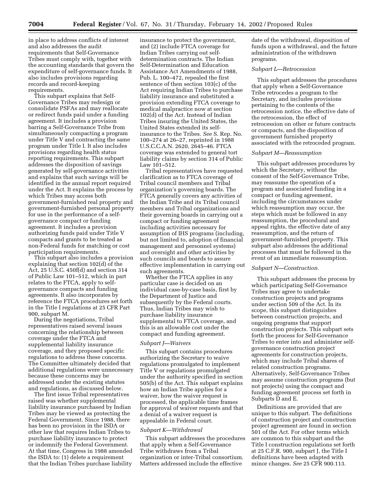in place to address conflicts of interest and also addresses the audit requirements that Self-Governance Tribes must comply with, together with the accounting standards that govern the expenditure of self-governance funds. It also includes provisions regarding records and record-keeping requirements.

This subpart explains that Self-Governance Tribes may redesign or consolidate PSFAs and may reallocate or redirect funds paid under a funding agreement. It includes a provision barring a Self-Governance Tribe from simultaneously compacting a program under Title V and contracting the same program under Title I. It also includes provisions regarding health status reporting requirements. This subpart addresses the disposition of savings generated by self-governance activities and explains that such savings will be identified in the annual report required under the Act. It explains the process by which Tribes may access both government-furnished real property and government-furnished personal property for use in the performance of a selfgovernance compact or funding agreement. It includes a provision authorizing funds paid under Title V compacts and grants to be treated as non-Federal funds for matching or cost participation requirements.

This subpart also includes a provision explaining that section 102(d) of the Act, 25 U.S.C. 450f(d) and section 314 of Public Law 101–512, which in part relates to the FTCA, apply to selfgovernance compacts and funding agreements. It also incorporates by reference the FTCA procedures set forth in the Title I regulations at 25 CFR Part 900, subpart M.

During the negotiations, Tribal representatives raised several issues concerning the relationship between coverage under the FTCA and supplemental liability insurance coverage, and they proposed specific regulations to address these concerns. The Committee ultimately decided that additional regulations were unnecessary because these concerns may be addressed under the existing statutes and regulations, as discussed below.

The first issue Tribal representatives raised was whether supplemental liability insurance purchased by Indian Tribes may be viewed as protecting the Federal Government. Since 1988, there has been no provision in the ISDA or other law that requires Indian Tribes to purchase liability insurance to protect or indemnify the Federal Government. At that time, Congress in 1988 amended the ISDA to: (1) delete a requirement that the Indian Tribes purchase liability

insurance to protect the government, and (2) include FTCA coverage for Indian Tribes carrying out selfdetermination contracts. The Indian Self-Determination and Education Assistance Act Amendments of 1988, Pub. L. 100–472, repealed the first sentence of then section 103(c) of the Act requiring Indian Tribes to purchase liability insurance and substituted a provision extending FTCA coverage to medical malpractice now at section 102(d) of the Act. Instead of Indian Tribes insuring the United States, the United States extended its selfinsurance to the Tribes. *See* S. Rep. No. 100–274 at 26–27, reprinted in 1988 U.S.C.C.A.N. 2620, 2645–46. FTCA coverage was extended to general tort liability claims by section 314 of Public Law 101–512.

Tribal representatives have requested clarification as to FTCA coverage of Tribal council members and Tribal organization's governing boards. The FTCA generally covers any activities of the Indian Tribe and its Tribal council members and Tribal organizations and their governing boards in carrying out a compact or funding agreement including activities necessary for assumption of IHS programs (including, but not limited to, adoption of financial management and personnel systems) and oversight and other activities by such councils and boards to assure effective implementation in carrying out such agreements.

Whether the FTCA applies in any particular case is decided on an individual case-by-case basis, first by the Department of Justice and subsequently by the Federal courts. Thus, Indian Tribes may wish to purchase liability insurance supplemental to FTCA coverage, and this is an allowable cost under the compact and funding agreement.

# *Subpart J—Waivers*

This subpart contains procedures authorizing the Secretary to waive regulations promulgated to implement Title V or regulations promulgated under the authority specified in section 505(b) of the Act. This subpart explains how an Indian Tribe applies for a waiver, how the waiver request is processed, the applicable time frames for approval of waiver requests and that a denial of a waiver request is appealable in Federal court.

#### *Subpart K—Withdrawal*

This subpart addresses the procedures that apply when a Self-Governance Tribe withdraws from a Tribal organization or inter-Tribal consortium. Matters addressed include the effective

date of the withdrawal, disposition of funds upon a withdrawal, and the future administration of the withdrawn programs.

# *Subpart L—Retrocession*

This subpart addresses the procedures that apply when a Self-Governance Tribe retrocedes a program to the Secretary, and includes provisions pertaining to the contents of the retrocession notice, the effective date of the retrocession, the effect of retrocession on other or future contracts or compacts, and the disposition of government furnished property associated with the retroceded program.

# *Subpart M—Reassumption*

This subpart addresses procedures by which the Secretary, without the consent of the Self-Governance Tribe, may reassume the operation of a program and associated funding in a compact or funding agreement, including the circumstances under which reassumption may occur, the steps which must be followed in any reassumption, the procedural and appeal rights, the effective date of any reassumption, and the return of government-furnished property. This subpart also addresses the additional processes that must be followed in the event of an immediate reassumption.

# *Subpart N—Construction.*

This subpart addresses the process by which participating Self-Governance Tribes may agree to undertake construction projects and programs under section 509 of the Act. In its scope, this subpart distinguishes between construction projects, and ongoing programs that support construction projects. This subpart sets forth the process for Self-Governance Tribes to enter into and administer selfgovernance construction project agreements for construction projects, which may include Tribal shares of related construction programs. Alternatively, Self-Governance Tribes may assume construction programs (but not projects) using the compact and funding agreement process set forth in Subparts D and E.

Definitions are provided that are unique to this subpart. The definitions of construction project and construction project agreement are found in section 501 of the Act. For other terms which are common to this subpart and the Title I construction regulations set forth at 25 C.F.R. 900, subpart J, the Title I definitions have been adapted with minor changes. *See* 25 CFR 900.113.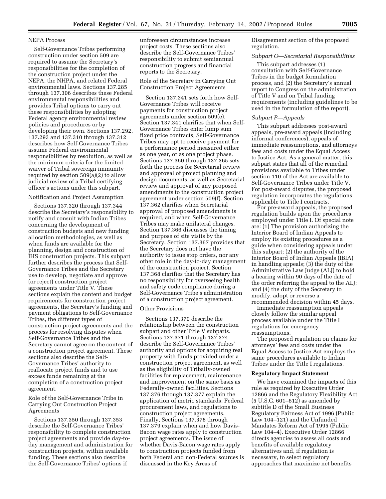# NEPA Process

Self-Governance Tribes performing construction under section 509 are required to assume the Secretary's responsibilities for the completion of the construction project under the NEPA, the NHPA, and related Federal environmental laws. Sections 137.285 through 137.306 describes these Federal environmental responsibilities and provides Tribal options to carry out these responsibilities by adopting Federal agency environmental review policies and procedures or by developing their own. Sections 137.292, 137.293 and 137.310 through 137.312 describes how Self-Governance Tribes assume Federal environmental responsibilities by resolution, as well as the minimum criteria for the limited waiver of Tribal sovereign immunity required by section 509(a)(2) to allow judicial review of a Tribal certifying officer's actions under this subpart.

#### Notification and Project Assumption

Sections 137.320 through 137.344 describe the Secretary's responsibility to notify and consult with Indian Tribes concerning the development of construction budgets and new funding allocation methodologies, as well as when funds are available for the planning, design and construction of IHS construction projects. This subpart further describes the process that Self-Governance Tribes and the Secretary use to develop, negotiate and approve (or reject) construction project agreements under Title V. These sections explain the content and budget requirements for construction project agreements, the Secretary's funding and payment obligations to Self-Governance Tribes, the different types of construction project agreements and the process for resolving disputes when Self-Governance Tribes and the Secretary cannot agree on the content of a construction project agreement. These sections also describe the Self-Governance Tribes' authority to reallocate project funds and to use excess funds remaining at the completion of a construction project agreement.

# Role of the Self-Governance Tribe in Carrying Out Construction Project Agreements

Sections 137.350 through 137.353 describe the Self-Governance Tribes' responsibility to complete construction project agreements and provide day-today management and administration for construction projects, within available funding. These sections also describe the Self-Governance Tribes' options if

unforeseen circumstances increase project costs. These sections also describe the Self-Governance Tribes' responsibility to submit semiannual construction progress and financial reports to the Secretary.

Role of the Secretary in Carrying Out Construction Project Agreements

Section 137.341 sets forth how Self-Governance Tribes will receive payments for construction project agreements under section 509(e). Section 137.341 clarifies that when Self-Governance Tribes enter lump sum fixed price contracts, Self-Governance Tribes may opt to receive payment for a performance period measured either as one year, or as one project phase. Sections 137.360 through 137.365 sets forth the process for Secretarial review and approval of project planning and design documents, as well as Secretarial review and approval of any proposed amendments to the construction project agreement under section 509(f). Section 137.362 clarifies when Secretarial approval of proposed amendments is required, and when Self-Governance Tribes may make unilateral changes. Section 137.366 discusses the timing and purpose of site visits by the Secretary. Section 137.367 provides that the Secretary does not have the authority to issue stop orders, nor any other role in the day-to-day management of the construction project. Section 137.368 clarifies that the Secretary has no responsibility for overseeing health and safety code compliance during a Self-Governance Tribe's administration of a construction project agreement.

# Other Provisions

Sections 137.370 describe the relationship between the construction subpart and other Title V subparts. Sections 137.371 through 137.374 describe the Self-Governance Tribes' authority and options for acquiring real property with funds provided under a construction project agreement, as well as the eligibility of Tribally-owned facilities for replacement, maintenance and improvement on the same basis as Federally-owned facilities. Sections 137.376 through 137.377 explain the application of metric standards, Federal procurement laws, and regulations to construction project agreements. Finally, Sections 137.378 through 137.379 explain when and how Davis-Bacon wage rates apply to construction project agreements. The issue of whether Davis-Bacon wage rates apply to construction projects funded from both Federal and non-Federal sources is discussed in the Key Areas of

Disagreement section of the proposed regulation.

# *Subpart O—Secretarial Responsibilities*

This subpart addresses (1) consultation with Self-Governance Tribes in the budget formulation process, and (2) the Secretary's annual report to Congress on the administration of Title V and on Tribal funding requirements (including guidelines to be used in the formulation of the report).

# *Subpart P—Appeals*

This subpart addresses post-award appeals, pre-award appeals (including informal conferences), appeals of immediate reassumptions, and attorneys fees and costs under the Equal Access to Justice Act. As a general matter, this subpart states that all of the remedial provisions available to Tribes under section 110 of the Act are available to Self-Governance Tribes under Title V. For post-award disputes, the proposed regulation incorporates the regulations applicable to Title I contracts.

For pre-award appeals, the proposed regulation builds upon the procedures employed under Title I. Of special note are: (1) The provision authorizing the Interior Board of Indian Appeals to employ its existing procedures as a guide when considering appeals under this subpart; (2) the authority of the Interior Board of Indian Appeals (IBIA) in handling appeals; (3) the duty of the Administrative Law Judge (ALJ) to hold a hearing within 90 days of the date of the order referring the appeal to the ALJ; and (4) the duty of the Secretary to modify, adopt or reverse a recommended decision within 45 days.

Immediate reassumption appeals closely follow the similar appeal process available under the Title I regulations for emergency reassumptions.

The proposed regulation on claims for attorneys' fees and costs under the Equal Access to Justice Act employs the same procedures available to Indian Tribes under the Title I regulations.

#### **Regulatory Impact Statement**

We have examined the impacts of this rule as required by Executive Order 12866 and the Regulatory Flexibility Act (5 U.S.C. 601–612) as amended by subtitle D of the Small Business Regulatory Fairness Act of 1996 (Public Law 104–121) and the Unfunded Mandates Reform Act of 1995 (Public Law 104–4). Executive Order 12866 directs agencies to assess all costs and benefits of available regulatory alternatives and, if regulation is necessary, to select regulatory approaches that maximize net benefits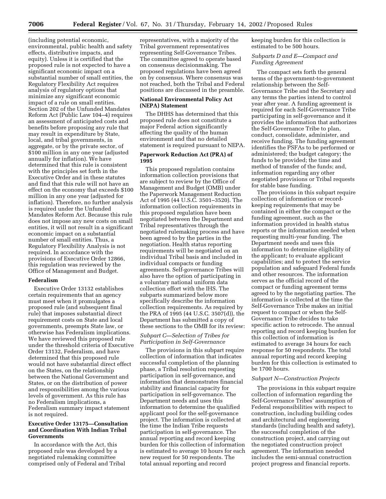(including potential economic, environmental, public health and safety effects, distributive impacts, and equity). Unless it is certified that the proposed rule is not expected to have a significant economic impact on a substantial number of small entities, the Regulatory Flexibility Act requires analysis of regulatory options that minimize any significant economic impact of a rule on small entities. Section 202 of the Unfunded Mandates Reform Act (Public Law 104–4) requires an assessment of anticipated costs and benefits before proposing any rule that may result in expenditure by State, local, and tribal governments, in aggregate, or by the private sector, of \$100 million in any one year (adjusted annually for inflation). We have determined that this rule is consistent with the principles set forth in the Executive Order and in these statutes and find that this rule will not have an effect on the economy that exceeds \$100 million in any one year (adjusted for inflation). Therefore, no further analysis is required under the Unfunded Mandates Reform Act. Because this rule does not impose any new costs on small entities, it will not result in a significant economic impact on a substantial number of small entities. Thus, a Regulatory Flexibility Analysis is not required. In accordance with the provisions of Executive Order 12866, this regulation was reviewed by the Office of Management and Budget.

## **Federalism**

Executive Order 13132 establishes certain requirements that an agency must meet when it promulgates a proposed rule (and subsequent final rule) that imposes substantial direct requirement costs on State and local governments, preempts State law, or otherwise has Federalism implications. We have reviewed this proposed rule under the threshold criteria of Executive Order 13132, Federalism, and have determined that this proposed rule would not have substantial direct effect on the States, on the relationship between the National Government and States, or on the distribution of power and responsibilities among the various levels of government. As this rule has no Federalism implications, a Federalism summary impact statement is not required.

# **Executive Order 13175—Consultation and Coordination With Indian Tribal Governments**

In accordance with the Act, this proposed rule was developed by a negotiated rulemaking committee comprised only of Federal and Tribal representatives, with a majority of the Tribal government representatives representing Self-Governance Tribes. The committee agreed to operate based on consensus decisionmaking. The proposed regulations have been agreed on by consensus. Where consensus was not reached, both the Tribal and Federal positions are discussed in the preamble.

# **National Environmental Policy Act (NEPA) Statement**

The DHHS has determined that this proposed rule does not constitute a major Federal action significantly affecting the quality of the human environment and that no detailed statement is required pursuant to NEPA.

# **Paperwork Reduction Act (PRA) of 1995**

This proposed regulation contains information collection provisions that are subject to review by the Office of Management and Budget (OMB) under the Paperwork Management Reduction Act of 1995 (44 U.S.C. 3501–3520). The information collection requirements in this proposed regulation have been negotiated between the Department and Tribal representatives through the negotiated rulemaking process and have been agreed to by the parties in the negotiation. Health status reporting requirements will be negotiated on an individual Tribal basis and included in individual compacts or funding agreements. Self-governance Tribes will also have the option of participating in a voluntary national uniform data collection effort with the IHS. The subparts summarized below more specifically describe the information collection requirements. As required by the PRA of 1995 (44 U.S.C. 3507(d)), the Department has submitted a copy of these sections to the OMB for its review:

# *Subpart C—Selection of Tribes for Participation in Self-Governance*

The provisions in this subpart require collection of information that indicates successful completion of the planning phase, a Tribal resolution requesting participation in self-governance, and information that demonstrates financial stability and financial capacity for participation in self-governance. The Department needs and uses this information to determine the qualified applicant pool for the self-governance project. The information is collected at the time the Indian Tribe requests participation in self-governance. The annual reporting and record keeping burden for this collection of information is estimated to average 10 hours for each new request for 50 respondents. The total annual reporting and record

keeping burden for this collection is estimated to be 500 hours.

# *Subparts D and E—Compact and Funding Agreement*

The compact sets forth the general terms of the government-to-government relationship between the Self-Governance Tribe and the Secretary and any terms the parties intend to control year after year. A funding agreement is required for each Self-Governance Tribe participating in self-governance and it provides the information that authorizes the Self-Governance Tribe to plan, conduct, consolidate, administer, and receive funding. The funding agreement identifies the PSFAs to be performed or administered; the budget category; the funds to be provided; the time and method of transfer of the funds; and, information regarding any other negotiated provisions or Tribal requests for stable base funding.

The provisions in this subpart require collection of information or recordkeeping requirements that may be contained in either the compact or the funding agreement, such as the information provided in health status reports or the information needed when requesting multi-year funding. The Department needs and uses this information to determine eligibility of the applicant; to evaluate applicant capabilities; and to protect the service population and safeguard Federal funds and other resources. The information serves as the official record of the compact or funding agreement terms agreed to by the negotiating parties. The information is collected at the time the Self-Governance Tribe makes an initial request to compact or when the Self-Governance Tribe decides to take specific action to retrocede. The annual reporting and record keeping burden for this collection of information is estimated to average 34 hours for each response for 50 respondents. The total annual reporting and record keeping burden for this collection is estimated to be 1700 hours.

#### *Subpart N—Construction Projects*

The provisions in this subpart require collection of information regarding the Self-Governance Tribes' assumption of Federal responsibilities with respect to construction, including building codes and architectural and engineering standards (including health and safety), the successful completion of the construction project, and carrying out the negotiated construction project agreement. The information needed includes the semi-annual construction project progress and financial reports.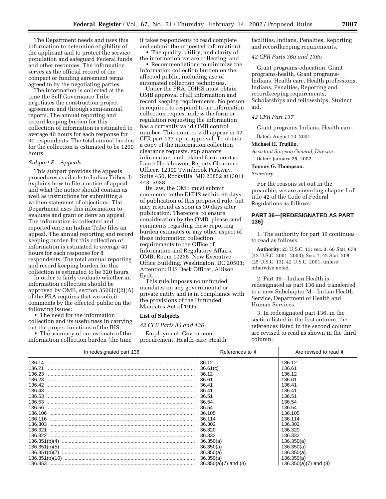The Department needs and uses this information to determine eligibility of the applicant and to protect the service population and safeguard Federal funds and other resources. The information serves as the official record of the compact or funding agreement terms agreed to by the negotiating parties.

The information is collected at the time the Self-Governance Tribe negotiates the construction project agreement and through semi-annual reports. The annual reporting and record keeping burden for this collection of information is estimated to average 40 hours for each response for 30 respondents. The total annual burden for the collection is estimated to be 1200 hours.

## *Subpart P—Appeals*

This subpart provides the appeals procedures available to Indian Tribes. It explains how to file a notice of appeal and what the notice should contain as well as instructions for submitting a written statement of objections. The Department uses this information to evaluate and grant or deny an appeal. The information is collected and reported once an Indian Tribe files an appeal. The annual reporting and record keeping burden for this collection of information is estimated to average 40 hours for each response for 8 respondents. The total annual reporting and record keeping burden for this collection is estimated to be 320 hours.

In order to fairly evaluate whether an information collection should be approved by OMB, section  $3506(c)(2)(A)$ of the PRA requires that we solicit comments by the effected public on the following issues:

• The need for the information collection and its usefulness in carrying out the proper functions of the IHS;

• The accuracy of our estimate of the information collection burden (the time it takes respondents to read complete and submit the requested information);

• The quality, utility, and clarity of the information we are collecting; and • Recommendations to minimize the

information collection burden on the affected public, including use of automated collection techniques.

Under the PRA, DHHS must obtain OMB approval of all information and record keeping requirements. No person is required to respond to an information collection request unless the form or regulation requesting the information has a currently valid OMB control number. This number will appear in 42 CFR part 137 upon approval. To obtain a copy of the information collection clearance requests, explanatory information, and related form, contact Lance Hodahkwen, Reports Clearance Officer, 12300 Twinbrook Parkway, Suite 450, Rockville, MD 20852 at (301) 443–5938.

By law, the OMB must submit comments to the DHHS within 60 days of publication of this proposed rule, but may respond as soon as 30 days after publication. Therefore, to ensure consideration by the OMB, please send comments regarding these reporting burden estimates or any other aspect of these information collection requirements to the Office of Information and Regulatory Affairs, OMB, Room 10235, New Executive Office Building, Washington, DC 20503; Attention: IHS Desk Officer, Allison Eydt.

This rule imposes no unfunded mandates on any governmental or private entity and is in compliance with the provisions of the Unfunded Mandates Act of 1995.

### **List of Subjects**

*42 CFR Parts 36 and 136*

Employment, Government procurement, Health care, Health facilities, Indians, Penalties, Reporting and recordkeeping requirements.

# *42 CFR Parts 36a and 136a*

Grant programs-education, Grant programs-health, Grant programs-Indians, Health care, Health professions, Indians, Penalties, Reporting and recordkeeping requirements, Scholarships and fellowships, Student aid.

# *42 CFR Part 137*

Grant programs-Indians, Health care.

Dated: August 13, 2001.

# **Michael H. Trujillo,**

*Assistant Surgeon General, Director.* Dated: January 25, 2002.

## **Tommy G. Thompson,**

*Secretary.*

For the reasons set out in the preamble, we are amending chapter I of title 42 of the Code of Federal Regulations as follows:

# **PART 36—[REDESIGNATED AS PART 136]**

1. The authority for part 36 continues to read as follows:

**Authority:** 25 U.S.C. 13; sec. 3, 68 Stat. 674 (42 U.S.C. 2001, 2003); Sec. 1, 42 Stat. 208 (25 U.S.C. 13); 42 U.S.C. 2001, unless otherwise noted.

2. Part 36—Indian Health is redesignated as part 136 and transferred to a new Subchapter M—Indian Health Service, Department of Health and Human Services.

3. In redesignated part 136, in the section listed in the first column, the references listed in the second column are revised to read as shown in the third column:

| In redesignated part 136 | References to §          | Are revised to read §   |
|--------------------------|--------------------------|-------------------------|
|                          | 36.12                    | 136.12                  |
|                          | 36.61(c)                 | 136.61                  |
|                          | 36.12                    | 136.12                  |
|                          | 36.61                    | 136.61                  |
|                          | 36.41                    | 136.41                  |
|                          | 36.41                    | 136.41                  |
|                          | 36.51                    | 136.51                  |
|                          | 36.54                    | 136.54                  |
|                          | 36.54                    | 136.54                  |
|                          | 36.105                   | 136.105                 |
|                          | 36.114                   | 136.114                 |
|                          | 36.302                   | 136.302                 |
|                          | 36.320                   | 136.320                 |
|                          | 36.332                   | 136.332                 |
|                          | 36.350(a)                | 136.350(a)              |
|                          | 36.350(a)                | 136.350(a)              |
|                          | 36.350(a)                | 136.350(a)              |
|                          | 36.350(a)                | 136.350(a)              |
|                          | $36.350(a)(7)$ and $(8)$ | $136.350(a)(7)$ and (8) |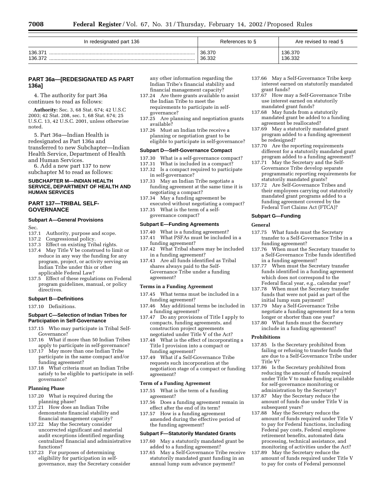| In redesignated part 136 | References to §  | Are revised to read $\S$ |
|--------------------------|------------------|--------------------------|
| 136.371<br>136.372       | 36.370<br>36.332 | 136.370<br>136.332       |

# **PART 36a—[REDESIGNATED AS PART 136a]**

4. The authority for part 36a continues to read as follows:

**Authority:** Sec. 3, 68 Stat. 674; 42 U.S.C 2003; 42 Stat. 208, sec. 1, 68 Stat. 674; 25 U.S.C. 13, 42 U.S.C. 2001, unless otherwise noted.

5. Part 36a—Indian Health is redesignated as Part 136a and transferred to new Subchapter—Indian Health Service, Department of Health and Human Services.

6. Add a new part 137 to new subchapter M to read as follows:

# **SUBCHAPTER M—INDIAN HEALTH SERVICE, DEPARTMENT OF HEALTH AND HUMAN SERVICES**

# **PART 137—TRIBAL SELF-GOVERNANCE**

# **Subpart A—General Provisions**

Sec.<br>137.1

- 137.1 Authority, purpose and scope.<br>137.2 Congressional policy.
- Congressional policy.
- 137.3 Effect on existing Tribal rights.
- 137.4 May Title V be construed to limit or reduce in any way the funding for any program, project, or activity serving an Indian Tribe under this or other applicable Federal Law?
- 137.5 Effect of these regulations on Federal program guidelines, manual, or policy directives.

#### **Subpart B—Definitions**

137.10 Definitions.

#### **Subpart C—Selection of Indian Tribes for Participation in Self-Governance**

- 137.15 Who may participate in Tribal Self-Governance?
- 137.16 What if more than 50 Indian Tribes apply to participate in self-governance?
- 137.17 May more than one Indian Tribe participate in the same compact and/or funding agreement?
- 137.18 What criteria must an Indian Tribe satisfy to be eligible to participate in selfgovernance?

## **Planning Phase**

- 137.20 What is required during the planning phase?
- 137.21 How does an Indian Tribe demonstrate financial stability and financial management capacity?
- 137.22 May the Secretary consider uncorrected significant and material audit exceptions identified regarding centralized financial and administrative functions?
- 137.23 For purposes of determining eligibility for participation in selfgovernance, may the Secretary consider

any other information regarding the Indian Tribe's financial stability and financial management capacity?

- 137.24 Are there grants available to assist the Indian Tribe to meet the requirements to participate in selfgovernance?
- 137.25 Are planning and negotiation grants available?
- 137.26 Must an Indian tribe receive a planning or negotiation grant to be eligible to participate in self-governance?

#### **Subpart D—Self-Governance Compact**

- 137.30 What is a self-governance compact?
- 137.31 What is included in a compact?
- 137.32 Is a compact required to participate in self-governance?
- 137.33 May an Indian Tribe negotiate a funding agreement at the same time it is negotiating a compact?
- 137.34 May a funding agreement be executed without negotiating a compact? 137.35 What is the term of a selfgovernance compact?

# **Subpart E—Funding Agreements**

- 137.40 What is a funding agreement?
- 137.41 What PSFAs must be included in a funding agreement?
- 137.42 What Tribal shares may be included in a funding agreement?
- 137.43 Are all funds identified as Tribal shares always paid to the Self-Governance Tribe under a funding agreement?

# **Terms in a Funding Agreement**

- 137.45 What terms must be included in a funding agreement?
- 137.46 May additional terms be included in a funding agreement?
- 137.47 Do any provisions of Title I apply to compacts, funding agreements, and construction project agreements negotiated under Title V of the Act?
- 137.48 What is the effect of incorporating a Title I provision into a compact or funding agreement?
- 137.49 What if a Self-Governance Tribe requests such incorporation at the negotiation stage of a compact or funding agreement?

#### **Term of a Funding Agreement**

- 137.55 What is the term of a funding agreement?
- 137.56 Does a funding agreement remain in effect after the end of its term?
- 137.57 How is a funding agreement amended during the effective period of the funding agreement?

#### **Subpart F—Statutorily Mandated Grants**

- 137.60 May a statutorily mandated grant be added to a funding agreement?
- 137.65 May a Self-Governance Tribe receive statutorily mandated grant funding in an annual lump sum advance payment?
- 137.66 May a Self-Governance Tribe keep interest earned on statutorily mandated grant funds?
- 137.67 How may a Self-Governance Tribe use interest earned on statutorily mandated grant funds?
- 137.68 May funds from a statutorily mandated grant be added to a funding agreement be reallocated?
- 137.69 May a statutorily mandated grant program added to a funding agreement be redesigned?
- 137.70 Are the reporting requirements different for a statutorily mandated grant program added to a funding agreement?
- 137.71 May the Secretary and the Self-Governance Tribe develop separate programmatic reporting requirements for statutorily mandated grants?
- 137.72 Are Self-Governance Tribes and their employees carrying out statutorily mandated grant programs added to a funding agreement covered by the Federal Tort Claims Act (FTCA)?

#### **Subpart G—Funding**

#### **General**

- 137.75 What funds must the Secretary transfer to a Self-Governance Tribe in a funding agreement?
- 137.76 When must the Secretary transfer to a Self-Governance Tribe funds identified in a funding agreement?
- 137.77 When must the Secretary transfer funds identified in a funding agreement which does not correspond to the Federal fiscal year, e.g., calendar year?
- 137.78 When must the Secretary transfer funds that were not paid as part of the initial lump sum payment?
- 137.79 May a Self-Governance Tribe negotiate a funding agreement for a term longer or shorter than one year?
- 137.80 What funds must the Secretary include in a funding agreement?

# **Prohibitions**

- 137.85 Is the Secretary prohibited from failing or refusing to transfer funds that are due to a Self-Governance Tribe under Title V?
- 137.86 Is the Secretary prohibited from reducing the amount of funds required under Title V to make funding available for self-governance monitoring or administration by the Secretary?
- 137.87 May the Secretary reduce the amount of funds due under Title V in subsequent years?
- 137.88 May the Secretary reduce the amount of funds required under Title V to pay for Federal functions, including Federal pay costs, Federal employee retirement benefits, automated data processing, technical assistance, and monitoring of activities under the Act?
- 137.89 May the Secretary reduce the amount of funds required under Title V to pay for costs of Federal personnel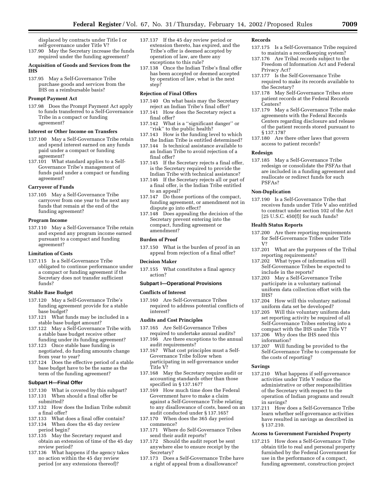displaced by contracts under Title I or self-governance under Title V?

137.90 May the Secretary increase the funds required under the funding agreement?

# **Acquisition of Goods and Services from the IHS**

137.95 May a Self-Governance Tribe purchase goods and services from the IHS on a reimbursable basis?

## **Prompt Payment Act**

137.98 Does the Prompt Payment Act apply to funds transferred to a Self-Governance Tribe in a compact or funding agreement?

## **Interest or Other Income on Transfers**

- 137.100 May a Self-Governance Tribe retain and spend interest earned on any funds paid under a compact or funding agreement?
- 137.101 What standard applies to a Self-Governance Tribe's management of funds paid under a compact or funding agreement?

## **Carryover of Funds**

137.105 May a Self-Governance Tribe carryover from one year to the next any funds that remain at the end of the funding agreement?

#### **Program Income**

137.110 May a Self-Governance Tribe retain and expend any program income earned pursuant to a compact and funding agreement?

#### **Limitation of Costs**

137.115 Is a Self-Governance Tribe obligated to continue performance under a compact or funding agreement if the Secretary does not transfer sufficient funds?

#### **Stable Base Budget**

- 137.120 May a Self-Governance Tribe's funding agreement provide for a stable base budget?
- 137.121 What funds may be included in a stable base budget amount?
- 137.122 May a Self-Governance Tribe with a stable base budget receive other funding under its funding agreement?
- 137.123 Once stable base funding is negotiated, do funding amounts change from year to year?
- 137.124 Does the effective period of a stable base budget have to be the same as the term of the funding agreement?

#### **Subpart H—Final Offer**

- 137.130 What is covered by this subpart?
- 137.131 When should a final offer be submitted?
- 137.132 How does the Indian Tribe submit a final offer?
- 137.133 What does a final offer contain?
- 137.134 When does the 45 day review period begin?
- 137.135 May the Secretary request and obtain an extension of time of the 45 day review period?
- 137.136 What happens if the agency takes no action within the 45 day review period (or any extensions thereof)?
- 137.137 If the 45 day review period or extension thereto, has expired, and the Tribe's offer is deemed accepted by operation of law, are there any exceptions to this rule?
- 137.138 Once the Indian Tribe's final offer has been accepted or deemed accepted by operation of law, what is the next step?

## **Rejection of Final Offers**

- 137.140 On what basis may the Secretary reject an Indian Tribe's final offer?
- 137.141 How does the Secretary reject a final offer?
- 137.142 What is a ''significant danger'' or "risk" to the public health?
- 137.143 How is the funding level to which the Indian Tribe is entitled determined?
- 137.144 Is technical assistance available to an Indian Tribe to avoid rejection of a final offer?
- 137.145 If the Secretary rejects a final offer, is the Secretary required to provide the Indian Tribe with technical assistance?
- 137.146 If the Secretary rejects all or part of a final offer, is the Indian Tribe entitled to an appeal?
- 137.147 Do those portions of the compact, funding agreement, or amendment not in dispute go into effect?
- 137.148 Does appealing the decision of the Secretary prevent entering into the compact, funding agreement or amendment?

#### **Burden of Proof**

137.150 What is the burden of proof in an appeal from rejection of a final offer?

#### **Decision Maker**

137.155 What constitutes a final agency action?

#### **Subpart I—Operational Provisions**

#### **Conflicts of Interest**

137.160 Are Self-Governance Tribes required to address potential conflicts of interest?

#### **Audits and Cost Principles**

- 137.165 Are Self-Governance Tribes required to undertake annual audits?
- 137.166 Are there exceptions to the annual audit requirements?
- 137.167 What cost principles must a Self-Governance Tribe follow when participating in self-governance under Title V?
- 137.168 May the Secretary require audit or accounting standards other than those specified in § 137.167?
- 137.169 How much time does the Federal Government have to make a claim against a Self-Governance Tribe relating to any disallowance of costs, based on an audit conducted under § 137.165?
- 137.170 When does the 365 day period commence?
- 137.171 Where do Self-Governance Tribes send their audit reports?
- 137.172 Should the audit report be sent anywhere else to ensure receipt by the Secretary?
- 137.173 Does a Self-Governance Tribe have a right of appeal from a disallowance?

# **Records**

- 137.175 Is a Self-Governance Tribe required to maintain a recordkeeping system?
- 137.176 Are Tribal records subject to the Freedom of Information Act and Federal Privacy Act?
- 137.177 Is the Self-Governance Tribe required to make its records available to the Secretary?
- 137.178 May Self-Governance Tribes store patient records at the Federal Records Centers?
- 137.179 May a Self-Governance Tribe make agreements with the Federal Records Centers regarding disclosure and release of the patient records stored pursuant to § 137.178?
- 137.180 Are there other laws that govern access to patient records?

#### **Redesign**

137.185 May a Self-Governance Tribe redesign or consolidate the PSFAs that are included in a funding agreement and reallocate or redirect funds for such PSFAs?

# **Non-Duplication**

137.190 Is a Self-Governance Tribe that receives funds under Title V also entitled to contract under section 102 of the Act [25 U.S.C. 450(f)] for such funds?

#### **Health Status Reports**

- 137.200 Are there reporting requirements for Self-Governance Tribes under Title V?
- 137.201 What are the purposes of the Tribal reporting requirements?
- 137.202 What types of information will Self-Governance Tribes be expected to include in the reports?
- 137.203 May a Self-Governance Tribe participate in a voluntary national uniform data collection effort with the IHS?
- 137.204 How will this voluntary national uniform data set be developed?
- 137.205 Will this voluntary uniform data set reporting activity be required of all Self-Governance Tribes entering into a compact with the IHS under Title V?
- 137.206 Why does the IHS need this information?
- 137.207 Will funding be provided to the Self-Governance Tribe to compensate for the costs of reporting?

# **Savings**

- 137.210 What happens if self-governance activities under Title V reduce the administrative or other responsibilities of the Secretary with respect to the operation of Indian programs and result in savings?
- 137.211 How does a Self-Governance Tribe learn whether self-governance activities have resulted in savings as described in § 137.210.

#### **Access to Government Furnished Property**

137.215 How does a Self-Governance Tribe obtain title to real and personal property furnished by the Federal Government for use in the performance of a compact, funding agreement, construction project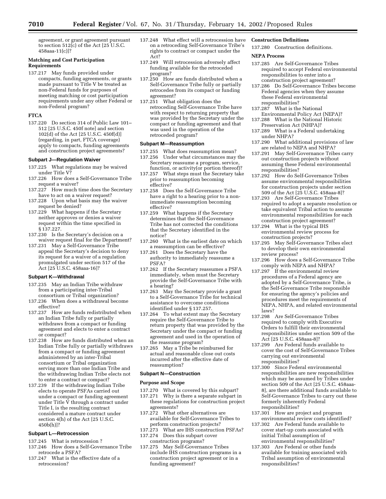agreement, or grant agreement pursuant to section 512(c) of the Act [25 U.S.C. 458aaa-11(c)]?

# **Matching and Cost Participation Requirements**

137.217 May funds provided under compacts, funding agreements, or grants made pursuant to Title V be treated as non-Federal funds for purposes of meeting matching or cost participation requirements under any other Federal or non-Federal program?

# **FTCA**

137.220 Do section 314 of Public Law 101– 512 [25 U.S.C. 450f note] and section 102(d) of the Act [25 U.S.C. 450f(d)] (regarding, in part, FTCA coverage) apply to compacts, funding agreements and construction project agreements?

# **Subpart J—Regulation Waiver**

- 137.225 What regulations may be waived under Title V?
- 137.226 How does a Self-Governance Tribe request a waiver?
- 137.227 How much time does the Secretary have to act on a waiver request?
- 137.228 Upon what basis may the waiver request be denied?
- 137.229 What happens if the Secretary neither approves or denies a waiver request within the time specified in § 137.227.
- 137.230 Is the Secretary's decision on a waiver request final for the Department?
- 137.231 May a Self-Governance Tribe appeal the Secretary's decision to deny its request for a waiver of a regulation promulgated under section 517 of the Act [25 U.S.C. 458aaa-16]?

# **Subpart K—Withdrawal**

- 137.235 May an Indian Tribe withdraw from a participating inter-Tribal consortium or Tribal organization?
- 137.236 When does a withdrawal become effective?
- 137.237 How are funds redistributed when an Indian Tribe fully or partially withdraws from a compact or funding agreement and elects to enter a contract or compact?
- 137.238 How are funds distributed when an Indian Tribe fully or partially withdraws from a compact or funding agreement administered by an inter-Tribal consortium or Tribal organization serving more than one Indian Tribe and the withdrawing Indian Tribe elects not to enter a contract or compact?
- 137.239 If the withdrawing Indian Tribe elects to operate PSFAs carried out under a compact or funding agreement under Title  $\tilde{V}$  through a contract under Title I, is the resulting contract considered a mature contract under section 4(h) of the Act [25 U.S.C. 450b(h)]?

# **Subpart L—Retrocession**

- 137.245 What is retrocession ?
- 137.246 How does a Self-Governance Tribe retrocede a PSFA?
- 137.247 What is the effective date of a retrocession?
- 137.248 What effect will a retrocession have on a retroceding Self-Governance Tribe's rights to contract or compact under the Act?
- 137.249 Will retrocession adversely affect funding available for the retroceded program?
- 137.250 How are funds distributed when a Self-Governance Tribe fully or partially retrocedes from its compact or funding agreement?
- 137.251 What obligation does the retroceding Self-Governance Tribe have with respect to returning property that was provided by the Secretary under the compact or funding agreement and that was used in the operation of the retroceded program?

#### **Subpart M—Reassumption**

- 137.255 What does reassumption mean? 137.256 Under what circumstances may the
- Secretary reassume a program, service, function, or activity(or portion thereof)?
- 137.257 What steps must the Secretary take prior to reassumption becoming effective?
- 137.258 Does the Self-Governance Tribe have a right to a hearing prior to a nonimmediate reassumption becoming effective?
- 137.259 What happens if the Secretary determines that the Self-Governance Tribe has not corrected the conditions that the Secretary identified in the notice?
- 137.260 What is the earliest date on which a reassumption can be effective?
- 137.261 Does the Secretary have the authority to immediately reassume a PSFA?
- 137.262 If the Secretary reassumes a PSFA immediately, when must the Secretary provide the Self-Governance Tribe with a hearing?
- 137.263 May the Secretary provide a grant to a Self-Governance Tribe for technical assistance to overcome conditions identified under § 137.257.
- 137.264 To what extent may the Secretary require the Self-Governance Tribe to return property that was provided by the Secretary under the compact or funding agreement and used in the operation of the reassume program?
- 137.265 May a Tribe be reimbursed for actual and reasonable close out costs incurred after the effective date of reassumption?

# **Subpart N—Construction**

# **Purpose and Scope**

- 137.270 What is covered by this subpart? 137.271 Why is there a separate subpart in these regulations for construction project agreements?
- 137.272 What other alternatives are available for Self-Governance Tribes to perform construction projects?
- 137.273 What are IHS construction PSFAs?<br>137.274 Does this subpart cover
- Does this subpart cover construction programs?
- 137.275 May Self-Governance Tribes include IHS construction programs in a construction project agreement or in a funding agreement?

# **Construction Definitions**

137.280 Construction definitions.

## **NEPA Process**

- 137.285 Are Self-Governance Tribes required to accept Federal environmental responsibilities to enter into a construction project agreement?
- 137.286 Do Self-Governance Tribes become Federal agencies when they assume these Federal environmental responsibilities?
- 137.287 What is the National Environmental Policy Act (NEPA)?
- 137.288 What is the National Historic Preservation Act (NHPA)?
- 137.289 What is a Federal undertaking under NHPA?
- 137.290 What additional provisions of law are related to NEPA and NHPA?
- 137.291 May Self-Governance Tribes carry out construction projects without assuming these Federal environmental responsibilities?
- 137.292 How do Self-Governance Tribes assume environmental responsibilities for construction projects under section 509 of the Act [25 U.S.C. 458aaa-8]?
- 137.293 Are Self-Governance Tribes required to adopt a separate resolution or take equivalent Tribal action to assume environmental responsibilities for each construction project agreement?
- 137.294 What is the typical IHS environmental review process for construction projects?
- 137.295 May Self-Governance Tribes elect to develop their own environmental review process?
- 137.296 How does a Self-Governance Tribe comply with NEPA and NHPA?
- 137.297 If the environmental review procedures of a Federal agency are adopted by a Self-Governance Tribe, is the Self-Governance Tribe responsible for ensuring the agency's policies and procedures meet the requirements of NEPA, NHPA, and related environmental laws?
- 137.298 Are Self-Governance Tribes required to comply with Executive Orders to fulfill their environmental responsibilities under section 509 of the Act [25 U.S.C. 458aaa-8]?
- 137.299 Are Federal funds available to cover the cost of Self-Governance Tribes carrying out environmental responsibilities?
- 137.300 Since Federal environmental responsibilities are new responsibilities which may be assumed by Tribes under section 509 of the Act [25 U.S.C. 458aaa-8], are there additional funds available to Self-Governance Tribes to carry out these formerly inherently Federal responsibilities?
- 137.301 How are project and program environmental review costs identified?
- 137.302 Are Federal funds available to cover start-up costs associated with initial Tribal assumption of environmental responsibilities?
- 137.303 Are Federal or other funds available for training associated with Tribal assumption of environmental responsibilities?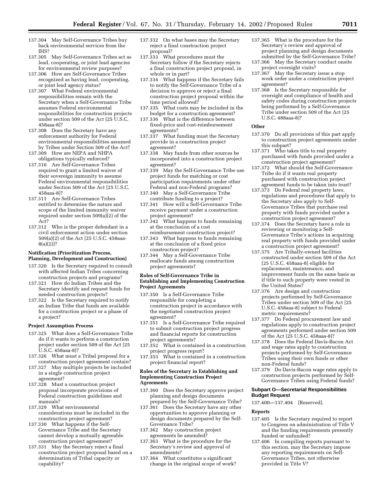- 137.304 May Self-Governance Tribes buy back environmental services from the IHS?
- 137.305 May Self-Governance Tribes act as lead, cooperating, or joint lead agencies for environmental review purposes?
- 137.306 How are Self-Governance Tribes recognized as having lead, cooperating, or joint lead agency status?
- 137.307 What Federal environmental responsibilities remain with the Secretary when a Self-Governance Tribe assumes Federal environmental responsibilities for construction projects under section 509 of the Act [25 U.S.C. 458aaa-8]?
- 137.308 Does the Secretary have any enforcement authority for Federal environmental responsibilities assumed by Tribes under Section 509 of the Act?
- 137.309 How are NEPA and NHPA obligations typically enforced?
- 137.310 Are Self-Governance Tribes required to grant a limited waiver of their sovereign immunity to assume Federal environmental responsibilities under Section 509 of the Act [25 U.S.C. 458aaa-8]?
- 137.311 Are Self-Governance Tribes entitled to determine the nature and scope of the limited immunity waiver required under section 509(a)(2) of the Act?
- 137.312 Who is the proper defendant in a civil enforcement action under section 509(a)(2) of the Act [25 U.S.C. 458aaa-8(a)(2)]?

## **Notification (Prioritization Process, Planning, Development and Construction)**

- 137.320 Is the Secretary required to consult with affected Indian Tribes concerning construction projects and programs?
- 137.321 How do Indian Tribes and the Secretary identify and request funds for needed construction projects?
- 137.322 Is the Secretary required to notify an Indian Tribe that funds are available for a construction project or a phase of a project?

# **Project Assumption Process**

- 137.325 What does a Self-Governance Tribe do if it wants to perform a construction project under section 509 of the Act [25 U.S.C. 458aaa-8]?
- 137.326 What must a Tribal proposal for a construction project agreement contain?
- 137.327 May multiple projects be included in a single construction project agreement?
- 137.328 Must a construction project proposal incorporate provisions of Federal construction guidelines and manuals?
- 137.329 What environmental considerations must be included in the construction project agreement?
- 137.330 What happens if the Self-Governance Tribe and the Secretary cannot develop a mutually agreeable construction project agreement?
- 137.331 May the Secretary reject a final construction project proposal based on a determination of Tribal capacity or capability?
- 137.332 On what bases may the Secretary reject a final construction project proposal?
- 137.333 What procedures must the Secretary follow if the Secretary rejects a final construction project proposal, in whole or in part?
- 137.334 What happens if the Secretary fails to notify the Self-Governance Tribe of a decision to approve or reject a final construction project proposal within the time period allowed?
- 137.335 What costs may be included in the budget for a construction agreement?
- 137.336 What is the difference between fixed-price and cost-reimbursement agreements?
- 137.337 What funding must the Secretary provide in a construction project agreement?
- 137.338 May funds from other sources be incorporated into a construction project agreement?
- 137.339 May the Self-Governance Tribe use project funds for matching or cost participation requirements under other Federal and non-Federal programs?
- 137.340 May a Self-Governance Tribe contribute funding to a project?
- 137.341 How will a Self-Governance Tribe receive payment under a construction project agreement?
- 137.342 What happens to funds remaining at the conclusion of a cost reimbursement construction project?
- 137.343 What happens to funds remaining at the conclusion of a fixed price construction project?
- 137.344 May a Self-Governance Tribe reallocate funds among construction project agreements?

# **Roles of Self-Governance Tribe in Establishing and Implementing Construction Project Agreements**

- 137.350 Is a Self-Governance Tribe responsible for completing a construction project in accordance with the negotiated construction project agreement?
- 137.351 Is a Self-Governance Tribe required to submit construction project progress and financial reports for construction project agreements?
- 137.352 What is contained in a construction project progress report?
- 137.353 What is contained in a construction project financial report?

## **Roles of the Secretary in Establishing and Implementing Construction Project Agreements**

- 137.360 Does the Secretary approve project planning and design documents prepared by the Self-Governance Tribe?
- 137.361 Does the Secretary have any other opportunities to approve planning or design documents prepared by the Self-Governance Tribe?
- 137.362 May construction project agreements be amended?
- 137.363 What is the procedure for the Secretary's review and approval of amendments?
- 137.364 What constitutes a significant change in the original scope of work?
- 137.365 What is the procedure for the Secretary's review and approval of project planning and design documents submitted by the Self-Governance Tribe?
- 137.366 May the Secretary conduct onsite project oversight visits?
- 137.367 May the Secretary issue a stop work order under a construction project agreement?
- 137.368 Is the Secretary responsible for oversight and compliance of health and safety codes during construction projects being performed by a Self-Governance Tribe under section 509 of the Act [25 U.S.C. 488aaa-8]?

#### **Other**

- 137.370 Do all provisions of this part apply to construction project agreements under this subpart?
- 137.371 Who takes title to real property purchased with funds provided under a construction project agreement?
- 137.372 What should the Self-Governance Tribe do if it wants real property purchased with construction project agreement funds to be taken into trust?
- 137.373 Do Federal real property laws, regulations and procedures that apply to the Secretary also apply to Self-Governance Tribes that purchase real property with funds provided under a construction project agreement?
- 137.374 Does the Secretary have a role in reviewing or monitoring a Self-Governance Tribe's actions in acquiring real property with funds provided under a construction project agreement?
- 137.375 Are Tribally-owned facilities constructed under section 509 of the Act [25 U.S.C. 458aaa-8] eligible for replacement, maintenance, and improvement funds on the same basis as if title to such property were vested in the United States?
- 137.376 Are design and construction projects performed by Self-Governance Tribes under section 509 of the Act [25 U.S.C. 458aaa-8] subject to Federal metric requirements?
- 137.377 Do Federal procurement law and regulations apply to construction project agreements performed under section 509 of the Act [25 U.S.C. 458aaa-8]?
- 137.378 Does the Federal Davis-Bacon Act and wage rates apply to construction projects performed by Self-Governance Tribes using their own funds or other non-Federal funds?
- 137.379 Do Davis-Bacon wage rates apply to construction projects performed by Self-Governance Tribes using Federal funds?

## **Subpart O—Secretarial Responsibilities Budget Request**

137.400—137.404 [Reserved].

# **Reports**

- 137.405 Is the Secretary required to report to Congress on administration of Title V and the funding requirements presently funded or unfunded?
- 137.406 In compiling reports pursuant to this section, may the Secretary impose any reporting requirements on Self-Governance Tribes, not otherwise provided in Title V?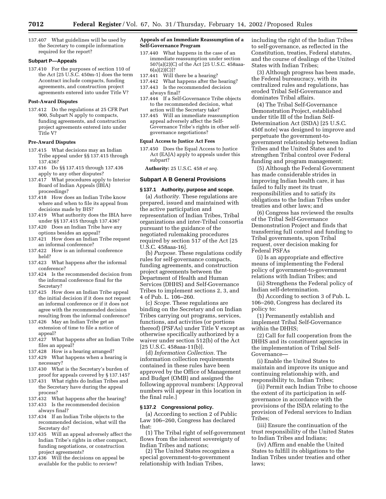137.407 What guidelines will be used by the Secretary to compile information required for the report?

# **Subpart P—Appeals**

137.410 For the purposes of section 110 of the Act [25 U.S.C. 450m-1] does the term Acontract include compacts, funding agreements, and construction project agreements entered into under Title V?

#### **Post-Award Disputes**

137.412 Do the regulations at 25 CFR Part 900, Subpart N apply to compacts, funding agreements, and construction project agreements entered into under Title V?

#### **Pre-Award Disputes**

- 137.415 What decisions may an Indian Tribe appeal under §§ 137.415 through 137.436?
- 137.416 Do §§ 137.415 through 137.436 apply to any other disputes?
- 137.417 What procedures apply to Interior Board of Indian Appeals (IBIA) proceedings?
- 137.418 How does an Indian Tribe know where and when to file its appeal from decisions made by IHS?
- 137.419 What authority does the IBIA have under §§ 137.415 through 137.436?
- 137.420 Does an Indian Tribe have any options besides an appeal?
- 137.421 How does an Indian Tribe request an informal conference?
- 137.422 How is an informal conference held?
- 137.423 What happens after the informal conference?
- 137.424 Is the recommended decision from the informal conference final for the Secretary?
- 137.425 How does an Indian Tribe appeal the initial decision if it does not request an informal conference or if it does not agree with the recommended decision resulting from the informal conference?
- 137.426 May an Indian Tribe get an extension of time to file a notice of appeal?
- 137.427 What happens after an Indian Tribe files an appeal?
- 137.428 How is a hearing arranged?
- 137.429 What happens when a hearing is necessary?
- 137.430 What is the Secretary's burden of proof for appeals covered by § 137.145?
- 137.431 What rights do Indian Tribes and the Secretary have during the appeal process?
- 137.432 What happens after the hearing?
- 137.433 Is the recommended decision always final?
- 137.434 If an Indian Tribe objects to the recommended decision, what will the Secretary do?
- 137.435 Will an appeal adversely affect the Indian Tribe's rights in other compact, funding negotiations, or construction project agreements?
- 137.436 Will the decisions on appeal be available for the public to review?

## **Appeals of an Immediate Reassumption of a Self-Governance Program**

- 137.440 What happens in the case of an immediate reassumption under section 507(a)(2)(C) of the Act [25 U.S.C. 458aaa-6(a)(2)(C)]?
- 137.441 Will there be a hearing?
- 137.442 What happens after the hearing? 137.443 Is the recommended decision
- always final? 137.444 If a Self-Governance Tribe objects to the recommended decision, what action will the Secretary take?
- 137.445 Will an immediate reassumption appeal adversely affect the Self-Governance Tribe's rights in other selfgovernance negotiations?

# **Equal Access to Justice Act Fees**

137.450 Does the Equal Access to Justice Act (EAJA) apply to appeals under this subpart?

**Authority:** 25 U.S.C. 458 *et seq.*

# **Subpart A B General Provisions**

## **§ 137.1 Authority, purpose and scope.**

(a) *Authority.* These regulations are prepared, issued and maintained with the active participation and representation of Indian Tribes, Tribal organizations and inter-Tribal consortia pursuant to the guidance of the negotiated rulemaking procedures required by section 517 of the Act [25 U.S.C. 458aaa-16].

(b) *Purpose.* These regulations codify rules for self-governance compacts, funding agreements, and construction project agreements between the Department of Health and Human Services (DHHS) and Self-Governance Tribes to implement sections 2, 3, and 4 of Pub. L. 106–260.

(c) *Scope.* These regulations are binding on the Secretary and on Indian Tribes carrying out programs, services, functions, and activities (or portions thereof) (PSFAs) under Title V except as otherwise specifically authorized by a waiver under section 512(b) of the Act [25 U.S.C. 458aaa-11(b)].

(d) *Information Collection.* The information collection requirements contained in these rules have been approved by the Office of Management and Budget (OMB) and assigned the following approval numbers: [Approval numbers will appear in this location in the final rule.]

#### **§ 137.2 Congressional policy.**

(a) According to section 2 of Public Law 106–260, Congress has declared that:

(1) The Tribal right of self-government flows from the inherent sovereignty of Indian Tribes and nations;

(2) The United States recognizes a special government-to-government relationship with Indian Tribes,

including the right of the Indian Tribes to self-governance, as reflected in the Constitution, treaties, Federal statutes, and the course of dealings of the United States with Indian Tribes;

(3) Although progress has been made, the Federal bureaucracy, with its centralized rules and regulations, has eroded Tribal Self-Governance and dominates Tribal affairs.

(4) The Tribal Self-Governance Demonstration Project, established under title III of the Indian Self-Determination Act (ISDA) [25 U.S.C. 450f note] was designed to improve and perpetuate the government-togovernment relationship between Indian Tribes and the United States and to strengthen Tribal control over Federal funding and program management;

(5) Although the Federal Government has made considerable strides in improving Indian health care, it has failed to fully meet its trust responsibilities and to satisfy its obligations to the Indian Tribes under treaties and other laws; and

(6) Congress has reviewed the results of the Tribal Self-Governance Demonstration Project and finds that transferring full control and funding to Tribal governments, upon Tribal request, over decision making for Federal PSFAs

(i) Is an appropriate and effective means of implementing the Federal policy of government-to-government relations with Indian Tribes; and

(ii) Strengthens the Federal policy of Indian self-determination.

(b) According to section 3 of Pub. L. 106–260, Congress has declared its policy to:

(1) Permanently establish and implement Tribal Self-Governance within the DHHS;

(2) Call for full cooperation from the DHHS and its constituent agencies in the implementation of Tribal Self-Governance—

(i) Enable the United States to maintain and improve its unique and continuing relationship with, and responsibility to, Indian Tribes;

(ii) Permit each Indian Tribe to choose the extent of its participation in selfgovernance in accordance with the provisions of the ISDA relating to the provision of Federal services to Indian Tribes;

(iii) Ensure the continuation of the trust responsibility of the United States to Indian Tribes and Indians;

(iv) Affirm and enable the United States to fulfill its obligations to the Indian Tribes under treaties and other laws;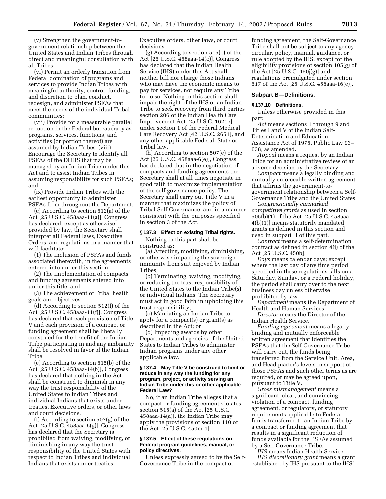(v) Strengthen the government-togovernment relationship between the United States and Indian Tribes through direct and meaningful consultation with all Tribes;

(vi) Permit an orderly transition from Federal domination of programs and services to provide Indian Tribes with meaningful authority, control, funding, and discretion to plan, conduct, redesign, and administer PSFAs that meet the needs of the individual Tribal communities;

(vii) Provide for a measurable parallel reduction in the Federal bureaucracy as programs, services, functions, and activities (or portion thereof) are assumed by Indian Tribes; (viii) Encourage the Secretary to identify all PSFAs of the DHHS that may be managed by an Indian Tribe under this Act and to assist Indian Tribes in assuming responsibility for such PSFAs; and

(ix) Provide Indian Tribes with the earliest opportunity to administer PSFAs from throughout the Department.

(c) According to section 512(a) of the Act [25 U.S.C. 458aaa-11(a)], Congress has declared, except as otherwise provided by law, the Secretary shall interpret all Federal laws, Executive Orders, and regulations in a manner that will facilitate:

(1) The inclusion of PSFAs and funds associated therewith, in the agreements entered into under this section;

(2) The implementation of compacts and funding agreements entered into under this title; and

(3) The achievement of Tribal health goals and objectives.

(d) According to section 512(f) of the Act [25 U.S.C. 458aaa-11(f)], Congress has declared that each provision of Title V and each provision of a compact or funding agreement shall be liberally construed for the benefit of the Indian Tribe participating in and any ambiguity shall be resolved in favor of the Indian Tribe.

(e) According to section 515(b) of the Act [25 U.S.C. 458aaa-14(b)], Congress has declared that nothing in the Act shall be construed to diminish in any way the trust responsibility of the United States to Indian Tribes and individual Indians that exists under treaties, Executive orders, or other laws and court decisions.

(f) According to section 507(g) of the Act [25 U.S.C. 458aaa-6(g)], Congress has declared that the Secretary is prohibited from waiving, modifying, or diminishing in any way the trust responsibility of the United States with respect to Indian Tribes and individual Indians that exists under treaties,

Executive orders, other laws, or court decisions.

(g) According to section 515(c) of the Act [25 U.S.C. 458aaa-14(c)], Congress has declared that the Indian Health Service (IHS) under this Act shall neither bill nor charge those Indians who may have the economic means to pay for services, nor require any Tribe to do so. Nothing in this section shall impair the right of the IHS or an Indian Tribe to seek recovery from third parties section 206 of the Indian Health Care Improvement Act [25 U.S.C. 1621e], under section 1 of the Federal Medical Care Recovery Act [42 U.S.C. 2651], and any other applicable Federal, State or Tribal law.

(h) According to section 507(e) of the Act [25 U.S.C. 458aaa-6(e)], Congress has declared that in the negotiation of compacts and funding agreements the Secretary shall at all times negotiate in good faith to maximize implementation of the self-governance policy. The Secretary shall carry out Title V in a manner that maximizes the policy of Tribal Self-Governance, and in a manner consistent with the purposes specified in section 3 of the Act.

#### **§ 137.3 Effect on existing Tribal rights.**

Nothing in this part shall be construed as:

(a) Affecting, modifying, diminishing, or otherwise impairing the sovereign immunity from suit enjoyed by Indian Tribes;

(b) Terminating, waiving, modifying, or reducing the trust responsibility of the United States to the Indian Tribe(s) or individual Indians. The Secretary must act in good faith in upholding this trust responsibility;

(c) Mandating an Indian Tribe to apply for a compact(s) or grant(s) as described in the Act; or

(d) Impeding awards by other Departments and agencies of the United States to Indian Tribes to administer Indian programs under any other applicable law.

## **§ 137.4 May Title V be construed to limit or reduce in any way the funding for any program, project, or activity serving an Indian Tribe under this or other applicable Federal Law?**

No, if an Indian Tribe alleges that a compact or funding agreement violates section 515(a) of the Act [25 U.S.C. 458aaa-14(a)], the Indian Tribe may apply the provisions of section 110 of the Act [25 U.S.C. 450m-1].

## **§ 137.5 Effect of these regulations on Federal program guidelines, manual, or policy directives.**

Unless expressly agreed to by the Self-Governance Tribe in the compact or

funding agreement, the Self-Governance Tribe shall not be subject to any agency circular, policy, manual, guidance, or rule adopted by the IHS, except for the eligibility provisions of section 105(g) of the Act [25 U.S.C. 450j(g)] and regulations promulgated under section 517 of the Act [25 U.S.C. 458aaa-16(e)].

# **Subpart B—Definitions.**

#### **§ 137.10 Definitions.**

Unless otherwise provided in this part:

*Act* means sections 1 through 9 and Titles I and V of the Indian Self-Determination and Education Assistance Act of 1975, Public Law 93– 638, as amended.

*Appeal* means a request by an Indian Tribe for an administrative review of an adverse decision by the Secretary.

*Compact* means a legally binding and mutually enforceable written agreement that affirms the government-togovernment relationship between a Self-Governance Tribe and the United States.

*Congressionally earmarked competitive grants* as used in section 505(b)(1) of the Act [25 U.S.C. 458aaa-4(b)(1)] means statutorily mandated grants as defined in this section and used in subpart H of this part.

*Contract* means a self-determination contract as defined in section 4(j) of the Act [25 U.S.C. 450b].

*Days* means calendar days; except where the last day of any time period specified in these regulations falls on a Saturday, Sunday, or a Federal holiday, the period shall carry over to the next business day unless otherwise prohibited by law.

*Department* means the Department of Health and Human Services.

*Director* means the Director of the Indian Health Service.

*Funding agreement* means a legally binding and mutually enforceable written agreement that identifies the PSFAs that the Self-Governance Tribe will carry out, the funds being transferred from the Service Unit, Area, and Headquarter's levels in support of those PSFAs and such other terms as are required, or may be agreed upon, pursuant to Title V.

*Gross mismanagement* means a significant, clear, and convincing violation of a compact, funding agreement, or regulatory, or statutory requirements applicable to Federal funds transferred to an Indian Tribe by a compact or funding agreement that results in a significant reduction of funds available for the PSFAs assumed by a Self-Governance Tribe.

*IHS* means Indian Health Service. *IHS discretionary grant* means a grant established by IHS pursuant to the IHS'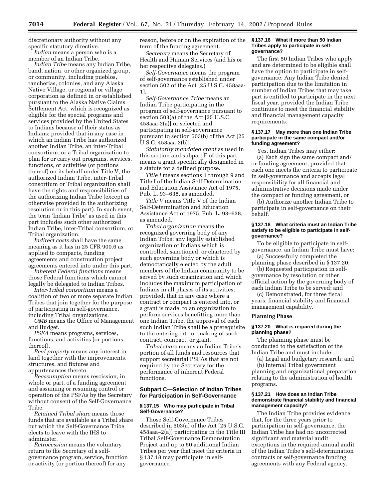discretionary authority without any specific statutory directive. *Indian* means a person who is a

member of an Indian Tribe.

*Indian Tribe* means any Indian Tribe, band, nation, or other organized group, or community, including pueblos, rancherias, colonies, and any Alaska Native Village, or regional or village corporation as defined in or established pursuant to the Alaska Native Claims Settlement Act, which is recognized as eligible for the special programs and services provided by the United States to Indians because of their status as Indians; provided that in any case in which an Indian Tribe has authorized another Indian Tribe, an inter-Tribal consortium, or a Tribal organization to plan for or carry out programs, services, functions, or activities (or portions thereof) on its behalf under Title V, the authorized Indian Tribe, inter-Tribal consortium or Tribal organization shall have the rights and responsibilities of the authorizing Indian Tribe (except as otherwise provided in the authorizing resolution or in this part). In such event, the term 'Indian Tribe' as used in this part includes such other authorized Indian Tribe, inter-Tribal consortium, or Tribal organization.

*Indirect costs* shall have the same meaning as it has in 25 CFR 900.6 as applied to compacts, funding agreements and construction project agreements entered into under this part.

*Inherent Federal functions* means those Federal functions which cannot legally be delegated to Indian Tribes.

*Inter-Tribal consortium* means a coalition of two or more separate Indian Tribes that join together for the purpose of participating in self-governance, including Tribal organizations.

*OMB* means the Office of Management and Budget.

*PSFA* means programs, services, functions, and activities (or portions thereof).

*Real property* means any interest in land together with the improvements, structures, and fixtures and appurtenances thereto.

*Reassumption* means rescission, in whole or part, of a funding agreement and assuming or resuming control or operation of the PSFAs by the Secretary without consent of the Self-Governance Tribe.

*Retained Tribal share* means those funds that are available as a Tribal share but which the Self-Governance Tribe elects to leave with the IHS to administer.

*Retrocession* means the voluntary return to the Secretary of a selfgovernance program, service, function or activity (or portion thereof) for any

reason, before or on the expiration of the term of the funding agreement.

*Secretary* means the Secretary of Health and Human Services (and his or her respective delegates.)

*Self-Governance* means the program of self-governance established under section 502 of the Act [25 U.S.C. 458aaa-1].

*Self-Governance Tribe* means an Indian Tribe participating in the program of self-governance pursuant to section 503(a) of the Act [25 U.S.C. 458aaa-2(a)] or selected and participating in self-governance pursuant to section 503(b) of the Act [25 U.S.C. 458aaa-2(b)].

*Statutorily mandated grant* as used in this section and subpart F of this part means a grant specifically designated in a statute for a defined purpose.

*Title I* means sections 1 through 9 and Title I of the Indian Self-Determination and Education Assistance Act of 1975, Pub. L. 93–638, as amended.

*Title V* means Title V of the Indian Self-Determination and Education Assistance Act of 1975, Pub. L. 93–638, as amended.

*Tribal organization* means the recognized governing body of any Indian Tribe; any legally established organization of Indians which is controlled, sanctioned, or chartered by such governing body or which is democratically elected by the adult members of the Indian community to be served by such organization and which includes the maximum participation of Indians in all phases of its activities; provided, that in any case where a contract or compact is entered into, or a grant is made, to an organization to perform services benefitting more than one Indian Tribe, the approval of each such Indian Tribe shall be a prerequisite to the entering into or making of such contract, compact, or grant.

*Tribal share* means an Indian Tribe's portion of all funds and resources that support secretarial PSFAs that are not required by the Secretary for the performance of inherent Federal functions.

# **Subpart C—Selection of Indian Tribes for Participation in Self-Governance**

# **§ 137.15 Who may participate in Tribal Self-Governance?**

Those Self-Governance Tribes described in 503(a) of the Act [25 U.S.C. 458aaa–2(a)] participating in the Title III Tribal Self-Governance Demonstration Project and up to 50 additional Indian Tribes per year that meet the criteria in § 137.18 may participate in selfgovernance.

## **§ 137.16 What if more than 50 Indian Tribes apply to participate in selfgovernance?**

The first 50 Indian Tribes who apply and are determined to be eligible shall have the option to participate in selfgovernance. Any Indian Tribe denied participation due to the limitation in number of Indian Tribes that may take part is entitled to participate in the next fiscal year, provided the Indian Tribe continues to meet the financial stability and financial management capacity requirements.

# **§ 137.17 May more than one Indian Tribe participate in the same compact and/or funding agreement?**

Yes, Indian Tribes may either:

(a) Each sign the same compact and/ or funding agreement, provided that each one meets the criteria to participate in self-governance and accepts legal responsibility for all financial and administrative decisions made under the compact or funding agreement, or

(b) Authorize another Indian Tribe to participate in self-governance on their behalf.

# **§ 137.18 What criteria must an Indian Tribe satisfy to be eligible to participate in selfgovernance?**

To be eligible to participate in selfgovernance, an Indian Tribe must have: (a) Successfully completed the

planning phase described in § 137.20;

(b) Requested participation in selfgovernance by resolution or other official action by the governing body of each Indian Tribe to be served; and

(c) Demonstrated, for three fiscal years, financial stability and financial management capability.

# **Planning Phase**

# **§ 137.20 What is required during the planning phase?**

The planning phase must be conducted to the satisfaction of the Indian Tribe and must include:

(a) Legal and budgetary research; and (b) Internal Tribal government planning and organizational preparation relating to the administration of health programs.

# **§ 137.21 How does an Indian Tribe demonstrate financial stability and financial management capacity?**

The Indian Tribe provides evidence that, for the three years prior to participation in self-governance, the Indian Tribe has had no uncorrected significant and material audit exceptions in the required annual audit of the Indian Tribe's self-determination contracts or self-governance funding agreements with any Federal agency.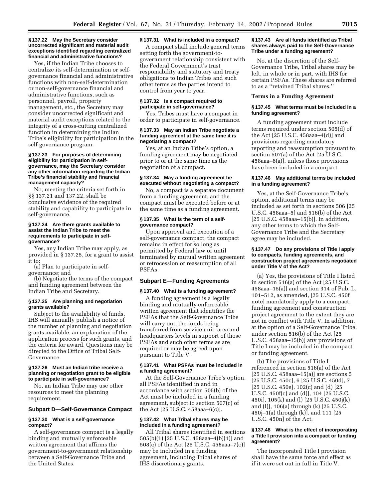#### **§ 137.22 May the Secretary consider uncorrected significant and material audit exceptions identified regarding centralized financial and administrative functions?**

Yes, if the Indian Tribe chooses to centralize its self-determination or selfgovernance financial and administrative functions with non-self-determination or non-self-governance financial and administrative functions, such as personnel, payroll, property management, etc., the Secretary may consider uncorrected significant and material audit exceptions related to the integrity of a cross-cutting centralized function in determining the Indian Tribe's eligibility for participation in the self-governance program.

## **§ 137.23 For purposes of determining eligibility for participation in selfgovernance, may the Secretary consider any other information regarding the Indian Tribe's financial stability and financial management capacity?**

No, meeting the criteria set forth in §§ 137.21 and 137.22, shall be conclusive evidence of the required stability and capability to participate in self-governance.

# **§ 137.24 Are there grants available to assist the Indian Tribe to meet the requirements to participate in selfgovernance?**

Yes, any Indian Tribe may apply, as provided in § 137.25, for a grant to assist it to:

(a) Plan to participate in selfgovernance; and

(b) Negotiate the terms of the compact and funding agreement between the Indian Tribe and Secretary.

## **§ 137.25 Are planning and negotiation grants available?**

Subject to the availability of funds, IHS will annually publish a notice of the number of planning and negotiation grants available, an explanation of the application process for such grants, and the criteria for award. Questions may be directed to the Office of Tribal Self-Governance.

#### **§ 137.26 Must an Indian tribe receive a planning or negotiation grant to be eligible to participate in self-governance?**

No, an Indian Tribe may use other resources to meet the planning requirement.

### **Subpart D—Self-Governance Compact**

# **§ 137.30 What is a self-governance compact?**

A self-governance compact is a legally binding and mutually enforceable written agreement that affirms the government-to-government relationship between a Self-Governance Tribe and the United States.

#### **§ 137.31 What is included in a compact?**

A compact shall include general terms setting forth the government-togovernment relationship consistent with the Federal Government's trust responsibility and statutory and treaty obligations to Indian Tribes and such other terms as the parties intend to control from year to year.

## **§ 137.32 Is a compact required to participate in self-governance?**

Yes, Tribes must have a compact in order to participate in self-governance.

# **§ 137.33 May an Indian Tribe negotiate a funding agreement at the same time it is negotiating a compact?**

Yes, at an Indian Tribe's option, a funding agreement may be negotiated prior to or at the same time as the negotiation of a compact.

#### **§ 137.34 May a funding agreement be executed without negotiating a compact?**

No, a compact is a separate document from a funding agreement, and the compact must be executed before or at the same time as a funding agreement.

# **§ 137.35 What is the term of a selfgovernance compact?**

Upon approval and execution of a self-governance compact, the compact remains in effect for so long as permitted by Federal law or until terminated by mutual written agreement or retrocession or reassumption of all PSFAs.

# **Subpart E—Funding Agreements**

# **§ 137.40 What is a funding agreement?**

A funding agreement is a legally binding and mutually enforceable written agreement that identifies the PSFAs that the Self-Governance Tribe will carry out, the funds being transferred from service unit, area and headquarters levels in support of those PSFAs and such other terms as are required or may be agreed upon pursuant to Title V.

# **§ 137.41 What PSFAs must be included in a funding agreement?**

At the Self-Governance Tribe's option, all PSFAs identified in and in accordance with section 505(b) of the Act must be included in a funding agreement, subject to section 507(c) of the Act [25 U.S.C. 458aaa–6(c)].

# **§ 137.42 What Tribal shares may be included in a funding agreement?**

All Tribal shares identified in sections 505(b)(1) [25 U.S.C. 458aaa–4(b)(1)] and 508(c) of the Act [25 U.S.C. 458aaa–7(c)] may be included in a funding agreement, including Tribal shares of IHS discretionary grants.

# **§ 137.43 Are all funds identified as Tribal shares always paid to the Self-Governance Tribe under a funding agreement?**

No, at the discretion of the Self-Governance Tribe, Tribal shares may be left, in whole or in part, with IHS for certain PSFAs. These shares are referred to as a ''retained Tribal shares.''

# **Terms in a Funding Agreement**

## **§ 137.45 What terms must be included in a funding agreement?**

A funding agreement must include terms required under section 505(d) of the Act [25 U.S.C. 458aaa–4(d)] and provisions regarding mandatory reporting and reassumption pursuant to section 507(a) of the Act [25 U.S.C. 458aaa–6(a)], unless those provisions have been included in a compact.

# **§ 137.46 May additional terms be included in a funding agreement?**

Yes, at the Self-Governance Tribe's option, additional terms may be included as set forth in sections 506 [25 U.S.C. 458aaa–5] and 516(b) of the Act [25 U.S.C. 458aaa–15(b)]. In addition, any other terms to which the Self-Governance Tribe and the Secretary agree may be included.

# **§ 137.47 Do any provisions of Title I apply to compacts, funding agreements, and construction project agreements negotiated under Title V of the Act?**

(a) Yes, the provisions of Title I listed in section 516(a) of the Act [25 U.S.C. 458aaa–15(a)] and section 314 of Pub. L. 101–512, as amended, [25 U.S.C. 450f note] mandatorily apply to a compact, funding agreement and construction project agreement to the extent they are not in conflict with Title V. In addition, at the option of a Self-Governance Tribe, under section 516(b) of the Act [25 U.S.C. 458aaa–15(b)] any provisions of Title I may be included in the compact or funding agreement.

(b) The provisions of Title I referenced in section 516(a) of the Act  $[25 \text{ U.S.C. } 458$ aaa-15 $[a]$  are sections 5 [25 U.S.C. 450c], 6 [25 U.S.C. 450d], 7 [25 U.S.C. 450e], 102(c) and (d) [25 U.S.C. 450f(c) and (d)], 104 [25 U.S.C. 450i], 105(k) and (l) [25 U.S.C. 450j(k) and (l)], 106(a) through (k) [25 U.S.C. 450j–1(a) through (k)], and 111 [25 U.S.C. 450n] of the Act.

# **§ 137.48 What is the effect of incorporating a Title I provision into a compact or funding agreement?**

The incorporated Title I provision shall have the same force and effect as if it were set out in full in Title V.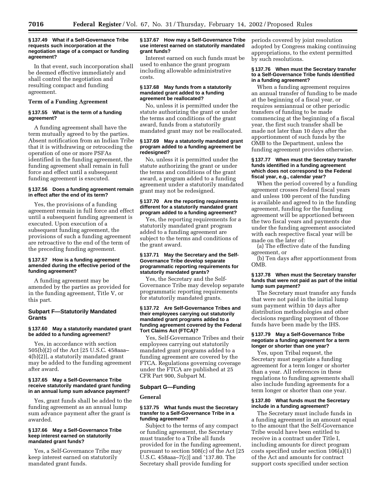# **§ 137.49 What if a Self-Governance Tribe requests such incorporation at the negotiation stage of a compact or funding agreement?**

In that event, such incorporation shall be deemed effective immediately and shall control the negotiation and resulting compact and funding agreement.

# **Term of a Funding Agreement**

# **§ 137.55 What is the term of a funding agreement?**

A funding agreement shall have the term mutually agreed to by the parties. Absent notification from an Indian Tribe that it is withdrawing or retroceding the operation of one or more PSFAs identified in the funding agreement, the funding agreement shall remain in full force and effect until a subsequent funding agreement is executed.

## **§ 137.56 Does a funding agreement remain in effect after the end of its term?**

Yes, the provisions of a funding agreement remain in full force and effect until a subsequent funding agreement is executed. Upon execution of a subsequent funding agreement, the provisions of such a funding agreement are retroactive to the end of the term of the preceding funding agreement.

# **§ 137.57 How is a funding agreement amended during the effective period of the funding agreement?**

A funding agreement may be amended by the parties as provided for in the funding agreement, Title V, or this part.

# **Subpart F—Statutorily Mandated Grants**

# **§ 137.60 May a statutorily mandated grant be added to a funding agreement?**

Yes, in accordance with section 505(b)(2) of the Act [25 U.S.C. 458aaa– 4(b)(2)], a statutorily mandated grant may be added to the funding agreement after award.

# **§ 137.65 May a Self-Governance Tribe receive statutorily mandated grant funding in an annual lump sum advance payment?**

Yes, grant funds shall be added to the funding agreement as an annual lump sum advance payment after the grant is awarded.

## **§ 137.66 May a Self-Governance Tribe keep interest earned on statutorily mandated grant funds?**

Yes, a Self-Governance Tribe may keep interest earned on statutorily mandated grant funds.

# **§ 137.67 How may a Self-Governance Tribe use interest earned on statutorily mandated grant funds?**

Interest earned on such funds must be used to enhance the grant program including allowable administrative costs.

#### **§ 137.68 May funds from a statutorily mandated grant added to a funding agreement be reallocated?**

No, unless it is permitted under the statute authorizing the grant or under the terms and conditions of the grant award, funds from a statutorily mandated grant may not be reallocated.

# **§ 137.69 May a statutorily mandated grant program added to a funding agreement be redesigned?**

No, unless it is permitted under the statute authorizing the grant or under the terms and conditions of the grant award, a program added to a funding agreement under a statutorily mandated grant may not be redesigned.

# **§ 137.70 Are the reporting requirements different for a statutorily mandated grant program added to a funding agreement?**

Yes, the reporting requirements for a statutorily mandated grant program added to a funding agreement are subject to the terms and conditions of the grant award.

## **§ 137.71 May the Secretary and the Self-Governance Tribe develop separate programmatic reporting requirements for statutorily mandated grants?**

Yes, the Secretary and the Self-Governance Tribe may develop separate programmatic reporting requirements for statutorily mandated grants.

## **§ 137.72 Are Self-Governance Tribes and their employees carrying out statutorily mandated grant programs added to a funding agreement covered by the Federal Tort Claims Act (FTCA)?**

Yes, Self-Governance Tribes and their employees carrying out statutorily mandated grant programs added to a funding agreement are covered by the FTCA. Regulations governing coverage under the FTCA are published at 25 CFR Part 900, Subpart M.

# **Subpart G—Funding**

# **General**

## **§ 137.75 What funds must the Secretary transfer to a Self-Governance Tribe in a funding agreement?**

Subject to the terms of any compact or funding agreement, the Secretary must transfer to a Tribe all funds provided for in the funding agreement, pursuant to section 508(c) of the Act [25 U.S.C. 458aaa–7(c)] and '137.80. The Secretary shall provide funding for

periods covered by joint resolution adopted by Congress making continuing appropriations, to the extent permitted by such resolutions.

# **§ 137.76 When must the Secretary transfer to a Self-Governance Tribe funds identified in a funding agreement?**

When a funding agreement requires an annual transfer of funding to be made at the beginning of a fiscal year, or requires semiannual or other periodic transfers of funding to be made commencing at the beginning of a fiscal year, the first such transfer shall be made not later than 10 days after the apportionment of such funds by the OMB to the Department, unless the funding agreement provides otherwise.

# **§ 137.77 When must the Secretary transfer funds identified in a funding agreement which does not correspond to the Federal fiscal year, e.g., calendar year?**

When the period covered by a funding agreement crosses Federal fiscal years and unless 100 percent of the funding is available and agreed to in the funding agreement, funding for the funding agreement will be apportioned between the two fiscal years and payments due under the funding agreement associated with each respective fiscal year will be made on the later of:

(a) The effective date of the funding agreement, or

(b) Ten days after apportionment from OMB.

# **§ 137.78 When must the Secretary transfer funds that were not paid as part of the initial lump sum payment?**

The Secretary must transfer any funds that were not paid in the initial lump sum payment within 10 days after distribution methodologies and other decisions regarding payment of those funds have been made by the IHS.

# **§ 137.79 May a Self-Governance Tribe negotiate a funding agreement for a term longer or shorter than one year?**

Yes, upon Tribal request, the Secretary must negotiate a funding agreement for a term longer or shorter than a year. All references in these regulations to funding agreements shall also include funding agreements for a term longer or shorter than one year.

# **§ 137.80 What funds must the Secretary include in a funding agreement?**

The Secretary must include funds in a funding agreement in an amount equal to the amount that the Self-Governance Tribe would have been entitled to receive in a contract under Title I, including amounts for direct program costs specified under section 106(a)(1) of the Act and amounts for contract support costs specified under section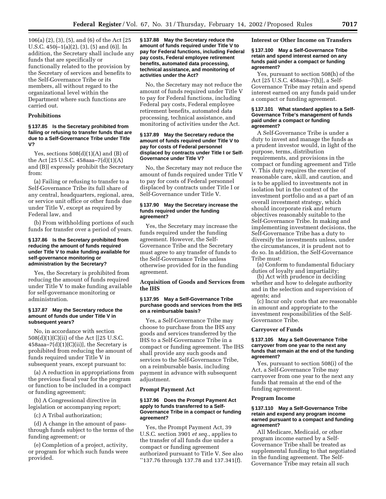106(a) (2), (3), (5), and (6) of the Act [25 U.S.C. 450j–1(a)(2), (3), (5) and (6)]. In addition, the Secretary shall include any funds that are specifically or functionally related to the provision by the Secretary of services and benefits to the Self-Governance Tribe or its members, all without regard to the organizational level within the Department where such functions are carried out.

# **Prohibitions**

# **§ 137.85 Is the Secretary prohibited from failing or refusing to transfer funds that are due to a Self-Governance Tribe under Title V?**

Yes, sections  $508(d)(1)(A)$  and  $(B)$  of the Act [25 U.S.C. 458aaa–7(d)(1)(A) and (B)] expressly prohibit the Secretary from:

(a) Failing or refusing to transfer to a Self-Governance Tribe its full share of any central, headquarters, regional, area, or service unit office or other funds due under Title V, except as required by Federal law, and

(b) From withholding portions of such funds for transfer over a period of years.

# **§ 137.86 Is the Secretary prohibited from reducing the amount of funds required under Title V to make funding available for self-governance monitoring or administration by the Secretary?**

Yes, the Secretary is prohibited from reducing the amount of funds required under Title V to make funding available for self-governance monitoring or administration.

## **§ 137.87 May the Secretary reduce the amount of funds due under Title V in subsequent years?**

No, in accordance with section 508(d)(1)(C)(ii) of the Act [[25 U.S.C.  $458$ aaa $-7(d)(1)(C)(ii)$ , the Secretary is prohibited from reducing the amount of funds required under Title V in subsequent years, except pursuant to:

(a) A reduction in appropriations from the previous fiscal year for the program or function to be included in a compact or funding agreement;

(b) A Congressional directive in legislation or accompanying report;

(c) A Tribal authorization;

(d) A change in the amount of passthrough funds subject to the terms of the funding agreement; or

(e) Completion of a project, activity, or program for which such funds were provided.

# **§ 137.88 May the Secretary reduce the amount of funds required under Title V to pay for Federal functions, including Federal pay costs, Federal employee retirement benefits, automated data processing, technical assistance, and monitoring of activities under the Act?**

No, the Secretary may not reduce the amount of funds required under Title V to pay for Federal functions, including Federal pay costs, Federal employee retirement benefits, automated data processing, technical assistance, and monitoring of activities under the Act.

# **§ 137.89 May the Secretary reduce the amount of funds required under Title V to pay for costs of Federal personnel displaced by contracts under Title I or Self-Governance under Title V?**

No, the Secretary may not reduce the amount of funds required under Title V to pay for costs of Federal personnel displaced by contracts under Title I or Self-Governance under Title V.

# **§ 137.90 May the Secretary increase the funds required under the funding agreement?**

Yes, the Secretary may increase the funds required under the funding agreement. However, the Self-Governance Tribe and the Secretary must agree to any transfer of funds to the Self-Governance Tribe unless otherwise provided for in the funding agreement.

# **Acquisition of Goods and Services from the IHS**

# **§ 137.95 May a Self-Governance Tribe purchase goods and services from the IHS on a reimbursable basis?**

Yes, a Self-Governance Tribe may choose to purchase from the IHS any goods and services transferred by the IHS to a Self-Governance Tribe in a compact or funding agreement. The IHS shall provide any such goods and services to the Self-Governance Tribe, on a reimbursable basis, including payment in advance with subsequent adjustment.

#### **Prompt Payment Act**

#### **§ 137.96 Does the Prompt Payment Act apply to funds transferred to a Self-Governance Tribe in a compact or funding agreement?**

Yes, the Prompt Payment Act, 39 U.S.C. section 3901 *et seq.*, applies to the transfer of all funds due under a compact or funding agreement authorized pursuant to Title V. See also ''137.76 through 137.78 and 137.341(f).

**Interest or Other Income on Transfers**

## **§ 137.100 May a Self-Governance Tribe retain and spend interest earned on any funds paid under a compact or funding agreement?**

Yes, pursuant to section 508(h) of the Act [25 U.S.C. 458aaa–7(h)], a Self-Governance Tribe may retain and spend interest earned on any funds paid under a compact or funding agreement.

#### **§ 137.101 What standard applies to a Self-Governance Tribe's management of funds paid under a compact or funding agreement?**

A Self-Governance Tribe is under a duty to invest and manage the funds as a prudent investor would, in light of the purpose, terms, distribution requirements, and provisions in the compact or funding agreement and Title V. This duty requires the exercise of reasonable care, skill, and caution, and is to be applied to investments not in isolation but in the context of the investment portfolio and as a part of an overall investment strategy, which should incorporate risk and return objectives reasonably suitable to the Self-Governance Tribe. In making and implementing investment decisions, the Self-Governance Tribe has a duty to diversify the investments unless, under the circumstances, it is prudent not to do so. In addition, the Self-Governance Tribe must:

(a) Conform to fundamental fiduciary duties of loyalty and impartiality;

(b) Act with prudence in deciding whether and how to delegate authority and in the selection and supervision of agents; and

(c) Incur only costs that are reasonable in amount and appropriate to the investment responsibilities of the Self-Governance Tribe.

# **Carryover of Funds**

## **§ 137.105 May a Self-Governance Tribe carryover from one year to the next any funds that remain at the end of the funding agreement?**

Yes, pursuant to section 508(i) of the Act, a Self-Governance Tribe may carryover from one year to the next any funds that remain at the end of the funding agreement.

#### **Program Income**

# **§ 137.110 May a Self-Governance Tribe retain and expend any program income earned pursuant to a compact and funding agreement?**

All Medicare, Medicaid, or other program income earned by a Self-Governance Tribe shall be treated as supplemental funding to that negotiated in the funding agreement. The Self-Governance Tribe may retain all such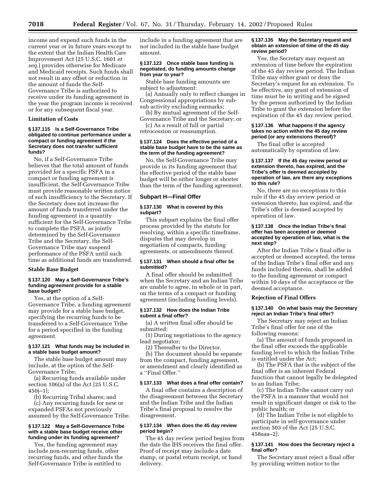income and expend such funds in the current year or in future years except to the extent that the Indian Health Care Improvement Act (25 U.S.C. 1601 *et seq.*) provides otherwise for Medicare and Medicaid receipts. Such funds shall not result in any offset or reduction in the amount of funds the Self-Governance Tribe is authorized to receive under its funding agreement in the year the program income is received or for any subsequent fiscal year.

# **Limitation of Costs**

# **§ 137.115 Is a Self-Governance Tribe obligated to continue performance under a compact or funding agreement if the Secretary does not transfer sufficient funds?**

No, if a Self-Governance Tribe believes that the total amount of funds provided for a specific PSFA in a compact or funding agreement is insufficient, the Self-Governance Tribe must provide reasonable written notice of such insufficiency to the Secretary. If the Secretary does not increase the amount of funds transferred under the funding agreement in a quantity sufficient for the Self-Governance Tribe to complete the PSFA, as jointly determined by the Self-Governance Tribe and the Secretary, the Self-Governance Tribe may suspend performance of the PSFA until such time as additional funds are transferred.

### **Stable Base Budget**

# **§ 137.120 May a Self-Governance Tribe's funding agreement provide for a stable base budget?**

Yes, at the option of a Self-Governance Tribe, a funding agreement may provide for a stable base budget, specifying the recurring funds to be transferred to a Self-Governance Tribe for a period specified in the funding agreement.

# **§ 137.121 What funds may be included in a stable base budget amount?**

The stable base budget amount may include, at the option of the Self-Governance Tribe,

(a) Recurring funds available under section 106(a) of the Act [25 U.S.C. 450j–1];

(b) Recurring Tribal shares; and (c) Any recurring funds for new or expanded PSFAs not previously assumed by the Self-Governance Tribe.

## **§ 137.122 May a Self-Governance Tribe with a stable base budget receive other funding under its funding agreement?**

Yes, the funding agreement may include non-recurring funds, other recurring funds, and other funds the Self-Governance Tribe is entitled to

include in a funding agreement that are not included in the stable base budget amount.

# **§ 137.123 Once stable base funding is negotiated, do funding amounts change from year to year?**

Stable base funding amounts are subject to adjustment:

(a) Annually only to reflect changes in Congressional appropriations by subsub activity excluding earmarks;

(b) By mutual agreement of the Self-Governance Tribe and the Secretary; or

(c) As a result of full or partial retrocession or reassumption.

# **§ 137.124 Does the effective period of a stable base budget have to be the same as the term of the funding agreement?**

No, the Self-Governance Tribe may provide in its funding agreement that the effective period of the stable base budget will be either longer or shorter than the term of the funding agreement.

# **Subpart H—Final Offer**

# **§ 137.130 What is covered by this subpart?**

This subpart explains the final offer process provided by the statute for resolving, within a specific timeframe, disputes that may develop in negotiation of compacts, funding agreements, or amendments thereof.

## **§ 137.131 When should a final offer be submitted?**

A final offer should be submitted when the Secretary and an Indian Tribe are unable to agree, in whole or in part, on the terms of a compact or funding agreement (including funding levels).

# **§ 137.132 How does the Indian Tribe submit a final offer?**

(a) A written final offer should be submitted:

(1) During negotiations to the agency lead negotiator;

(2) Thereafter to the Director.

(b) The document should be separate from the compact, funding agreement, or amendment and clearly identified as a ''Final Offer.''

# **§ 137.133 What does a final offer contain?**

A final offer contains a description of the disagreement between the Secretary and the Indian Tribe and the Indian Tribe's final proposal to resolve the disagreement.

# **§ 137.134 When does the 45 day review period begin?**

The 45 day review period begins from the date the IHS receives the final offer. Proof of receipt may include a date stamp, or postal return receipt, or hand delivery.

# **§ 137.135 May the Secretary request and obtain an extension of time of the 45 day review period?**

Yes, the Secretary may request an extension of time before the expiration of the 45 day review period. The Indian Tribe may either grant or deny the Secretary's request for an extension. To be effective, any grant of extension of time must be in writing and be signed by the person authorized by the Indian Tribe to grant the extension before the expiration of the 45 day review period.

# **§ 137.136 What happens if the agency takes no action within the 45 day review period (or any extensions thereof)?**

The final offer is accepted automatically by operation of law.

#### **§ 137.137 If the 45 day review period or extension thereto, has expired, and the Tribe's offer is deemed accepted by operation of law, are there any exceptions to this rule?**

No, there are no exceptions to this rule if the 45 day review period or extension thereto, has expired, and the Tribe's offer is deemed accepted by operation of law.

# **§ 137.138 Once the Indian Tribe's final offer has been accepted or deemed accepted by operation of law, what is the next step?**

After the Indian Tribe's final offer is accepted or deemed accepted, the terms of the Indian Tribe's final offer and any funds included therein, shall be added to the funding agreement or compact within 10 days of the acceptance or the deemed acceptance.

# **Rejection of Final Offers**

# **§ 137.140 On what basis may the Secretary reject an Indian Tribe's final offer?**

The Secretary may reject an Indian Tribe's final offer for one of the following reasons:

(a) The amount of funds proposed in the final offer exceeds the applicable funding level to which the Indian Tribe is entitled under the Act;

(b) The PSFA that is the subject of the final offer is an inherent Federal function that cannot legally be delegated to an Indian Tribe;

(c) The Indian Tribe cannot carry out the PSFA in a manner that would not result in significant danger or risk to the public health; or

(d) The Indian Tribe is not eligible to participate in self-governance under section 503 of the Act [25 U.S.C. 458aaa–2].

# **§ 137.141 How does the Secretary reject a final offer?**

The Secretary must reject a final offer by providing written notice to the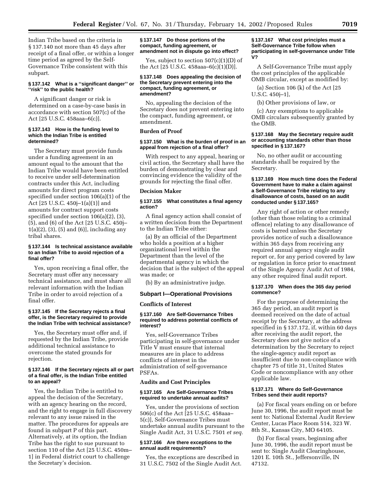Indian Tribe based on the criteria in § 137.140 not more than 45 days after receipt of a final offer, or within a longer time period as agreed by the Self-Governance Tribe consistent with this subpart.

# **§ 137.142 What is a ''significant danger'' or ''risk'' to the public health?**

A significant danger or risk is determined on a case-by-case basis in accordance with section 507(c) of the Act [25 U.S.C. 458aaa–6(c)].

# **§ 137.143 How is the funding level to which the Indian Tribe is entitled determined?**

The Secretary must provide funds under a funding agreement in an amount equal to the amount that the Indian Tribe would have been entitled to receive under self-determination contracts under this Act, including amounts for direct program costs specified under section 106(a)(1) of the Act [25 U.S.C. 450j–1(a)(1)] and amounts for contract support costs specified under section 106(a)(2), (3), (5), and (6) of the Act [25 U.S.C. 450j– 1(a)(2), (3), (5) and (6)], including any tribal shares.

# **§ 137.144 Is technical assistance available to an Indian Tribe to avoid rejection of a final offer?**

Yes, upon receiving a final offer, the Secretary must offer any necessary technical assistance, and must share all relevant information with the Indian Tribe in order to avoid rejection of a final offer.

# **§ 137.145 If the Secretary rejects a final offer, is the Secretary required to provide the Indian Tribe with technical assistance?**

Yes, the Secretary must offer and, if requested by the Indian Tribe, provide additional technical assistance to overcome the stated grounds for rejection.

# **§ 137.146 If the Secretary rejects all or part of a final offer, is the Indian Tribe entitled to an appeal?**

Yes, the Indian Tribe is entitled to appeal the decision of the Secretary, with an agency hearing on the record, and the right to engage in full discovery relevant to any issue raised in the matter. The procedures for appeals are found in subpart P of this part. Alternatively, at its option, the Indian Tribe has the right to sue pursuant to section 110 of the Act [25 U.S.C. 450m– 1] in Federal district court to challenge the Secretary's decision.

## **§ 137.147 Do those portions of the compact, funding agreement, or amendment not in dispute go into effect?**

Yes, subject to section 507(c)(1)(D) of the Act [25 U.S.C. 458aaa–6(c)(1)(D)].

## **§ 137.148 Does appealing the decision of the Secretary prevent entering into the compact, funding agreement, or amendment?**

No, appealing the decision of the Secretary does not prevent entering into the compact, funding agreement, or amendment.

# **Burden of Proof**

# **§ 137.150 What is the burden of proof in an appeal from rejection of a final offer?**

With respect to any appeal, hearing or civil action, the Secretary shall have the burden of demonstrating by clear and convincing evidence the validity of the grounds for rejecting the final offer.

# **Decision Maker**

# **§ 137.155 What constitutes a final agency action?**

A final agency action shall consist of a written decision from the Department to the Indian Tribe either:

(a) By an official of the Department who holds a position at a higher organizational level within the Department than the level of the departmental agency in which the decision that is the subject of the appeal was made; or

(b) By an administrative judge.

# **Subpart I—Operational Provisions**

# **Conflicts of Interest**

#### **§ 137.160 Are Self-Governance Tribes required to address potential conflicts of interest?**

Yes, self-Governance Tribes participating in self-governance under Title V must ensure that internal measures are in place to address conflicts of interest in the administration of self-governance PSFAs.

# **Audits and Cost Principles**

## **§ 137.165 Are Self-Governance Tribes required to undertake annual audits?**

Yes, under the provisions of section 506(c) of the Act [25 U.S.C. 458aaa– 5(c)], Self-Governance Tribes must undertake annual audits pursuant to the Single Audit Act, 31 U.S.C. 7501 *et seq.*

# **§ 137.166 Are there exceptions to the annual audit requirements?**

Yes, the exceptions are described in 31 U.S.C. 7502 of the Single Audit Act.

#### **§ 137.167 What cost principles must a Self-Governance Tribe follow when participating in self-governance under Title V?**

A Self-Governance Tribe must apply the cost principles of the applicable OMB circular, except as modified by:

(a) Section 106  $(k)$  of the Act  $[25]$ U.S.C. 450j–1],

(b) Other provisions of law, or

(c) Any exemptions to applicable OMB circulars subsequently granted by the OMB.

# **§ 137.168 May the Secretary require audit or accounting standards other than those specified in § 137.167?**

No, no other audit or accounting standards shall be required by the Secretary.

# **§ 137.169 How much time does the Federal Government have to make a claim against a Self-Governance Tribe relating to any disallowance of costs, based on an audit conducted under § 137.165?**

Any right of action or other remedy (other than those relating to a criminal offence) relating to any disallowance of costs is barred unless the Secretary provides notice of such a disallowance within 365 days from receiving any required annual agency single audit report or, for any period covered by law or regulation in force prior to enactment of the Single Agency Audit Act of 1984, any other required final audit report.

# **§ 137.170 When does the 365 day period commence?**

For the purpose of determining the 365 day period, an audit report is deemed received on the date of actual receipt by the Secretary, at the address specified in § 137.172, if, within 60 days after receiving the audit report, the Secretary does not give notice of a determination by the Secretary to reject the single-agency audit report as insufficient due to non-compliance with chapter 75 of title 31, United States Code or noncompliance with any other applicable law.

# **§ 137.171 Where do Self-Governance Tribes send their audit reports?**

(a) For fiscal years ending on or before June 30, 1996, the audit report must be sent to: National External Audit Review Center, Lucas Place Room 514, 323 W. 8th St., Kansas City, MO 64105.

(b) For fiscal years, beginning after June 30, 1996, the audit report must be sent to: Single Audit Clearinghouse, 1201 E. 10th St., Jeffersonville, IN 47132.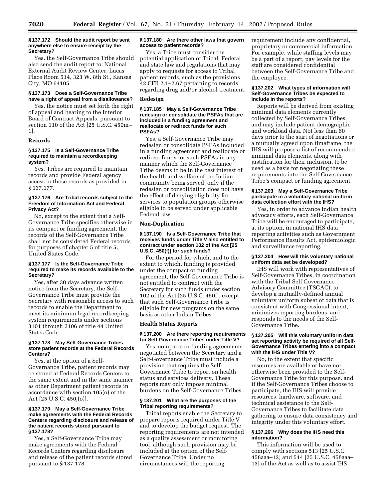Yes, the Self-Governance Tribe should also send the audit report to: National External Audit Review Center, Lucas Place Room 514, 323 W. 8th St., Kansas City, MO 64105.

# **§ 137.173 Does a Self-Governance Tribe have a right of appeal from a disallowance?**

Yes, the notice must set forth the right of appeal and hearing to the Interior Board of Contract Appeals, pursuant to section 110 of the Act [25 U.S.C. 450m– 1].

# **Records**

# **§ 137.175 Is a Self-Governance Tribe required to maintain a recordkeeping system?**

Yes. Tribes are required to maintain records and provide Federal agency access to those records as provided in § 137.177.

# **§ 137.176 Are Tribal records subject to the Freedom of Information Act and Federal Privacy Act?**

No, except to the extent that a Self-Governance Tribe specifies otherwise in its compact or funding agreement, the records of the Self-Governance Tribe shall not be considered Federal records for purposes of chapter 5 of title 5, United States Code.

# **§ 137.177 Is the Self-Governance Tribe required to make its records available to the Secretary?**

Yes, after 30 days advance written notice from the Secretary, the Self-Governance Tribe must provide the Secretary with reasonable access to such records to enable the Department to meet its minimum legal recordkeeping system requirements under sections 3101 through 3106 of title 44 United States Code.

# **§ 137.178 May Self-Governance Tribes store patient records at the Federal Records Centers?**

Yes, at the option of a Self-Governance Tribe, patient records may be stored at Federal Records Centers to the same extent and in the same manner as other Department patient records in accordance with section 105(o) of the Act [25 U.S.C. 450j(o)].

## **§ 137.179 May a Self-Governance Tribe make agreements with the Federal Records Centers regarding disclosure and release of the patient records stored pursuant to § 137.178?**

Yes, a Self-Governance Tribe may make agreements with the Federal Records Centers regarding disclosure and release of the patient records stored pursuant to § 137.178.

# **§ 137.180 Are there other laws that govern access to patient records?**

Yes, a Tribe must consider the potential application of Tribal, Federal and state law and regulations that may apply to requests for access to Tribal patient records, such as the provisions 42 CFR 2.1–2.67 pertaining to records regarding drug and/or alcohol treatment.

# **Redesign**

#### **§ 137.185 May a Self-Governance Tribe redesign or consolidate the PSFAs that are included in a funding agreement and reallocate or redirect funds for such PSFAs?**

Yes, a Self-Governance Tribe may redesign or consolidate PSFAs included in a funding agreement and reallocate or redirect funds for such PSFAs in any manner which the Self-Governance Tribe deems to be in the best interest of the health and welfare of the Indian community being served, only if the redesign or consolidation does not have the effect of denying eligibility for services to population groups otherwise eligible to be served under applicable Federal law.

# **Non-Duplication**

## **§ 137.190 Is a Self-Governance Tribe that receives funds under Title V also entitled to contract under section 102 of the Act [25 U.S.C. 450(f)] for such funds?**

For the period for which, and to the extent to which, funding is provided under the compact or funding agreement, the Self-Governance Tribe is not entitled to contract with the Secretary for such funds under section 102 of the Act [25 U.S.C. 450f], except that such Self-Governance Tribe is eligible for new programs on the same basis as other Indian Tribes.

# **Health Status Reports**

# **§ 137.200 Are there reporting requirements for Self-Governance Tribes under Title V?**

Yes, compacts or funding agreements negotiated between the Secretary and a Self-Governance Tribe must include a provision that requires the Self-Governance Tribe to report on health status and services delivery. These reports may only impose minimal burdens on the Self-Governance Tribes.

# **§ 137.201 What are the purposes of the Tribal reporting requirements?**

Tribal reports enable the Secretary to prepare reports required under Title V and to develop the budget request. The reporting requirements are not intended as a quality assessment or monitoring tool, although such provision may be included at the option of the Self-Governance Tribe. Under no circumstances will the reporting

requirement include any confidential, proprietary or commercial information. For example, while staffing levels may be a part of a report, pay levels for the staff are considered confidential between the Self-Governance Tribe and the employee.

## **§ 137.202 What types of information will Self-Governance Tribes be expected to include in the reports?**

Reports will be derived from existing minimal data elements currently collected by Self-Governance Tribes, and may include patient demographic and workload data. Not less than 60 days prior to the start of negotiations or a mutually agreed upon timeframe, the IHS will propose a list of recommended minimal data elements, along with justification for their inclusion, to be used as a basis for negotiating these requirements into the Self-Governance Tribe's compact or funding agreement.

## **§ 137.203 May a Self-Governance Tribe participate in a voluntary national uniform data collection effort with the IHS?**

Yes, in order to advance Indian health advocacy efforts, each Self-Governance Tribe will be encouraged to participate, at its option, in national IHS data reporting activities such as Government Performance Results Act, epidemiologic and surveillance reporting.

# **§ 137.204 How will this voluntary national uniform data set be developed?**

IHS will work with representatives of Self-Governance Tribes, in coordination with the Tribal Self Governance Advisory Committee (TSGAC), to develop a mutually-defined annual voluntary uniform subset of data that is consistent with Congressional intent, minimizes reporting burdens, and responds to the needs of the Self-Governance Tribe.

# **§ 137.205 Will this voluntary uniform data set reporting activity be required of all Self-Governance Tribes entering into a compact with the IHS under Title V?**

No, to the extent that specific resources are available or have not otherwise been provided to the Self-Governance Tribe for this purpose, and if the Self-Governance Tribes choose to participate, the IHS will provide resources, hardware, software, and technical assistance to the Self-Governance Tribes to facilitate data gathering to ensure data consistency and integrity under this voluntary effort.

# **§ 137.206 Why does the IHS need this information?**

This information will be used to comply with sections 513 [25 U.S.C. 458aaa–12] and 514 [25 U.S.C. 458aaa– 13] of the Act as well as to assist IHS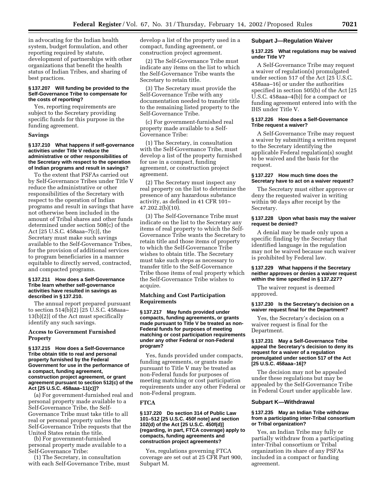in advocating for the Indian health system, budget formulation, and other reporting required by statute, development of partnerships with other organizations that benefit the health status of Indian Tribes, and sharing of best practices.

#### **§ 137.207 Will funding be provided to the Self-Governance Tribe to compensate for the costs of reporting?**

Yes, reporting requirements are subject to the Secretary providing specific funds for this purpose in the funding agreement.

#### **Savings**

# **§ 137.210 What happens if self-governance activities under Title V reduce the administrative or other responsibilities of the Secretary with respect to the operation of Indian programs and result in savings?**

To the extent that PSFAs carried out by Self-Governance Tribes under Title V reduce the administrative or other responsibilities of the Secretary with respect to the operation of Indian programs and result in savings that have not otherwise been included in the amount of Tribal shares and other funds determined under section 508(c) of the Act [25 U.S.C. 458aaa–7(c)], the Secretary must make such savings available to the Self-Governance Tribes, for the provision of additional services to program beneficiaries in a manner equitable to directly served, contracted, and compacted programs.

#### **§ 137.211 How does a Self-Governance Tribe learn whether self-governance activities have resulted in savings as described in § 137.210.**

The annual report prepared pursuant to section 514(b)(2) [25 U.S.C. 458aaa– 13(b)(2)] of the Act must specifically identify any such savings.

# **Access to Government Furnished Property**

## **§ 137.215 How does a Self-Governance Tribe obtain title to real and personal property furnished by the Federal Government for use in the performance of a compact, funding agreement, construction project agreement, or grant agreement pursuant to section 512(c) of the Act [25 U.S.C. 458aaa–11(c)]?**

(a) For government-furnished real and personal property made available to a Self-Governance Tribe, the Self-Governance Tribe must take title to all real or personal property unless the Self-Governance Tribe requests that the United States retain the title.

(b) For government-furnished personal property made available to a Self-Governance Tribe:

(1) The Secretary, in consultation with each Self-Governance Tribe, must develop a list of the property used in a compact, funding agreement, or construction project agreement.

(2) The Self-Governance Tribe must indicate any items on the list to which the Self-Governance Tribe wants the Secretary to retain title.

(3) The Secretary must provide the Self-Governance Tribe with any documentation needed to transfer title to the remaining listed property to the Self-Governance Tribe.

(c) For government-furnished real property made available to a Self-Governance Tribe:

(1) The Secretary, in consultation with the Self-Governance Tribe, must develop a list of the property furnished for use in a compact, funding agreement, or construction project agreement.

(2) The Secretary must inspect any real property on the list to determine the presence of any hazardous substance activity, as defined in 41 CFR 101– 47.202.2(b)(10).

(3) The Self-Governance Tribe must indicate on the list to the Secretary any items of real property to which the Self-Governance Tribe wants the Secretary to retain title and those items of property to which the Self-Governance Tribe wishes to obtain title. The Secretary must take such steps as necessary to transfer title to the Self-Governance Tribe those items of real property which the Self-Governance Tribe wishes to acquire.

# **Matching and Cost Participation Requirements**

## **§ 137.217 May funds provided under compacts, funding agreements, or grants made pursuant to Title V be treated as non-Federal funds for purposes of meeting matching or cost participation requirements under any other Federal or non-Federal program?**

Yes, funds provided under compacts, funding agreements, or grants made pursuant to Title V may be treated as non-Federal funds for purposes of meeting matching or cost participation requirements under any other Federal or non-Federal program.

# **FTCA**

## **§ 137.220 Do section 314 of Public Law 101–512 [25 U.S.C. 450f note] and section 102(d) of the Act [25 U.S.C. 450f(d)] (regarding, in part, FTCA coverage) apply to compacts, funding agreements and construction project agreements?**

Yes, regulations governing FTCA coverage are set out at 25 CFR Part 900, Subpart M.

## **Subpart J—Regulation Waiver**

## **§ 137.225 What regulations may be waived under Title V?**

A Self-Governance Tribe may request a waiver of regulation(s) promulgated under section 517 of the Act [25 U.S.C. 458aaa–16] or under the authorities specified in section 505(b) of the Act [25 U.S.C. 458aaa–4(b)] for a compact or funding agreement entered into with the IHS under Title V.

#### **§ 137.226 How does a Self-Governance Tribe request a waiver?**

A Self-Governance Tribe may request a waiver by submitting a written request to the Secretary identifying the applicable Federal regulation(s) sought to be waived and the basis for the request.

# **§ 137.227 How much time does the Secretary have to act on a waiver request?**

The Secretary must either approve or deny the requested waiver in writing within 90 days after receipt by the Secretary.

## **§ 137.228 Upon what basis may the waiver request be denied?**

A denial may be made only upon a specific finding by the Secretary that identified language in the regulation may not be waived because such waiver is prohibited by Federal law.

# **§ 137.229 What happens if the Secretary neither approves or denies a waiver request within the time specified in § 137.227?**

The waiver request is deemed approved.

## **§ 137.230 Is the Secretary's decision on a waiver request final for the Department?**

Yes, the Secretary's decision on a waiver request is final for the Department.

## **§ 137.231 May a Self-Governance Tribe appeal the Secretary's decision to deny its request for a waiver of a regulation promulgated under section 517 of the Act [25 U.S.C. 458aaa–16]?**

The decision may not be appealed under these regulations but may be appealed by the Self-Governance Tribe in Federal Court under applicable law.

## **Subpart K—Withdrawal**

## **§ 137.235 May an Indian Tribe withdraw from a participating inter-Tribal consortium or Tribal organization?**

Yes, an Indian Tribe may fully or partially withdraw from a participating inter-Tribal consortium or Tribal organization its share of any PSFAs included in a compact or funding agreement.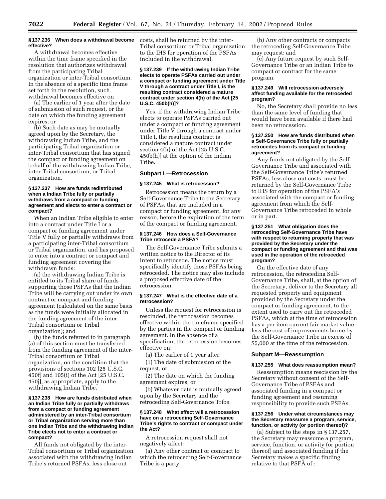# **§ 137.236 When does a withdrawal become effective?**

A withdrawal becomes effective within the time frame specified in the resolution that authorizes withdrawal from the participating Tribal organization or inter-Tribal consortium. In the absence of a specific time frame set forth in the resolution, such withdrawal becomes effective on

(a) The earlier of 1 year after the date of submission of such request, or the date on which the funding agreement expires; or

(b) Such date as may be mutually agreed upon by the Secretary, the withdrawing Indian Tribe, and the participating Tribal organization or inter-Tribal consortium that has signed the compact or funding agreement on behalf of the withdrawing Indian Tribe, inter-Tribal consortium, or Tribal organization.

## **§ 137.237 How are funds redistributed when a Indian Tribe fully or partially withdraws from a compact or funding agreement and elects to enter a contract or compact?**

When an Indian Tribe eligible to enter into a contract under Title I or a compact or funding agreement under Title V fully or partially withdraws from a participating inter-Tribal consortium or Tribal organization, and has proposed to enter into a contract or compact and funding agreement covering the withdrawn funds:

(a) the withdrawing Indian Tribe is entitled to its Tribal share of funds supporting those PSFAs that the Indian Tribe will be carrying out under its own contract or compact and funding agreement (calculated on the same basis as the funds were initially allocated in the funding agreement of the inter-Tribal consortium or Tribal organization); and

(b) the funds referred to in paragraph (a) of this section must be transferred from the funding agreement of the inter-Tribal consortium or Tribal organization, on the condition that the provisions of sections 102 [25 U.S.C. 450f] and 105(i) of the Act [25 U.S.C. 450j], as appropriate, apply to the withdrawing Indian Tribe.

## **§ 137.238 How are funds distributed when an Indian Tribe fully or partially withdraws from a compact or funding agreement administered by an inter-Tribal consortium or Tribal organization serving more than one Indian Tribe and the withdrawing Indian Tribe elects not to enter a contract or compact?**

All funds not obligated by the inter-Tribal consortium or Tribal organization associated with the withdrawing Indian Tribe's returned PSFAs, less close out

costs, shall be returned by the inter-Tribal consortium or Tribal organization to the IHS for operation of the PSFAs included in the withdrawal.

## **§ 137.239 If the withdrawing Indian Tribe elects to operate PSFAs carried out under a compact or funding agreement under Title V through a contract under Title I, is the resulting contract considered a mature contract under section 4(h) of the Act [25 U.S.C. 450b(h)]?**

Yes, if the withdrawing Indian Tribe elects to operate PSFAs carried out under a compact or funding agreement under Title V through a contract under Title I, the resulting contract is considered a mature contract under section 4(h) of the Act [25 U.S.C. 450b(h)] at the option of the Indian Tribe.

# **Subpart L—Retrocession**

#### **§ 137.245 What is retrocession?**

Retrocession means the return by a Self-Governance Tribe to the Secretary of PSFAs, that are included in a compact or funding agreement, for any reason, before the expiration of the term of the compact or funding agreement.

# **§ 137.246 How does a Self-Governance Tribe retrocede a PSFA?**

The Self-Governance Tribe submits a written notice to the Director of its intent to retrocede. The notice must specifically identify those PSFAs being retroceded. The notice may also include a proposed effective date of the retrocession.

## **§ 137.247 What is the effective date of a retrocession?**

Unless the request for retrocession is rescinded, the retrocession becomes effective within the timeframe specified by the parties in the compact or funding agreement. In the absence of a specification, the retrocession becomes effective on:

(a) The earlier of 1 year after:

(1) The date of submission of the request, or

(2) The date on which the funding agreement expires; or

(b) Whatever date is mutually agreed upon by the Secretary and the retroceding Self-Governance Tribe.

# **§ 137.248 What effect will a retrocession have on a retroceding Self-Governance Tribe's rights to contract or compact under the Act?**

A retrocession request shall not negatively affect:

(a) Any other contract or compact to which the retroceding Self-Governance Tribe is a party;

(b) Any other contracts or compacts the retroceding Self-Governance Tribe may request; and

(c) Any future request by such Self-Governance Tribe or an Indian Tribe to compact or contract for the same program.

# **§ 137.249 Will retrocession adversely affect funding available for the retroceded program?**

No, the Secretary shall provide no less than the same level of funding that would have been available if there had been no retrocession.

# **§ 137.250 How are funds distributed when a Self-Governance Tribe fully or partially retrocedes from its compact or funding agreement?**

Any funds not obligated by the Self-Governance Tribe and associated with the Self-Governance Tribe's returned PSFAs, less close out costs, must be returned by the Self-Governance Tribe to IHS for operation of the PSFA's associated with the compact or funding agreement from which the Self-Governance Tribe retroceded in whole or in part.

## **§ 137.251 What obligation does the retroceding Self-Governance Tribe have with respect to returning property that was provided by the Secretary under the compact or funding agreement and that was used in the operation of the retroceded program?**

On the effective date of any retrocession, the retroceding Self-Governance Tribe, shall, at the option of the Secretary, deliver to the Secretary all requested property and equipment provided by the Secretary under the compact or funding agreement, to the extent used to carry out the retroceded PSFAs, which at the time of retrocession has a per item current fair market value, less the cost of improvements borne by the Self-Governance Tribe in excess of \$5,000 at the time of the retrocession.

# **Subpart M—Reassumption**

# **§ 137.255 What does reassumption mean?**

Reassumption means rescission by the Secretary without consent of the Self-Governance Tribe of PSFAs and associated funding in a compact or funding agreement and resuming responsibility to provide such PSFAs.

# **§ 137.256 Under what circumstances may the Secretary reassume a program, service, function, or activity (or portion thereof)?**

(a) Subject to the steps in § 137.257, the Secretary may reassume a program, service, function, or activity (or portion thereof) and associated funding if the Secretary makes a specific finding relative to that PSFA of :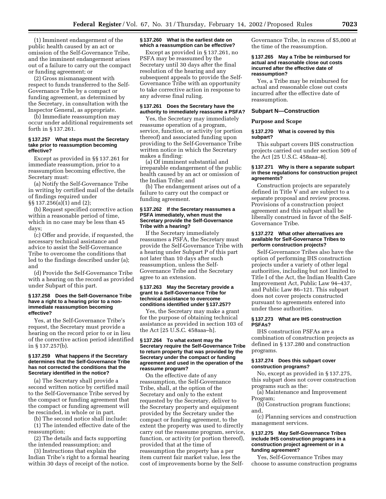(1) Imminent endangerment of the public health caused by an act or omission of the Self-Governance Tribe, and the imminent endangerment arises out of a failure to carry out the compact or funding agreement; or

(2) Gross mismanagement with respect to funds transferred to the Self-Governance Tribe by a compact or funding agreement, as determined by the Secretary, in consultation with the Inspector General, as appropriate.

(b) Immediate reassumption may occur under additional requirements set forth in § 137.261.

## **§ 137.257 What steps must the Secretary take prior to reassumption becoming effective?**

Except as provided in §§ 137.261 for immediate reassumption, prior to a reassumption becoming effective, the Secretary must:

(a) Notify the Self-Governance Tribe in writing by certified mail of the details of findings required under §§ 137.256(a)(1) and (2);

(b) Request specified corrective action within a reasonable period of time, which in no case may be less than 45 days;

(c) Offer and provide, if requested, the necessary technical assistance and advice to assist the Self-Governance Tribe to overcome the conditions that led to the findings described under (a); and

(d) Provide the Self-Governance Tribe with a hearing on the record as provided under Subpart of this part.

#### **§ 137.258 Does the Self-Governance Tribe have a right to a hearing prior to a nonimmediate reassumption becoming effective?**

Yes, at the Self-Governance Tribe's request, the Secretary must provide a hearing on the record prior to or in lieu of the corrective action period identified in § 137.257(b).

# **§ 137.259 What happens if the Secretary determines that the Self-Governance Tribe has not corrected the conditions that the Secretary identified in the notice?**

(a) The Secretary shall provide a second written notice by certified mail to the Self-Governance Tribe served by the compact or funding agreement that the compact or funding agreement will be rescinded, in whole or in part.

(b) The second notice shall include:

(1) The intended effective date of the reassumption;

(2) The details and facts supporting the intended reassumption; and

(3) Instructions that explain the Indian Tribe's right to a formal hearing within 30 days of receipt of the notice.

## **§ 137.260 What is the earliest date on which a reassumption can be effective?**

Except as provided in § 137.261, no PSFA may be reassumed by the Secretary until 30 days after the final resolution of the hearing and any subsequent appeals to provide the Self-Governance Tribe with an opportunity to take corrective action in response to any adverse final ruling.

# **§ 137.261 Does the Secretary have the authority to immediately reassume a PSFA?**

Yes, the Secretary may immediately reassume operation of a program, service, function, or activity (or portion thereof) and associated funding upon providing to the Self-Governance Tribe written notice in which the Secretary makes a finding:

(a) Of imminent substantial and irreparable endangerment of the public health caused by an act or omission of the Indian Tribe; and

(b) The endangerment arises out of a failure to carry out the compact or funding agreement.

## **§ 137.262 If the Secretary reassumes a PSFA immediately, when must the Secretary provide the Self-Governance Tribe with a hearing?**

If the Secretary immediately reassumes a PSFA, the Secretary must provide the Self-Governance Tribe with a hearing under Subpart P of this part not later than 10 days after such reassumption, unless the Self-Governance Tribe and the Secretary agree to an extension.

#### **§ 137.263 May the Secretary provide a grant to a Self-Governance Tribe for technical assistance to overcome conditions identified under § 137.257?**

Yes, the Secretary may make a grant for the purpose of obtaining technical assistance as provided in section 103 of the Act [25 U.S.C. 458aaa–h].

#### **§ 137.264 To what extent may the Secretary require the Self-Governance Tribe to return property that was provided by the Secretary under the compact or funding agreement and used in the operation of the reassume program?**

On the effective date of any reassumption, the Self-Governance Tribe, shall, at the option of the Secretary and only to the extent requested by the Secretary, deliver to the Secretary property and equipment provided by the Secretary under the compact or funding agreement, to the extent the property was used to directly carry out the reassume program, service, function, or activity (or portion thereof), provided that at the time of reassumption the property has a per item current fair market value, less the cost of improvements borne by the SelfGovernance Tribe, in excess of \$5,000 at the time of the reassumption.

# **§ 137.265 May a Tribe be reimbursed for actual and reasonable close out costs incurred after the effective date of reassumption?**

Yes, a Tribe may be reimbursed for actual and reasonable close out costs incurred after the effective date of reassumption.

# **Subpart N—Construction**

# **Purpose and Scope**

## **§ 137.270 What is covered by this subpart?**

This subpart covers IHS construction projects carried out under section 509 of the Act [25 U.S.C. 458aaa–8].

## **§ 137.271 Why is there a separate subpart in these regulations for construction project agreements?**

Construction projects are separately defined in Title V and are subject to a separate proposal and review process. Provisions of a construction project agreement and this subpart shall be liberally construed in favor of the Self-Governance Tribe.

# **§ 137.272 What other alternatives are available for Self-Governance Tribes to perform construction projects?**

Self-Governance Tribes also have the option of performing IHS construction projects under a variety of other legal authorities, including but not limited to Title I of the Act, the Indian Health Care Improvement Act, Public Law 94–437, and Public Law 86–121. This subpart does not cover projects constructed pursuant to agreements entered into under these authorities.

# **§ 137.273 What are IHS construction PSFAs?**

IHS construction PSFAs are a combination of construction projects as defined in § 137.280 and construction programs.

# **§ 137.274 Does this subpart cover construction programs?**

No, except as provided in § 137.275, this subpart does not cover construction programs such as the:

(a) Maintenance and Improvement Program;

(b) Construction program functions; and,

(c) Planning services and construction management services.

# **§ 137.275 May Self-Governance Tribes include IHS construction programs in a construction project agreement or in a funding agreement?**

Yes, Self-Governance Tribes may choose to assume construction programs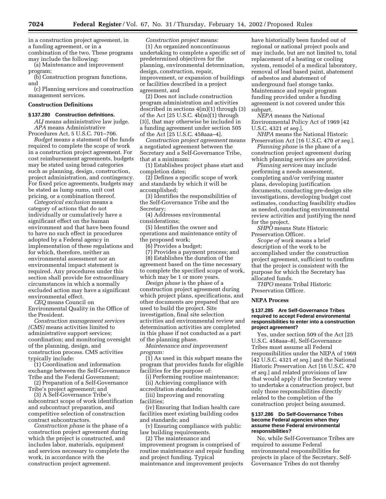in a construction project agreement, in a funding agreement, or in a combination of the two. These programs may include the following:

(a) Maintenance and improvement program;

(b) Construction program functions, and

(c) Planning services and construction management services.

# **Construction Definitions**

# **§ 137.280 Construction definitions.**

*ALJ* means administrative law judge. *APA* means Administrative

Procedures Act, 5 U.S.C. 701–706. *Budget* means a statement of the funds required to complete the scope of work in a construction project agreement. For cost reimbursement agreements, budgets may be stated using broad categories such as planning, design, construction, project administration, and contingency. For fixed price agreements, budgets may be stated as lump sums, unit cost pricing, or a combination thereof.

*Categorical exclusion* means a category of actions that do not individually or cumulatively have a significant effect on the human environment and that have been found to have no such effect in procedures adopted by a Federal agency in implementation of these regulations and for which, therefore, neither an environmental assessment nor an environmental impact statement is required. Any procedures under this section shall provide for extraordinary circumstances in which a normally excluded action may have a significant environmental effect.

*CEQ* means Council on Environmental Quality in the Office of the President.

*Construction management services (CMS)* means activities limited to administrative support services; coordination; and monitoring oversight of the planning, design, and construction process. CMS activities typically include:

(1) Coordination and information exchange between the Self-Governance Tribe and the Federal Government;

(2) Preparation of a Self-Governance Tribe's project agreement; and

(3) A Self-Governance Tribe's subcontract scope of work identification and subcontract preparation, and competitive selection of construction contract subcontractors.

*Construction phase* is the phase of a construction project agreement during which the project is constructed, and includes labor, materials, equipment and services necessary to complete the work, in accordance with the construction project agreement.

*Construction project* means: (1) An organized noncontinuous undertaking to complete a specific set of predetermined objectives for the planning, environmental determination, design, construction, repair, improvement, or expansion of buildings or facilities described in a project agreement, and

(2) Does not include construction program administration and activities described in sections 4(m)(1) through (3) of the Act [25 U.S.C. 4b(m)(1) through (3)], that may otherwise be included in a funding agreement under section 505 of the Act [25 U.S.C. 458aaa–4].

*Construction project agreement* means a negotiated agreement between the Secretary and a Self-Governance Tribe, that at a minimum:

(1) Establishes project phase start and completion dates;

(2) Defines a specific scope of work and standards by which it will be accomplished;

(3) Identifies the responsibilities of the Self-Governance Tribe and the Secretary;

(4) Addresses environmental considerations;

(5) Identifies the owner and operations and maintenance entity of the proposed work;

(6) Provides a budget;

(7) Provides a payment process; and (8) Establishes the duration of the agreement based on the time necessary to complete the specified scope of work, which may be 1 or more years.

*Design phase* is the phase of a construction project agreement during which project plans, specifications, and other documents are prepared that are used to build the project. Site investigation, final site selection activities and environmental review and determination activities are completed in this phase if not conducted as a part of the planning phase.

*Maintenance and improvement program:*

(1) As used in this subpart means the program that provides funds for eligible facilities for the purpose of:

(i) Performing routine maintenance; (ii) Achieving compliance with accreditation standards;

(iii) Improving and renovating

facilities;

(iv) Ensuring that Indian health care facilities meet existing building codes and standards; and

(v) Ensuring compliance with public law building requirements.

(2) The maintenance and improvement program is comprised of routine maintenance and repair funding and project funding. Typical maintenance and improvement projects

have historically been funded out of regional or national project pools and may include, but are not limited to, total replacement of a heating or cooling system, remodel of a medical laboratory, removal of lead based paint, abatement of asbestos and abatement of underground fuel storage tanks. Maintenance and repair program funding provided under a funding agreement is not covered under this subpart.

*NEPA* means the National Environmental Policy Act of 1969 [42 U.S.C. 4321 *et seq.*].

*NHPA* means the National Historic Preservation Act [16 U.S.C. 470 *et seq.*].

*Planning phase* is the phase of a construction project agreement during which planning services are provided.

*Planning services* may include performing a needs assessment, completing and/or verifying master plans, developing justification documents, conducting pre-design site investigations, developing budget cost estimates, conducting feasibility studies as needed, conducting environmental review activities and justifying the need for the project.

*SHPO* means State Historic Preservation Officer.

*Scope of work* means a brief description of the work to be accomplished under the construction project agreement, sufficient to confirm that the project is consistent with the purpose for which the Secretary has allocated funds.

*THPO* means Tribal Historic Preservation Officer.

# **NEPA Process**

# **§ 137.285 Are Self-Governance Tribes required to accept Federal environmental responsibilities to enter into a construction project agreement?**

Yes, under section 509 of the Act [25 U.S.C. 458aaa–8], Self-Governance Tribes must assume all Federal responsibilities under the NEPA of 1969 [42 U.S.C. 4321 *et seq.*] and the National Historic Preservation Act [16 U.S.C. 470 *et seq.*] and related provisions of law that would apply if the Secretary were to undertake a construction project, but only those responsibilities directly related to the completion of the construction project being assumed.

# **§ 137.286 Do Self-Governance Tribes become Federal agencies when they assume these Federal environmental responsibilities?**

No, while Self-Governance Tribes are required to assume Federal environmental responsibilities for projects in place of the Secretary, Self-Governance Tribes do not thereby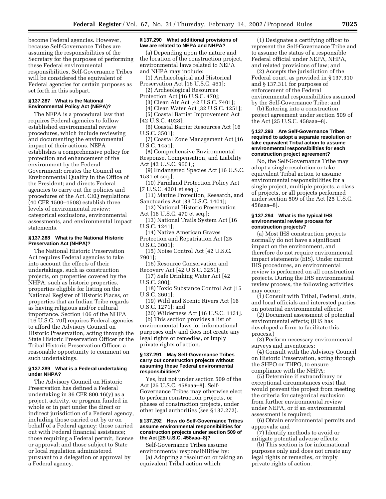become Federal agencies. However, because Self-Governance Tribes are assuming the responsibilities of the Secretary for the purposes of performing these Federal environmental responsibilities, Self-Governance Tribes will be considered the equivalent of Federal agencies for certain purposes as set forth in this subpart.

# **§ 137.287 What is the National Environmental Policy Act (NEPA)?**

The NEPA is a procedural law that requires Federal agencies to follow established environmental review procedures, which include reviewing and documenting the environmental impact of their actions. NEPA establishes a comprehensive policy for protection and enhancement of the environment by the Federal Government; creates the Council on Environmental Quality in the Office of the President; and directs Federal agencies to carry out the policies and procedures of the Act. CEQ regulations (40 CFR 1500–1508) establish three levels of environmental review: categorical exclusions, environmental assessments, and environmental impact statements.

## **§ 137.288 What is the National Historic Preservation Act (NHPA)?**

The National Historic Preservation Act requires Federal agencies to take into account the effects of their undertakings, such as construction projects, on properties covered by the NHPA, such as historic properties, properties eligible for listing on the National Register of Historic Places, or properties that an Indian Tribe regards as having religious and/or cultural importance. Section 106 of the NHPA [16 U.S.C. 70f] requires Federal agencies to afford the Advisory Council on Historic Preservation, acting through the State Historic Preservation Officer or the Tribal Historic Preservation Officer, a reasonable opportunity to comment on such undertakings.

# **§ 137.289 What is a Federal undertaking under NHPA?**

The Advisory Council on Historic Preservation has defined a Federal undertaking in 36 CFR 800.16(y) as a project, activity, or program funded in whole or in part under the direct or indirect jurisdiction of a Federal agency, including those carried out by or on behalf of a Federal agency; those carried out with Federal financial assistance; those requiring a Federal permit, license or approval; and those subject to State or local regulation administered pursuant to a delegation or approval by a Federal agency.

# **§ 137.290 What additional provisions of law are related to NEPA and NHPA?**

(a) Depending upon the nature and the location of the construction project, environmental laws related to NEPA and NHPA may include:

(1) Archaeological and Historical Preservation Act [16 U.S.C. 461];

- (2) Archeological Resources Protection Act [16 U.S.C. 470];
- (3) Clean Air Act [42 U.S.C. 7401];

(4) Clean Water Act [32 U.S.C. 1251];

(5) Coastal Barrier Improvement Act

- [42 U.S.C. 4028];
- (6) Coastal Barrier Resources Act [16 U.S.C. 3501];

(7) Coastal Zone Management Act [16 U.S.C. 1451];

(8) Comprehensive Environmental Response, Compensation, and Liability

Act [42 U.S.C. 9601];

(9) Endangered Species Act [16 U.S.C. 1531 et seq.];

(10) Farmland Protection Policy Act [7 U.S.C. 4201 et seq.];

(11) Marine Protection, Research, and Sanctuaries Act [33 U.S.C. 1401];

- (12) National Historic Preservation Act [16 U.S.C. 470 et seq.];
- (13) National Trails System Act [16 U.S.C. 1241];
- (14) Native American Graves Protection and Repatriation Act [25
- U.S.C. 3001];
- (15) Noise Control Act [42 U.S.C. 7901];
- (16) Resource Conservation and Recovery Act [42 U.S.C. 3251];

(17) Safe Drinking Water Act [42 U.S.C. 300];

- (18) Toxic Substance Control Act [15 U.S.C. 2601];
- (19) Wild and Scenic Rivers Act [16 U.S.C. 1271]; and

(20) Wilderness Act [16 U.S.C. 1131].

(b) This section provides a list of environmental laws for informational purposes only and does not create any legal rights or remedies, or imply private rights of action.

# **§ 137.291 May Self-Governance Tribes carry out construction projects without assuming these Federal environmental responsibilities?**

Yes, but not under section 509 of the Act [25 U.S.C. 458aaa–8]. Self-Governance Tribes may otherwise elect to perform construction projects, or phases of construction projects, under other legal authorities (see § 137.272).

# **§ 137.292 How do Self-Governance Tribes assume environmental responsibilities for construction projects under section 509 of the Act [25 U.S.C. 458aaa–8]?**

Self-Governance Tribes assume environmental responsibilities by:

(a) Adopting a resolution or taking an equivalent Tribal action which:

(1) Designates a certifying officer to represent the Self-Governance Tribe and to assume the status of a responsible Federal official under NEPA, NHPA, and related provisions of law; and

(2) Accepts the jurisdiction of the Federal court, as provided in § 137.310 and § 137.311 for purposes of enforcement of the Federal environmental responsibilities assumed by the Self-Governance Tribe; and

(b) Entering into a construction project agreement under section 509 of the Act [25 U.S.C. 458aaa–8].

# **§ 137.293 Are Self-Governance Tribes required to adopt a separate resolution or take equivalent Tribal action to assume environmental responsibilities for each construction project agreement?**

No, the Self-Governance Tribe may adopt a single resolution or take equivalent Tribal action to assume environmental responsibilities for a single project, multiple projects, a class of projects, or all projects performed under section 509 of the Act [25 U.S.C. 458aaa–8].

## **§ 137.294 What is the typical IHS environmental review process for construction projects?**

(a) Most IHS construction projects normally do not have a significant impact on the environment, and therefore do not require environmental impact statements (EIS). Under current IHS procedures, an environmental review is performed on all construction projects. During the IHS environmental review process, the following activities may occur:

(1) Consult with Tribal, Federal, state, and local officials and interested parties on potential environmental effects;

(2) Document assessment of potential environmental effects; (IHS has developed a form to facilitate this process.)

(3) Perform necessary environmental surveys and inventories;

(4) Consult with the Advisory Council on Historic Preservation, acting through the SHPO or THPO, to ensure compliance with the NHPA;

(5) Determine if extraordinary or exceptional circumstances exist that would prevent the project from meeting the criteria for categorical exclusion from further environmental review under NEPA, or if an environmental assessment is required;

(6) Obtain environmental permits and approvals; and

(7) Identify methods to avoid or mitigate potential adverse effects;

(b) This section is for informational purposes only and does not create any legal rights or remedies, or imply private rights of action.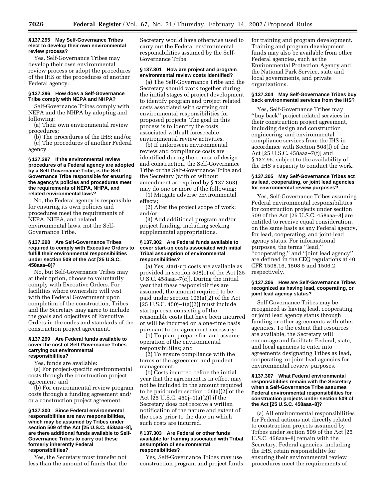#### **§ 137.295 May Self-Governance Tribes elect to develop their own environmental review process?**

Yes, Self-Governance Tribes may develop their own environmental review process or adopt the procedures of the IHS or the procedures of another Federal agency.

# **§ 137.296 How does a Self-Governance Tribe comply with NEPA and NHPA?**

Self-Governance Tribes comply with NEPA and the NHPA by adopting and following:

(a) Their own environmental review procedures;

(b) The procedures of the IHS; and/or (c) The procedures of another Federal agency.

## **§ 137.297 If the environmental review procedures of a Federal agency are adopted by a Self-Governance Tribe, is the Self-Governance Tribe responsible for ensuring the agency's policies and procedures meet the requirements of NEPA, NHPA, and related environmental laws?**

No, the Federal agency is responsible for ensuring its own policies and procedures meet the requirements of NEPA, NHPA, and related environmental laws, not the Self-Governance Tribe.

## **§ 137.298 Are Self-Governance Tribes required to comply with Executive Orders to fulfill their environmental responsibilities under section 509 of the Act [25 U.S.C. 458aaa–8]?**

No, but Self-Governance Tribes may at their option, choose to voluntarily comply with Executive Orders. For facilities where ownership will vest with the Federal Government upon completion of the construction, Tribes and the Secretary may agree to include the goals and objectives of Executive Orders in the codes and standards of the construction project agreement.

#### **§ 137.299 Are Federal funds available to cover the cost of Self-Governance Tribes carrying out environmental responsibilities?**

Yes, funds are available:

(a) For project-specific environmental costs through the construction project agreement; and

(b) For environmental review program costs through a funding agreement and/ or a construction project agreement.

## **§ 137.300 Since Federal environmental responsibilities are new responsibilities, which may be assumed by Tribes under section 509 of the Act [25 U.S.C. 458aaa–8], are there additional funds available to Self-Governance Tribes to carry out these formerly inherently Federal responsibilities?**

Yes, the Secretary must transfer not less than the amount of funds that the Secretary would have otherwise used to carry out the Federal environmental responsibilities assumed by the Self-Governance Tribe.

# **§ 137.301 How are project and program environmental review costs identified?**

(a) The Self-Governance Tribe and the Secretary should work together during the initial stages of project development to identify program and project related costs associated with carrying out environmental responsibilities for proposed projects. The goal in this process is to identify the costs associated with all foreseeable environmental review activities.

(b) If unforeseen environmental review and compliance costs are identified during the course of design and construction, the Self-Governance Tribe or the Self-Governance Tribe and the Secretary (with or without amendment as required by § 137.363) may do one or more of the following:

(1) Mitigate adverse environmental effects;

(2) Alter the project scope of work; and/or

(3) Add additional program and/or project funding, including seeking supplemental appropriations.

### **§ 137.302 Are Federal funds available to cover start-up costs associated with initial Tribal assumption of environmental responsibilities?**

(a) Yes, start-up costs are available as provided in section 508(c) of the Act [25 U.S.C. 458aaa–7(c)]. During the initial year that these responsibilities are assumed, the amount required to be paid under section 106(a)(2) of the Act  $[25 \text{ U.S.C. } 450j-1(a)(2)]$  must include startup costs consisting of the reasonable costs that have been incurred or will be incurred on a one-time basis pursuant to the agreement necessary:

(1) To plan, prepare for, and assume operation of the environmental responsibilities; and

(2) To ensure compliance with the terms of the agreement and prudent management.

(b) Costs incurred before the initial year that the agreement is in effect may not be included in the amount required to be paid under section 106(a)(2) of the Act [25 U.S.C. 450j–1(a)(2)] if the Secretary does not receive a written notification of the nature and extent of the costs prior to the date on which such costs are incurred.

#### **§ 137.303 Are Federal or other funds available for training associated with Tribal assumption of environmental responsibilities?**

Yes, Self-Governance Tribes may use construction program and project funds for training and program development. Training and program development funds may also be available from other Federal agencies, such as the Environmental Protection Agency and the National Park Service, state and local governments, and private organizations.

# **§ 137.304 May Self-Governance Tribes buy back environmental services from the IHS?**

Yes, Self-Governance Tribes may ''buy back'' project related services in their construction project agreement, including design and construction engineering, and environmental compliance services from the IHS in accordance with Section 508(f) of the Act [25 U.S.C. 458aaa–7(f)] and § 137.95, subject to the availability of the IHS's capacity to conduct the work.

# **§ 137.305 May Self-Governance Tribes act as lead, cooperating, or joint lead agencies for environmental review purposes?**

Yes, Self-Governance Tribes assuming Federal environmental responsibilities for construction projects under section 509 of the Act [25 U.S.C. 458aaa–8] are entitled to receive equal consideration, on the same basis as any Federal agency, for lead, cooperating, and joint lead agency status. For informational purposes, the terms ''lead,'' ''cooperating,'' and ''joint lead agency'' are defined in the CEQ regulations at 40 CFR 1508.16, 1508.5 and 1506.2 respectively.

# **§ 137.306 How are Self-Governance Tribes recognized as having lead, cooperating, or joint lead agency status?**

Self-Governance Tribes may be recognized as having lead, cooperating, or joint lead agency status through funding or other agreements with other agencies. To the extent that resources are available, the Secretary will encourage and facilitate Federal, state, and local agencies to enter into agreements designating Tribes as lead, cooperating, or joint lead agencies for environmental review purposes.

## **§ 137.307 What Federal environmental responsibilities remain with the Secretary when a Self-Governance Tribe assumes Federal environmental responsibilities for construction projects under section 509 of the Act [25 U.S.C. 458aaa–8]?**

(a) All environmental responsibilities for Federal actions not directly related to construction projects assumed by Tribes under section 509 of the Act [25 U.S.C. 458aaa–8] remain with the Secretary. Federal agencies, including the IHS, retain responsibility for ensuring their environmental review procedures meet the requirements of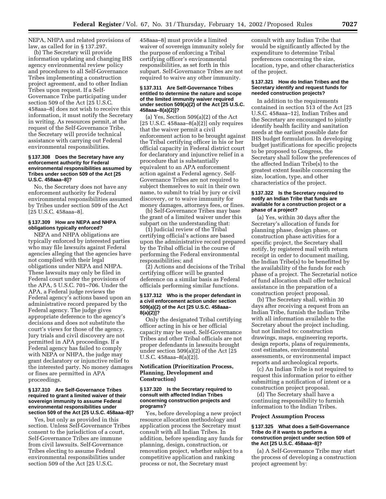NEPA, NHPA and related provisions of law, as called for in § 137.297.

(b) The Secretary will provide information updating and changing IHS agency environmental review policy and procedures to all Self-Governance Tribes implementing a construction project agreement, and to other Indian Tribes upon request. If a Self-Governance Tribe participating under section 509 of the Act [25 U.S.C. 458aaa–8] does not wish to receive this information, it must notify the Secretary in writing. As resources permit, at the request of the Self-Governance Tribe, the Secretary will provide technical assistance with carrying out Federal environmental responsibilities.

# **§ 137.308 Does the Secretary have any enforcement authority for Federal environmental responsibilities assumed by Tribes under section 509 of the Act [25 U.S.C. 458aaa–8]?**

No, the Secretary does not have any enforcement authority for Federal environmental responsibilities assumed by Tribes under section 509 of the Act [25 U.S.C. 458aaa–8].

# **§ 137.309 How are NEPA and NHPA obligations typically enforced?**

NEPA and NHPA obligations are typically enforced by interested parties who may file lawsuits against Federal agencies alleging that the agencies have not complied with their legal obligations under NEPA and NHPA. These lawsuits may only be filed in Federal court under the provisions of the APA, 5 U.S.C. 701–706. Under the APA, a Federal judge reviews the Federal agency's actions based upon an administrative record prepared by the Federal agency. The judge gives appropriate deference to the agency's decisions and does not substitute the court's views for those of the agency. Jury trials and civil discovery are not permitted in APA proceedings. If a Federal agency has failed to comply with NEPA or NHPA, the judge may grant declaratory or injunctive relief to the interested party. No money damages or fines are permitted in APA proceedings.

# **§ 137.310 Are Self-Governance Tribes required to grant a limited waiver of their sovereign immunity to assume Federal environmental responsibilities under section 509 of the Act [25 U.S.C. 458aaa–8]?**

Yes, but only as provided in this section. Unless Self-Governance Tribes consent to the jurisdiction of a court, Self-Governance Tribes are immune from civil lawsuits. Self-Governance Tribes electing to assume Federal environmental responsibilities under section 509 of the Act [25 U.S.C.

458aaa–8] must provide a limited waiver of sovereign immunity solely for the purpose of enforcing a Tribal certifying officer's environmental responsibilities, as set forth in this subpart. Self-Governance Tribes are not required to waive any other immunity.

## **§ 137.311 Are Self-Governance Tribes entitled to determine the nature and scope of the limited immunity waiver required under section 509(a)(2) of the Act [25 U.S.C. 458aaa–8(a)(2)]?**

(a) Yes, Section 509(a)(2) of the Act  $[25 \text{ U.S.C. } 458$ aaa $-8(a)(2)]$  only requires that the waiver permit a civil enforcement action to be brought against the Tribal certifying officer in his or her official capacity in Federal district court for declaratory and injunctive relief in a procedure that is substantially equivalent to an APA enforcement action against a Federal agency. Self-Governance Tribes are not required to subject themselves to suit in their own name, to submit to trial by jury or civil discovery, or to waive immunity for money damages, attorneys fees, or fines.

(b) Self-Governance Tribes may base the grant of a limited waiver under this subpart on the understanding that:

(1) Judicial review of the Tribal certifying official's actions are based upon the administrative record prepared by the Tribal official in the course of performing the Federal environmental responsibilities; and

(2) Actions and decisions of the Tribal certifying officer will be granted deference on a similar basis as Federal officials performing similar functions.

#### **§ 137.312 Who is the proper defendant in a civil enforcement action under section 509(a)(2) of the Act [25 U.S.C. 458aaa– 8(a)(2)]?**

Only the designated Tribal certifying officer acting in his or her official capacity may be sued. Self-Governance Tribes and other Tribal officials are not proper defendants in lawsuits brought under section 509(a)(2) of the Act [25 U.S.C. 458aaa–8(a)(2)].

# **Notification (Prioritization Process, Planning, Development and Construction)**

# **§ 137.320 Is the Secretary required to consult with affected Indian Tribes concerning construction projects and programs?**

Yes, before developing a new project resource allocation methodology and application process the Secretary must consult with all Indian Tribes. In addition, before spending any funds for planning, design, construction, or renovation project, whether subject to a competitive application and ranking process or not, the Secretary must

consult with any Indian Tribe that would be significantly affected by the expenditure to determine Tribal preferences concerning the size, location, type, and other characteristics of the project.

## **§ 137.321 How do Indian Tribes and the Secretary identify and request funds for needed construction projects?**

In addition to the requirements contained in section 513 of the Act [25 U.S.C. 458aaa–12], Indian Tribes and the Secretary are encouraged to jointly identify health facility and sanitation needs at the earliest possible date for IHS budget formulation. In developing budget justifications for specific projects to be proposed to Congress, the Secretary shall follow the preferences of the affected Indian Tribe(s) to the greatest extent feasible concerning the size, location, type, and other characteristics of the project.

## **§ 137.322 Is the Secretary required to notify an Indian Tribe that funds are available for a construction project or a phase of a project?**

(a) Yes, within 30 days after the Secretary's allocation of funds for planning phase, design phase, or construction phase activities for a specific project, the Secretary shall notify, by registered mail with return receipt in order to document mailing, the Indian Tribe(s) to be benefitted by the availability of the funds for each phase of a project. The Secretarial notice of fund allocation shall offer technical assistance in the preparation of a construction project proposal.

(b) The Secretary shall, within 30 days after receiving a request from an Indian Tribe, furnish the Indian Tribe with all information available to the Secretary about the project including, but not limited to: construction drawings, maps, engineering reports, design reports, plans of requirements, cost estimates, environmental assessments, or environmental impact reports and archeological reports.

(c) An Indian Tribe is not required to request this information prior to either submitting a notification of intent or a construction project proposal.

(d) The Secretary shall have a continuing responsibility to furnish information to the Indian Tribes.

#### **Project Assumption Process**

## **§ 137.325 What does a Self-Governance Tribe do if it wants to perform a construction project under section 509 of the Act [25 U.S.C. 458aaa–8]?**

(a) A Self-Governance Tribe may start the process of developing a construction project agreement by: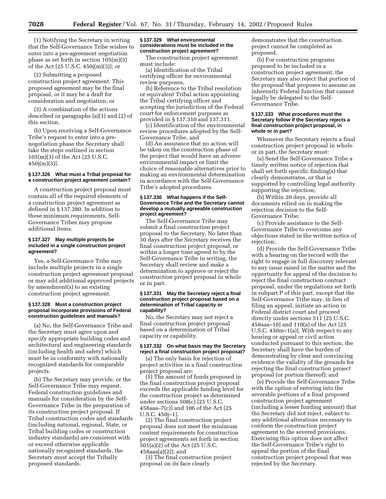(1) Notifying the Secretary in writing that the Self-Governance Tribe wishes to enter into a pre-agreement negotiation phase as set forth in section 105(m)(3) of the Act [25 U.S.C. 450j(m)(3)]; or

(2) Submitting a proposed construction project agreement. This proposed agreement may be the final proposal, or it may be a draft for consideration and negotiation, or

(3) A combination of the actions described in paragraphs (a)(1) and (2) of this section.

(b) Upon receiving a Self-Governance Tribe's request to enter into a prenegotiation phase the Secretary shall take the steps outlined in section 105(m)(3) of the Act [25 U.S.C. 450j(m)(3)].

# **§ 137.326 What must a Tribal proposal for a construction project agreement contain?**

A construction project proposal must contain all of the required elements of a construction project agreement as defined in § 137.280. In addition to these minimum requirements, Self-Governance Tribes may propose additional items.

# **§ 137.327 May multiple projects be included in a single construction project agreement?**

Yes, a Self-Governance Tribe may include multiple projects in a single construction project agreement proposal or may add additional approved projects by amendment(s) to an existing construction project agreement.

# **§ 137.328 Must a construction project proposal incorporate provisions of Federal construction guidelines and manuals?**

(a) No, the Self-Governance Tribe and the Secretary must agree upon and specify appropriate building codes and architectural and engineering standards (including health and safety) which must be in conformity with nationally recognized standards for comparable projects.

(b) The Secretary may provide, or the Self-Governance Tribe may request, Federal construction guidelines and manuals for consideration by the Self-Governance Tribe in the preparation of its construction project proposal. If Tribal construction codes and standards (including national, regional, State, or Tribal building codes or construction industry standards) are consistent with or exceed otherwise applicable nationally recognized standards, the Secretary must accept the Tribally proposed standards.

## **§ 137.329 What environmental considerations must be included in the construction project agreement?**

The construction project agreement must include:

(a) Identification of the Tribal certifying officer for environmental review purposes,

(b) Reference to the Tribal resolution or equivalent Tribal action appointing the Tribal certifying officer and accepting the jurisdiction of the Federal court for enforcement purposes as provided in § 137.310 and 137.311.

(c) Identification of the environmental review procedures adopted by the Self-Governance Tribe, and

(d) An assurance that no action will be taken on the construction phase of the project that would have an adverse environmental impact or limit the choice of reasonable alternatives prior to making an environmental determination in accordance with the Self-Governance Tribe's adopted procedures.

# **§ 137.330 What happens if the Self-Governance Tribe and the Secretary cannot develop a mutually agreeable construction project agreement?**

The Self-Governance Tribe may submit a final construction project proposal to the Secretary. No later than 30 days after the Secretary receives the final construction project proposal, or within a longer time agreed to by the Self-Governance Tribe in writing, the Secretary shall review and make a determination to approve or reject the construction project proposal in whole or in part.

#### **§ 137.331 May the Secretary reject a final construction project proposal based on a determination of Tribal capacity or capability?**

No, the Secretary may not reject a final construction project proposal based on a determination of Tribal capacity or capability.

# **§ 137.332 On what basis may the Secretary reject a final construction project proposal?**

(a) The only basis for rejection of project activities in a final construction project proposal are:

(1) The amount of funds proposed in the final construction project proposal exceeds the applicable funding level for the construction project as determined under sections 508(c) [25 U.S.C. 458aaa–7(c)] and 106 of the Act [25 U.S.C. 450j–1].

(2) The final construction project proposal does not meet the minimum content requirements for construction project agreements set forth in section 501(a)(2) of the Act [25 U.S.C. 458aaa(a)(2)]; and

(3) The final construction project proposal on its face clearly

demonstrates that the construction project cannot be completed as proposed.

(b) For construction programs proposed to be included in a construction project agreement, the Secretary may also reject that portion of the proposal that proposes to assume an inherently Federal function that cannot legally be delegated to the Self-Governance Tribe.

#### **§ 137.333 What procedures must the Secretary follow if the Secretary rejects a final construction project proposal, in whole or in part?**

Whenever the Secretary rejects a final construction project proposal in whole or in part, the Secretary must:

(a) Send the Self-Governance Tribe a timely written notice of rejection that shall set forth specific finding(s) that clearly demonstrates, or that is supported by controlling legal authority supporting the rejection;

(b) Within 20 days, provide all documents relied on in making the rejection decision to the Self-Governance Tribe;

(c) Provide assistance to the Self-Governance Tribe to overcome any objections stated in the written notice of rejection:

(d) Provide the Self-Governance Tribe with a hearing on the record with the right to engage in full discovery relevant to any issue raised in the matter and the opportunity for appeal of the decision to reject the final construction contract proposal, under the regulations set forth in subpart P of this part, except that the Self-Governance Tribe may, in lieu of filing an appeal, initiate an action in Federal district court and proceed directly under sections 511 [25 U.S.C. 458aaa–10] and 110(a) of the Act [25 U.S.C. 450m–1(a)]. With respect to any hearing or appeal or civil action conducted pursuant to this section, the Secretary shall have the burden of demonstrating by clear and convincing evidence the validity of the grounds for rejecting the final construction project proposal (or portion thereof); and

(e) Provide the Self-Governance Tribe with the option of entering into the severable portions of a final proposed construction project agreement (including a lesser funding amount) that the Secretary did not reject, subject to any additional alterations necessary to conform the construction project agreement to the severed provisions. Exercising this option does not affect the Self-Governance Tribe's right to appeal the portion of the final construction project proposal that was rejected by the Secretary.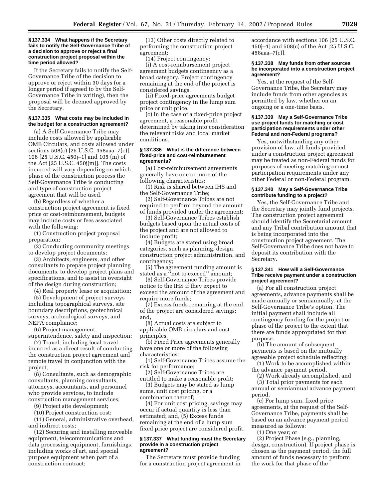#### **§ 137.334 What happens if the Secretary fails to notify the Self-Governance Tribe of a decision to approve or reject a final construction project proposal within the time period allowed?**

If the Secretary fails to notify the Self-Governance Tribe of the decision to approve or reject within 30 days (or a longer period if agreed to by the Self-Governance Tribe in writing), then the proposal will be deemed approved by the Secretary.

# **§ 137.335 What costs may be included in the budget for a construction agreement?**

(a) A Self-Governance Tribe may include costs allowed by applicable OMB Circulars, and costs allowed under sections 508(c) [25 U.S.C. 458aaa–7(c)], 106 [25 U.S.C. 450j–1] and 105 (m) of the Act [25 U.S.C. 450j(m)]. The costs incurred will vary depending on which phase of the construction process the Self-Governance Tribe is conducting and type of construction project agreement that will be used.

(b) Regardless of whether a construction project agreement is fixed price or cost-reimbursement, budgets may include costs or fees associated with the following:

(1) Construction project proposal preparation;

(2) Conducting community meetings to develop project documents;

(3) Architects, engineers, and other consultants to prepare project planning documents, to develop project plans and specifications, and to assist in oversight of the design during construction;

(4) Real property lease or acquisition;

(5) Development of project surveys including topographical surveys, site boundary descriptions, geotechnical surveys, archeological surveys, and NEPA compliance;

(6) Project management,

superintendence, safety and inspection; (7) Travel, including local travel

incurred as a direct result of conducting the construction project agreement and remote travel in conjunction with the project;

(8) Consultants, such as demographic consultants, planning consultants, attorneys, accountants, and personnel who provide services, to include construction management services;

(9) Project site development;

(10) Project construction cost;

(11) General, administrative overhead, and indirect costs;

(12) Securing and installing moveable equipment, telecommunications and data processing equipment, furnishings, including works of art, and special purpose equipment when part of a construction contract;

(13) Other costs directly related to performing the construction project agreement;

(14) Project contingency:

(i) A cost-reimbursement project agreement budgets contingency as a broad category. Project contingency remaining at the end of the project is considered savings.

(ii) Fixed-price agreements budget project contingency in the lump sum price or unit price.

(c) In the case of a fixed-price project agreement, a reasonable profit determined by taking into consideration the relevant risks and local market conditions.

#### **§ 137.336 What is the difference between fixed-price and cost-reimbursement agreements?**

(a) Cost-reimbursement agreements generally have one or more of the following characteristics:

(1) Risk is shared between IHS and the Self-Governance Tribe;

(2) Self-Governance Tribes are not required to perform beyond the amount of funds provided under the agreement;

(3) Self-Governance Tribes establish budgets based upon the actual costs of the project and are not allowed to include profit;

(4) Budgets are stated using broad categories, such as planning, design, construction project administration, and contingency;

(5) The agreement funding amount is stated as a ''not to exceed'' amount;

(6) Self-Governance Tribes provide notice to the IHS if they expect to exceed the amount of the agreement and require more funds;

(7) Excess funds remaining at the end of the project are considered savings; and,

(8) Actual costs are subject to applicable OMB circulars and cost principles.

(b) Fixed Price agreements generally have one or more of the following characteristics:

(1) Self-Governance Tribes assume the risk for performance;

(2) Self-Governance Tribes are entitled to make a reasonable profit;

(3) Budgets may be stated as lump sums, unit cost pricing, or a combination thereof;

(4) For unit cost pricing, savings may occur if actual quantity is less than estimated; and, (5) Excess funds remaining at the end of a lump sum fixed price project are considered profit.

## **§ 137.337 What funding must the Secretary provide in a construction project agreement?**

The Secretary must provide funding for a construction project agreement in accordance with sections 106 [25 U.S.C. 450j–1] and 508(c) of the Act [25 U.S.C. 458aaa–7(c)].

#### **§ 137.338 May funds from other sources be incorporated into a construction project agreement?**

Yes, at the request of the Self-Governance Tribe, the Secretary may include funds from other agencies as permitted by law, whether on an ongoing or a one-time basis.

# **§ 137.339 May a Self-Governance Tribe use project funds for matching or cost participation requirements under other Federal and non-Federal programs?**

Yes, notwithstanding any other provision of law, all funds provided under a construction project agreement may be treated as non-Federal funds for purposes of meeting matching or cost participation requirements under any other Federal or non-Federal program.

# **§ 137.340 May a Self-Governance Tribe contribute funding to a project?**

Yes, the Self-Governance Tribe and the Secretary may jointly fund projects. The construction project agreement should identify the Secretarial amount and any Tribal contribution amount that is being incorporated into the construction project agreement. The Self-Governance Tribe does not have to deposit its contribution with the Secretary.

# **§ 137.341 How will a Self-Governance Tribe receive payment under a construction project agreement?**

(a) For all construction project agreements, advance payments shall be made annually or semiannually, at the Self-Governance Tribe's option. The initial payment shall include all contingency funding for the project or phase of the project to the extent that there are funds appropriated for that purpose.

(b) The amount of subsequent payments is based on the mutually agreeable project schedule reflecting:

(1) Work to be accomplished within the advance payment period,

(2) Work already accomplished, and

(3) Total prior payments for each annual or semiannual advance payment period.

(c) For lump sum, fixed price agreements, at the request of the Self-Governance Tribe, payments shall be based on an advance payment period measured as follows:

(1) One year; or

(2) Project Phase (e.g., planning, design, construction). If project phase is chosen as the payment period, the full amount of funds necessary to perform the work for that phase of the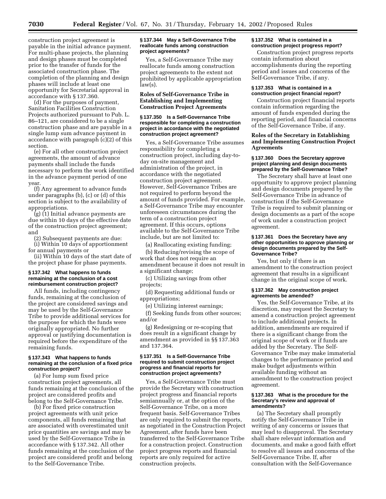construction project agreement is payable in the initial advance payment. For multi-phase projects, the planning and design phases must be completed prior to the transfer of funds for the associated construction phase. The completion of the planning and design phases will include at least one opportunity for Secretarial approval in accordance with § 137.360.

(d) For the purposes of payment, Sanitation Facilities Construction Projects authorized pursuant to Pub. L. 86–121, are considered to be a single construction phase and are payable in a single lump sum advance payment in accordance with paragraph (c)(2) of this section.

(e) For all other construction project agreements, the amount of advance payments shall include the funds necessary to perform the work identified in the advance payment period of one year.

(f) Any agreement to advance funds under paragraphs (b), (c) or (d) of this section is subject to the availability of appropriations.

(g) (1) Initial advance payments are due within 10 days of the effective date of the construction project agreement; and

(2) Subsequent payments are due: (i) Within 10 days of apportionment for annual payments or

(ii) Within 10 days of the start date of the project phase for phase payments.

## **§ 137.342 What happens to funds remaining at the conclusion of a cost reimbursement construction project?**

All funds, including contingency funds, remaining at the conclusion of the project are considered savings and may be used by the Self-Governance Tribe to provide additional services for the purpose for which the funds were originally appropriated. No further approval or justifying documentation is required before the expenditure of the remaining funds.

#### **§ 137.343 What happens to funds remaining at the conclusion of a fixed price construction project?**

(a) For lump sum fixed price construction project agreements, all funds remaining at the conclusion of the project are considered profits and belong to the Self-Governance Tribe.

(b) For fixed price construction project agreements with unit price components, all funds remaining that are associated with overestimated unit price quantities are savings and may be used by the Self-Governance Tribe in accordance with § 137.342. All other funds remaining at the conclusion of the project are considered profit and belong to the Self-Governance Tribe.

# **§ 137.344 May a Self-Governance Tribe reallocate funds among construction project agreements?**

Yes, a Self-Governance Tribe may reallocate funds among construction project agreements to the extent not prohibited by applicable appropriation law(s).

# **Roles of Self-Governance Tribe in Establishing and Implementing Construction Project Agreements**

# **§ 137.350 Is a Self-Governance Tribe responsible for completing a construction project in accordance with the negotiated construction project agreement?**

Yes, a Self-Governance Tribe assumes responsibility for completing a construction project, including day-today on-site management and administration of the project, in accordance with the negotiated construction project agreement. However, Self-Governance Tribes are not required to perform beyond the amount of funds provided. For example, a Self-Governance Tribe may encounter unforeseen circumstances during the term of a construction project agreement. If this occurs, options available to the Self-Governance Tribe include, but are not limited to:

(a) Reallocating existing funding;

(b) Reducing/revising the scope of work that does not require an amendment because it does not result in a significant change;

(c) Utilizing savings from other projects;

(d) Requesting additional funds or appropriations;

(e) Utilizing interest earnings;

(f) Seeking funds from other sources; and/or

(g) Redesigning or re-scoping that does result in a significant change by amendment as provided in §§ 137.363 and 137.364.

# **§ 137.351 Is a Self-Governance Tribe required to submit construction project progress and financial reports for construction project agreements?**

Yes, a Self-Governance Tribe must provide the Secretary with construction project progress and financial reports semiannually or, at the option of the Self-Governance Tribe, on a more frequent basis. Self-Governance Tribes are only required to submit the reports, as negotiated in the Construction Project Agreement, after funds have been transferred to the Self-Governance Tribe for a construction project. Construction project progress reports and financial reports are only required for active construction projects.

# **§ 137.352 What is contained in a construction project progress report?**

Construction project progress reports contain information about accomplishments during the reporting period and issues and concerns of the Self-Governance Tribe, if any.

# **§ 137.353 What is contained in a construction project financial report?**

Construction project financial reports contain information regarding the amount of funds expended during the reporting period, and financial concerns of the Self-Governance Tribe, if any.

# **Roles of the Secretary in Establishing and Implementing Construction Project Agreements**

# **§ 137.360 Does the Secretary approve project planning and design documents prepared by the Self-Governance Tribe?**

The Secretary shall have at least one opportunity to approve project planning and design documents prepared by the Self-Governance Tribe in advance of construction if the Self-Governance Tribe is required to submit planning or design documents as a part of the scope of work under a construction project agreement.

## **§ 137.361 Does the Secretary have any other opportunities to approve planning or design documents prepared by the Self-Governance Tribe?**

Yes, but only if there is an amendment to the construction project agreement that results in a significant change in the original scope of work.

## **§ 137.362 May construction project agreements be amended?**

Yes, the Self-Governance Tribe, at its discretion, may request the Secretary to amend a construction project agreement to include additional projects. In addition, amendments are required if there is a significant change from the original scope of work or if funds are added by the Secretary. The Self-Governance Tribe may make immaterial changes to the performance period and make budget adjustments within available funding without an amendment to the construction project agreement.

# **§ 137.363 What is the procedure for the Secretary's review and approval of amendments?**

(a) The Secretary shall promptly notify the Self-Governance Tribe in writing of any concerns or issues that may lead to disapproval. The Secretary shall share relevant information and documents, and make a good faith effort to resolve all issues and concerns of the Self-Governance Tribe. If, after consultation with the Self-Governance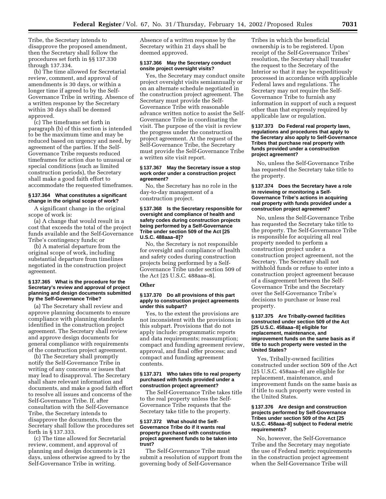Tribe, the Secretary intends to disapprove the proposed amendment, then the Secretary shall follow the procedures set forth in §§ 137.330 through 137.334.

(b) The time allowed for Secretarial review, comment, and approval of amendments is 30 days, or within a longer time if agreed to by the Self-Governance Tribe in writing. Absence of a written response by the Secretary within 30 days shall be deemed approved.

(c) The timeframe set forth in paragraph (b) of this section is intended to be the maximum time and may be reduced based on urgency and need, by agreement of the parties. If the Self-Governance Tribe requests reduced timeframes for action due to unusual or special conditions (such as limited construction periods), the Secretary shall make a good faith effort to accommodate the requested timeframes.

# **§ 137.364 What constitutes a significant change in the original scope of work?**

A significant change in the original scope of work is:

(a) A change that would result in a cost that exceeds the total of the project funds available and the Self-Governance Tribe's contingency funds; or

(b) A material departure from the original scope of work, including substantial departure from timelines negotiated in the construction project agreement.

## **§ 137.365 What is the procedure for the Secretary's review and approval of project planning and design documents submitted by the Self-Governance Tribe?**

(a) The Secretary shall review and approve planning documents to ensure compliance with planning standards identified in the construction project agreement. The Secretary shall review and approve design documents for general compliance with requirements of the construction project agreement.

(b) The Secretary shall promptly notify the Self-Governance Tribe in writing of any concerns or issues that may lead to disapproval. The Secretary shall share relevant information and documents, and make a good faith effort to resolve all issues and concerns of the Self-Governance Tribe. If, after consultation with the Self-Governance Tribe, the Secretary intends to disapprove the documents, then the Secretary shall follow the procedures set forth in § 137.333.

(c) The time allowed for Secretarial review, comment, and approval of planning and design documents is 21 days, unless otherwise agreed to by the Self-Governance Tribe in writing.

Absence of a written response by the Secretary within 21 days shall be deemed approved.

# **§ 137.366 May the Secretary conduct onsite project oversight visits?**

Yes, the Secretary may conduct onsite project oversight visits semiannually or on an alternate schedule negotiated in the construction project agreement. The Secretary must provide the Self-Governance Tribe with reasonable advance written notice to assist the Self-Governance Tribe in coordinating the visit. The purpose of the visit is review the progress under the construction project agreement. At the request of the Self-Governance Tribe, the Secretary must provide the Self-Governance Tribe a written site visit report.

#### **§ 137.367 May the Secretary issue a stop work order under a construction project agreement?**

No, the Secretary has no role in the day-to-day management of a construction project.

#### **§ 137.368 Is the Secretary responsible for oversight and compliance of health and safety codes during construction projects being performed by a Self-Governance Tribe under section 509 of the Act [25 U.S.C. 488aaa–8]?**

No, the Secretary is not responsible for oversight and compliance of health and safety codes during construction projects being performed by a Self-Governance Tribe under section 509 of the Act [25 U.S.C. 488aaa–8].

#### **Other**

#### **§ 137.370 Do all provisions of this part apply to construction project agreements under this subpart?**

Yes, to the extent the provisions are not inconsistent with the provisions in this subpart. Provisions that do not apply include: programmatic reports and data requirements; reassumption; compact and funding agreement review, approval, and final offer process; and compact and funding agreement contents.

## **§ 137.371 Who takes title to real property purchased with funds provided under a construction project agreement?**

The Self-Governance Tribe takes title to the real property unless the Self-Governance Tribe requests that the Secretary take title to the property.

# **§ 137.372 What should the Self-Governance Tribe do if it wants real property purchased with construction project agreement funds to be taken into trust?**

The Self-Governance Tribe must submit a resolution of support from the governing body of Self-Governance

Tribes in which the beneficial ownership is to be registered. Upon receipt of the Self-Governance Tribes' resolution, the Secretary shall transfer the request to the Secretary of the Interior so that it may be expeditiously processed in accordance with applicable Federal laws and regulations. The Secretary may not require the Self-Governance Tribe to furnish any information in support of such a request other than that expressly required by applicable law or regulation.

## **§ 137.373 Do Federal real property laws, regulations and procedures that apply to the Secretary also apply to Self-Governance Tribes that purchase real property with funds provided under a construction project agreement?**

No, unless the Self-Governance Tribe has requested the Secretary take title to the property.

## **§ 137.374 Does the Secretary have a role in reviewing or monitoring a Self-Governance Tribe's actions in acquiring real property with funds provided under a construction project agreement?**

No, unless the Self-Governance Tribe has requested the Secretary take title to the property. The Self-Governance Tribe is responsible for acquiring all real property needed to perform a construction project under a construction project agreement, not the Secretary. The Secretary shall not withhold funds or refuse to enter into a construction project agreement because of a disagreement between the Self-Governance Tribe and the Secretary over the Self-Governance Tribe's decisions to purchase or lease real property.

## **§ 137.375 Are Tribally-owned facilities constructed under section 509 of the Act [25 U.S.C. 458aaa–8] eligible for replacement, maintenance, and improvement funds on the same basis as if title to such property were vested in the United States?**

Yes, Tribally-owned facilities constructed under section 509 of the Act [25 U.S.C. 458aaa–8] are eligible for replacement, maintenance, and improvement funds on the same basis as if title to such property were vested in the United States.

#### **§ 137.376 Are design and construction projects performed by Self-Governance Tribes under section 509 of the Act [25 U.S.C. 458aaa–8] subject to Federal metric requirements?**

No, however, the Self-Governance Tribe and the Secretary may negotiate the use of Federal metric requirements in the construction project agreement when the Self-Governance Tribe will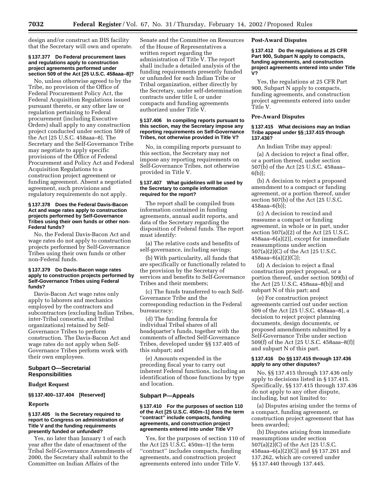design and/or construct an IHS facility that the Secretary will own and operate.

# **§ 137.377 Do Federal procurement laws and regulations apply to construction project agreements performed under section 509 of the Act [25 U.S.C. 458aaa–8]?**

No, unless otherwise agreed to by the Tribe, no provision of the Office of Federal Procurement Policy Act, the Federal Acquisition Regulations issued pursuant thereto, or any other law or regulation pertaining to Federal procurement (including Executive Orders) shall apply to any construction project conducted under section 509 of the Act [25 U.S.C. 458aaa–8]. The Secretary and the Self-Governance Tribe may negotiate to apply specific provisions of the Office of Federal Procurement and Policy Act and Federal Acquisition Regulations to a construction project agreement or funding agreement. Absent a negotiated agreement, such provisions and regulatory requirements do not apply.

## **§ 137.378 Does the Federal Davis-Bacon Act and wage rates apply to construction projects performed by Self-Governance Tribes using their own funds or other non-Federal funds?**

No, the Federal Davis-Bacon Act and wage rates do not apply to construction projects performed by Self-Governance Tribes using their own funds or other non-Federal funds.

# **§ 137.379 Do Davis-Bacon wage rates apply to construction projects performed by Self-Governance Tribes using Federal funds?**

Davis-Bacon Act wage rates only apply to laborers and mechanics employed by the contractors and subcontractors (excluding Indian Tribes, inter-Tribal consortia, and Tribal organizations) retained by Self-Governance Tribes to perform construction. The Davis-Bacon Act and wage rates do not apply when Self-Governance Tribes perform work with their own employees.

# **Subpart O—Secretarial Responsibilities**

# **Budget Request**

# **§§ 137.400–137.404 [Reserved]**

# **Reports**

# **§ 137.405 Is the Secretary required to report to Congress on administration of Title V and the funding requirements presently funded or unfunded?**

Yes, no later than January 1 of each year after the date of enactment of the Tribal Self-Governance Amendments of 2000, the Secretary shall submit to the Committee on Indian Affairs of the

Senate and the Committee on Resources of the House of Representatives a written report regarding the administration of Title V. The report shall include a detailed analysis of the funding requirements presently funded or unfunded for each Indian Tribe or Tribal organization, either directly by the Secretary, under self-determination contracts under title I, or under compacts and funding agreements authorized under Title V.

## **§ 137.406 In compiling reports pursuant to this section, may the Secretary impose any reporting requirements on Self-Governance Tribes, not otherwise provided in Title V?**

No, in compiling reports pursuant to this section, the Secretary may not impose any reporting requirements on Self-Governance Tribes, not otherwise provided in Title V.

# **§ 137.407 What guidelines will be used by the Secretary to compile information required for the report?**

The report shall be compiled from information contained in funding agreements, annual audit reports, and data of the Secretary regarding the disposition of Federal funds. The report must identify:

(a) The relative costs and benefits of self-governance, including savings;

(b) With particularity, all funds that are specifically or functionally related to the provision by the Secretary of services and benefits to Self-Governance Tribes and their members;

(c) The funds transferred to each Self-Governance Tribe and the corresponding reduction in the Federal bureaucracy;

(d) The funding formula for individual Tribal shares of all headquarter's funds, together with the comments of affected Self-Governance Tribes, developed under §§ 137.405 of this subpart; and

(e) Amounts expended in the preceding fiscal year to carry out inherent Federal functions, including an identification of those functions by type and location.

# **Subpart P—Appeals**

## **§ 137.410 For the purposes of section 110 of the Act [25 U.S.C. 450m–1] does the term ''contract'' include compacts, funding agreements, and construction project agreements entered into under Title V?**

Yes, for the purposes of section 110 of the Act [25 U.S.C. 450m–1] the term ''contract'' includes compacts, funding agreements, and construction project agreements entered into under Title V.

# **Post-Award Disputes**

**§ 137.412 Do the regulations at 25 CFR Part 900, Subpart N apply to compacts, funding agreements, and construction project agreements entered into under Title V?**

Yes, the regulations at 25 CFR Part 900, Subpart N apply to compacts, funding agreements, and construction project agreements entered into under Title V.

# **Pre-Award Disputes**

#### **§ 137.415 What decisions may an Indian Tribe appeal under §§ ;137.415 through 137.436?**

An Indian Tribe may appeal:

(a) A decision to reject a final offer, or a portion thereof, under section 507(b) of the Act [25 U.S.C. 458aaa– 6(b)];

(b) A decision to reject a proposed amendment to a compact or funding agreement, or a portion thereof, under section 507(b) of the Act [25 U.S.C. 458aaa–6(b)];

(c) A decision to rescind and reassume a compact or funding agreement, in whole or in part, under section 507(a)(2) of the Act [25 U.S.C. 458aaa–6(a)(2)], except for immediate reassumptions under section 507(a)(2)(C) of the Act [25 U.S.C. 458aaa–6(a)(2)(C)];

(d) A decision to reject a final construction project proposal, or a portion thereof, under section 509(b) of the Act [25 U.S.C. 458aaa–8(b)] and subpart N of this part; and

(e) For construction project agreements carried out under section 509 of the Act [25 U.S.C. 458aaa–8], a decision to reject project planning documents, design documents, or proposed amendments submitted by a Self-Governance Tribe under section 509(f) of the Act [25 U.S.C. 458aaa–8(f)] and subpart N of this part.

# **§ 137.416 Do §§ 137.415 through 137.436 apply to any other disputes?**

No, §§ 137.415 through 137.436 only apply to decisions listed in § 137.415. Specifically, §§ 137.415 through 137.436 do not apply to any other dispute, including, but not limited to:

(a) Disputes arising under the terms of a compact, funding agreement, or construction project agreement that has been awarded;

(b) Disputes arising from immediate reassumptions under section 507(a)(2)(C) of the Act [25 U.S.C. 458aaa–6(a)(2)(C)] and §§ 137.261 and 137.262, which are covered under §§ 137.440 through 137.445.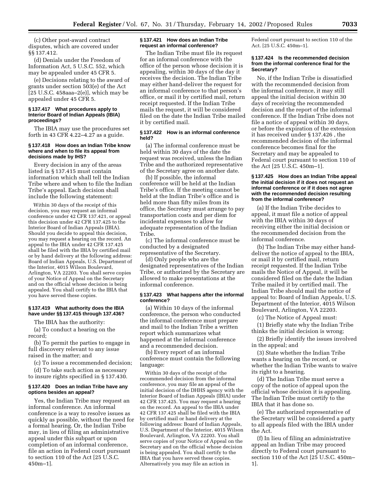(c) Other post-award contract disputes, which are covered under §§ 137.412.

(d) Denials under the Freedom of Information Act, 5 U.S.C. 552, which may be appealed under 45 CFR 5.

(e) Decisions relating to the award of grants under section 503(e) of the Act  $[25 \text{ U.S.C. } 458$ aaa $-2(e)$ ], which may be appealed under 45 CFR 5.

# **§ 137.417 What procedures apply to Interior Board of Indian Appeals (IBIA) proceedings?**

The IBIA may use the procedures set forth in 43 CFR 4.22–4.27 as a guide.

# **§ 137.418 How does an Indian Tribe know where and when to file its appeal from decisions made by IHS?**

Every decision in any of the areas listed in § 137.415 must contain information which shall tell the Indian Tribe where and when to file the Indian Tribe's appeal. Each decision shall include the following statement:

Within 30 days of the receipt of this decision, you may request an informal conference under 42 CFR 137.421, or appeal this decision under 42 CFR 137.425 to the Interior Board of Indian Appeals (IBIA). Should you decide to appeal this decision, you may request a hearing on the record. An appeal to the IBIA under 42 CFR 137.425 shall be filed with the IBIA by certified mail or by hand delivery at the following address: Board of Indian Appeals, U.S. Department of the Interior, 4015 Wilson Boulevard, Arlington, VA 22203. You shall serve copies of your Notice of Appeal on the Secretary and on the official whose decision is being appealed. You shall certify to the IBIA that you have served these copies.

# **§ 137.419 What authority does the IBIA have under §§ 137.415 through 137.436?**

The IBIA has the authority:

(a) To conduct a hearing on the record;

(b) To permit the parties to engage in full discovery relevant to any issue raised in the matter; and

(c) To issue a recommended decision;

(d) To take such action as necessary to insure rights specified in § 137.430.

### **§ 137.420 Does an Indian Tribe have any options besides an appeal?**

Yes, the Indian Tribe may request an informal conference. An informal conference is a way to resolve issues as quickly as possible, without the need for a formal hearing. Or, the Indian Tribe may, in lieu of filing an administrative appeal under this subpart or upon completion of an informal conference, file an action in Federal court pursuant to section 110 of the Act [25 U.S.C. 450m–1].

# **§ 137.421 How does an Indian Tribe request an informal conference?**

The Indian Tribe must file its request for an informal conference with the office of the person whose decision it is appealing, within 30 days of the day it receives the decision. The Indian Tribe may either hand-deliver the request for an informal conference to that person's office, or mail it by certified mail, return receipt requested. If the Indian Tribe mails the request, it will be considered filed on the date the Indian Tribe mailed it by certified mail.

#### **§ 137.422 How is an informal conference held?**

(a) The informal conference must be held within 30 days of the date the request was received, unless the Indian Tribe and the authorized representative of the Secretary agree on another date.

(b) If possible, the informal conference will be held at the Indian Tribe's office. If the meeting cannot be held at the Indian Tribe's office and is held more than fifty miles from its office, the Secretary must arrange to pay transportation costs and per diem for incidental expenses to allow for adequate representation of the Indian Tribe.

(c) The informal conference must be conducted by a designated representative of the Secretary.

(d) Only people who are the designated representatives of the Indian Tribe, or authorized by the Secretary are allowed to make presentations at the informal conference.

# **§ 137.423 What happens after the informal conference?**

(a) Within 10 days of the informal conference, the person who conducted the informal conference must prepare and mail to the Indian Tribe a written report which summarizes what happened at the informal conference and a recommended decision.

(b) Every report of an informal conference must contain the following language:

Within 30 days of the receipt of the recommended decision from the informal conference, you may file an appeal of the initial decision of the DHHS agency with the Interior Board of Indian Appeals (IBIA) under 42 CFR 137.425. You may request a hearing on the record. An appeal to the IBIA under 42 CFR 137.425 shall be filed with the IBIA by certified mail or hand delivery at the following address: Board of Indian Appeals, U.S. Department of the Interior, 4015 Wilson Boulevard, Arlington, VA 22203. You shall serve copies of your Notice of Appeal on the Secretary and on the official whose decision is being appealed. You shall certify to the IBIA that you have served these copies. Alternatively you may file an action in

Federal court pursuant to section 110 of the Act. [25 U.S.C. 450m–1].

## **§ 137.424 Is the recommended decision from the informal conference final for the Secretary?**

No, if the Indian Tribe is dissatisfied with the recommended decision from the informal conference, it may still appeal the initial decision within 30 days of receiving the recommended decision and the report of the informal conference. If the Indian Tribe does not file a notice of appeal within 30 days, or before the expiration of the extension it has received under § 137.426 , the recommended decision of the informal conference becomes final for the Secretary and may be appealed to Federal court pursuant to section 110 of the Act [25 U.S.C. 450m–1].

## **§ 137.425 How does an Indian Tribe appeal the initial decision if it does not request an informal conference or if it does not agree with the recommended decision resulting from the informal conference?**

(a) If the Indian Tribe decides to appeal, it must file a notice of appeal with the IBIA within 30 days of receiving either the initial decision or the recommended decision from the informal conference.

(b) The Indian Tribe may either handdeliver the notice of appeal to the IBIA, or mail it by certified mail, return receipt requested. If the Indian Tribe mails the Notice of Appeal, it will be considered filed on the date the Indian Tribe mailed it by certified mail. The Indian Tribe should mail the notice of appeal to: Board of Indian Appeals, U.S. Department of the Interior, 4015 Wilson Boulevard, Arlington, VA 22203.

(c) The Notice of Appeal must:

(1) Briefly state why the Indian Tribe thinks the initial decision is wrong;

(2) Briefly identify the issues involved in the appeal; and

(3) State whether the Indian Tribe wants a hearing on the record, or whether the Indian Tribe wants to waive its right to a hearing.

(d) The Indian Tribe must serve a copy of the notice of appeal upon the official whose decision it is appealing. The Indian Tribe must certify to the IBIA that it has done so.

(e) The authorized representative of the Secretary will be considered a party to all appeals filed with the IBIA under the Act.

(f) In lieu of filing an administrative appeal an Indian Tribe may proceed directly to Federal court pursuant to section 110 of the Act [25 U.S.C. 450m– 1].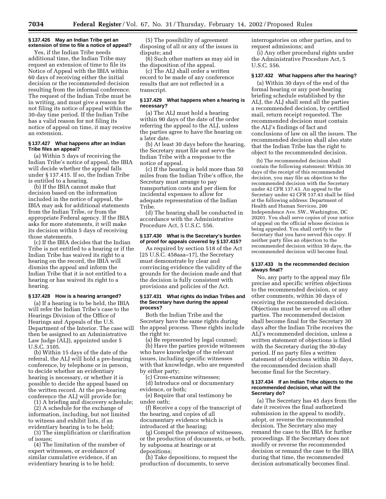# **§ 137.426 May an Indian Tribe get an extension of time to file a notice of appeal?**

Yes, if the Indian Tribe needs additional time, the Indian Tribe may request an extension of time to file its Notice of Appeal with the IBIA within 60 days of receiving either the initial decision or the recommended decision resulting from the informal conference. The request of the Indian Tribe must be in writing, and must give a reason for not filing its notice of appeal within the 30-day time period. If the Indian Tribe has a valid reason for not filing its notice of appeal on time, it may receive an extension.

## **§ 137.427 What happens after an Indian Tribe files an appeal?**

(a) Within 5 days of receiving the Indian Tribe's notice of appeal, the IBIA will decide whether the appeal falls under § 137.415. If so, the Indian Tribe is entitled to a hearing.

(b) If the IBIA cannot make that decision based on the information included in the notice of appeal, the IBIA may ask for additional statements from the Indian Tribe, or from the appropriate Federal agency. If the IBIA asks for more statements, it will make its decision within 5 days of receiving those statements.

(c) If the IBIA decides that the Indian Tribe is not entitled to a hearing or if the Indian Tribe has waived its right to a hearing on the record, the IBIA will dismiss the appeal and inform the Indian Tribe that it is not entitled to a hearing or has waived its right to a hearing.

#### **§ 137.428 How is a hearing arranged?**

(a) If a hearing is to be held, the IBIA will refer the Indian Tribe's case to the Hearings Division of the Office of Hearings and Appeals of the U.S. Department of the Interior. The case will then be assigned to an Administrative Law Judge (ALJ), appointed under 5 U.S.C. 3105.

(b) Within 15 days of the date of the referral, the ALJ will hold a pre-hearing conference, by telephone or in person, to decide whether an evidentiary hearing is necessary, or whether it is possible to decide the appeal based on the written record. At the pre-hearing conference the ALJ will provide for:

(1) A briefing and discovery schedule; (2) A schedule for the exchange of information, including, but not limited to witness and exhibit lists, if an evidentiary hearing is to be held;

(3) The simplification or clarification of issues;

(4) The limitation of the number of expert witnesses, or avoidance of similar cumulative evidence, if an evidentiary hearing is to be held;

(5) The possibility of agreement disposing of all or any of the issues in dispute; and

(6) Such other matters as may aid in the disposition of the appeal.

(c) The ALJ shall order a written record to be made of any conference results that are not reflected in a transcript.

# **§ 137.429 What happens when a hearing is necessary?**

(a) The ALJ must hold a hearing within 90 days of the date of the order referring the appeal to the ALJ, unless the parties agree to have the hearing on a later date.

(b) At least 30 days before the hearing, the Secretary must file and serve the Indian Tribe with a response to the notice of appeal.

(c) If the hearing is held more than 50 miles from the Indian Tribe's office, the Secretary must arrange to pay transportation costs and per diem for incidental expenses to allow for adequate representation of the Indian Tribe.

(d) The hearing shall be conducted in accordance with the Administrative Procedure Act, 5 U.S.C. 556.

## **§ 137.430 What is the Secretary's burden of proof for appeals covered by § 137.415?**

As required by section 518 of the Act [25 U.S.C. 458aaa–17], the Secretary must demonstrate by clear and convincing evidence the validity of the grounds for the decision made and that the decision is fully consistent with provisions and policies of the Act.

## **§ 137.431 What rights do Indian Tribes and the Secretary have during the appeal process?**

Both the Indian Tribe and the Secretary have the same rights during the appeal process. These rights include the right to:

(a) Be represented by legal counsel;

(b) Have the parties provide witnesses who have knowledge of the relevant issues, including specific witnesses with that knowledge, who are requested by either party;

(c) Cross-examine witnesses;

(d) Introduce oral or documentary evidence, or both;

(e) Require that oral testimony be under oath;

(f) Receive a copy of the transcript of the hearing, and copies of all documentary evidence which is introduced at the hearing;

(g) Compel the presence of witnesses, or the production of documents, or both, by subpoena at hearings or at depositions;

(h) Take depositions, to request the production of documents, to serve

interrogatories on other parties, and to request admissions; and

(i) Any other procedural rights under the Administrative Procedure Act, 5 U.S.C. 556.

#### **§ 137.432 What happens after the hearing?**

(a) Within 30 days of the end of the formal hearing or any post-hearing briefing schedule established by the ALJ, the ALJ shall send all the parties a recommended decision, by certified mail, return receipt requested. The recommended decision must contain the ALJ's findings of fact and conclusions of law on all the issues. The recommended decision shall also state that the Indian Tribe has the right to object to the recommended decision.

(b) The recommended decision shall contain the following statement: Within 30 days of the receipt of this recommended decision, you may file an objection to the recommended decision with the Secretary under 42 CFR 137.43. An appeal to the Secretary under 42 CFR 137.43 shall be filed at the following address: Department of Health and Human Services, 200 Independence Ave. SW., Washington, DC 20201. You shall serve copies of your notice of appeal on the official whose decision is being appealed. You shall certify to the Secretary that you have served this copy. If neither party files an objection to the recommended decision within 30 days, the recommended decision will become final.

# **§ 137.433 Is the recommended decision always final?**

No, any party to the appeal may file precise and specific written objections to the recommended decision, or any other comments, within 30 days of receiving the recommended decision. Objections must be served on all other parties. The recommended decision shall become final for the Secretary 30 days after the Indian Tribe receives the ALJ's recommended decision, unless a written statement of objections is filed with the Secretary during the 30-day period. If no party files a written statement of objections within 30 days, the recommended decision shall become final for the Secretary.

#### **§ 137.434 If an Indian Tribe objects to the recommended decision, what will the Secretary do?**

(a) The Secretary has 45 days from the date it receives the final authorized submission in the appeal to modify, adopt, or reverse the recommended decision. The Secretary also may remand the case to the IBIA for further proceedings. If the Secretary does not modify or reverse the recommended decision or remand the case to the IBIA during that time, the recommended decision automatically becomes final.